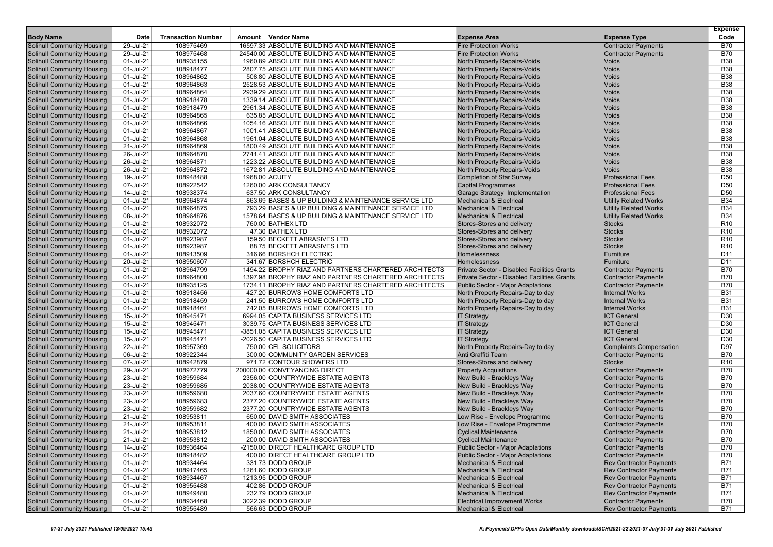|                                   |           |                           |                                                       |                                             |                                | <b>Expense</b>  |
|-----------------------------------|-----------|---------------------------|-------------------------------------------------------|---------------------------------------------|--------------------------------|-----------------|
| <b>Body Name</b>                  | Date      | <b>Transaction Number</b> | Amount Vendor Name                                    | <b>Expense Area</b>                         | <b>Expense Type</b>            | Code            |
| <b>Solihull Community Housing</b> | 29-Jul-21 | 108975469                 | 16597.33 ABSOLUTE BUILDING AND MAINTENANCE            | <b>Fire Protection Works</b>                | <b>Contractor Payments</b>     | <b>B70</b>      |
| <b>Solihull Community Housing</b> | 29-Jul-21 | 108975468                 | 24540.00 ABSOLUTE BUILDING AND MAINTENANCE            | <b>Fire Protection Works</b>                | <b>Contractor Payments</b>     | <b>B70</b>      |
| <b>Solihull Community Housing</b> | 01-Jul-21 | 108935155                 | 1960.89 ABSOLUTE BUILDING AND MAINTENANCE             | North Property Repairs-Voids                | Voids                          | <b>B38</b>      |
| <b>Solihull Community Housing</b> | 01-Jul-21 | 108918477                 | 2807.75 ABSOLUTE BUILDING AND MAINTENANCE             | North Property Repairs-Voids                | Voids                          | <b>B38</b>      |
| <b>Solihull Community Housing</b> | 01-Jul-21 | 108964862                 | 508.80 ABSOLUTE BUILDING AND MAINTENANCE              | North Property Repairs-Voids                | Voids                          | <b>B38</b>      |
| <b>Solihull Community Housing</b> | 01-Jul-21 | 108964863                 | 2528.53 ABSOLUTE BUILDING AND MAINTENANCE             | North Property Repairs-Voids                | Voids                          | <b>B38</b>      |
| <b>Solihull Community Housing</b> | 01-Jul-21 | 108964864                 | 2939.29 ABSOLUTE BUILDING AND MAINTENANCE             | North Property Repairs-Voids                | Voids                          | <b>B38</b>      |
| <b>Solihull Community Housing</b> | 01-Jul-21 | 108918478                 | 1339.14 ABSOLUTE BUILDING AND MAINTENANCE             | North Property Repairs-Voids                | Voids                          | <b>B38</b>      |
| <b>Solihull Community Housing</b> | 01-Jul-21 | 108918479                 | 2961.34 ABSOLUTE BUILDING AND MAINTENANCE             | North Property Repairs-Voids                | Voids                          | <b>B38</b>      |
| <b>Solihull Community Housing</b> | 01-Jul-21 | 108964865                 | 635.85 ABSOLUTE BUILDING AND MAINTENANCE              | North Property Repairs-Voids                | Voids                          | <b>B38</b>      |
| <b>Solihull Community Housing</b> | 01-Jul-21 | 108964866                 | 1054.16 ABSOLUTE BUILDING AND MAINTENANCE             | North Property Repairs-Voids                | Voids                          | <b>B38</b>      |
| <b>Solihull Community Housing</b> | 01-Jul-21 | 108964867                 | 1001.41 ABSOLUTE BUILDING AND MAINTENANCE             | North Property Repairs-Voids                | Voids                          | <b>B38</b>      |
| <b>Solihull Community Housing</b> | 01-Jul-21 | 108964868                 | 1961.04 ABSOLUTE BUILDING AND MAINTENANCE             | North Property Repairs-Voids                | <b>Voids</b>                   | <b>B38</b>      |
| <b>Solihull Community Housing</b> | 21-Jul-21 | 108964869                 | 1800.49 ABSOLUTE BUILDING AND MAINTENANCE             | North Property Repairs-Voids                | <b>Voids</b>                   | <b>B38</b>      |
| <b>Solihull Community Housing</b> | 26-Jul-21 | 108964870                 | 2741.41 ABSOLUTE BUILDING AND MAINTENANCE             | North Property Repairs-Voids                | Voids                          | <b>B38</b>      |
| <b>Solihull Community Housing</b> | 26-Jul-21 | 108964871                 | 1223.22 ABSOLUTE BUILDING AND MAINTENANCE             | North Property Repairs-Voids                | Voids                          | <b>B38</b>      |
| <b>Solihull Community Housing</b> | 26-Jul-21 | 108964872                 | 1672.81 ABSOLUTE BUILDING AND MAINTENANCE             | North Property Repairs-Voids                | Voids                          | <b>B38</b>      |
| <b>Solihull Community Housing</b> | 19-Jul-21 | 108948488                 | 1968.00 ACUITY                                        | <b>Completion of Star Survey</b>            | <b>Professional Fees</b>       | D <sub>50</sub> |
| <b>Solihull Community Housing</b> | 07-Jul-21 | 108922542                 | 1260.00 ARK CONSULTANCY                               | <b>Capital Programmes</b>                   | <b>Professional Fees</b>       | D <sub>50</sub> |
| <b>Solihull Community Housing</b> | 14-Jul-21 | 108938374                 | 637.50 ARK CONSULTANCY                                | Garage Strategy Implementation              | <b>Professional Fees</b>       | D <sub>50</sub> |
| <b>Solihull Community Housing</b> | 01-Jul-21 | 108964874                 | 863.69 BASES & UP BUILDING & MAINTENANCE SERVICE LTD  | <b>Mechanical &amp; Electrical</b>          | <b>Utility Related Works</b>   | <b>B34</b>      |
| <b>Solihull Community Housing</b> | 01-Jul-21 | 108964875                 | 793.29 BASES & UP BUILDING & MAINTENANCE SERVICE LTD  | <b>Mechanical &amp; Electrical</b>          | <b>Utility Related Works</b>   | <b>B34</b>      |
| <b>Solihull Community Housing</b> | 08-Jul-21 | 108964876                 | 1578.64 BASES & UP BUILDING & MAINTENANCE SERVICE LTD | <b>Mechanical &amp; Electrical</b>          | <b>Utility Related Works</b>   | <b>B34</b>      |
| <b>Solihull Community Housing</b> | 01-Jul-21 | 108932072                 | 760.00 BATHEX LTD                                     | Stores-Stores and delivery                  | <b>Stocks</b>                  | R <sub>10</sub> |
| <b>Solihull Community Housing</b> | 01-Jul-21 | 108932072                 | 47.30 BATHEX LTD                                      | Stores-Stores and delivery                  | <b>Stocks</b>                  | R <sub>10</sub> |
| <b>Solihull Community Housing</b> | 01-Jul-21 | 108923987                 | 159.50 BECKETT ABRASIVES LTD                          | Stores-Stores and delivery                  | <b>Stocks</b>                  | R <sub>10</sub> |
| <b>Solihull Community Housing</b> | 01-Jul-21 | 108923987                 | 88.75 BECKETT ABRASIVES LTD                           | Stores-Stores and delivery                  | <b>Stocks</b>                  | R <sub>10</sub> |
| <b>Solihull Community Housing</b> | 01-Jul-21 | 108913509                 | 316.66 BORSHCH ELECTRIC                               | Homelessness                                | Furniture                      | D <sub>11</sub> |
| <b>Solihull Community Housing</b> | 20-Jul-21 | 108950607                 | 341.67 BORSHCH ELECTRIC                               | Homelessness                                | Furniture                      | D <sub>11</sub> |
| <b>Solihull Community Housing</b> | 01-Jul-21 | 108964799                 | 1494.22 BROPHY RIAZ AND PARTNERS CHARTERED ARCHITECTS | Private Sector - Disabled Facilities Grants | <b>Contractor Payments</b>     | <b>B70</b>      |
| <b>Solihull Community Housing</b> | 01-Jul-21 | 108964800                 | 1397.98 BROPHY RIAZ AND PARTNERS CHARTERED ARCHITECTS | Private Sector - Disabled Facilities Grants | <b>Contractor Payments</b>     | <b>B70</b>      |
| <b>Solihull Community Housing</b> | 01-Jul-21 | 108935125                 | 1734.11 BROPHY RIAZ AND PARTNERS CHARTERED ARCHITECTS | <b>Public Sector - Major Adaptations</b>    | <b>Contractor Payments</b>     | <b>B70</b>      |
| <b>Solihull Community Housing</b> | 01-Jul-21 | 108918456                 | 427.20 BURROWS HOME COMFORTS LTD                      | North Property Repairs-Day to day           | <b>Internal Works</b>          | <b>B31</b>      |
| <b>Solihull Community Housing</b> | 01-Jul-21 | 108918459                 | 241.50 BURROWS HOME COMFORTS LTD                      | North Property Repairs-Day to day           | <b>Internal Works</b>          | <b>B31</b>      |
| <b>Solihull Community Housing</b> | 01-Jul-21 | 108918461                 | 742.05 BURROWS HOME COMFORTS LTD                      | North Property Repairs-Day to day           | <b>Internal Works</b>          | <b>B31</b>      |
| <b>Solihull Community Housing</b> | 15-Jul-21 | 108945471                 | 6994.05 CAPITA BUSINESS SERVICES LTD                  | <b>IT Strategy</b>                          | <b>ICT General</b>             | D30             |
| <b>Solihull Community Housing</b> | 15-Jul-21 | 108945471                 | 3039.75 CAPITA BUSINESS SERVICES LTD                  | <b>IT Strategy</b>                          | <b>ICT General</b>             | D <sub>30</sub> |
| <b>Solihull Community Housing</b> | 15-Jul-21 | 108945471                 | -3851.05 CAPITA BUSINESS SERVICES LTD                 | <b>IT Strategy</b>                          | <b>ICT General</b>             | D30             |
| <b>Solihull Community Housing</b> | 15-Jul-21 | 108945471                 | -2026.50 CAPITA BUSINESS SERVICES LTD                 | <b>IT Strategy</b>                          | <b>ICT General</b>             | D30             |
| <b>Solihull Community Housing</b> | 22-Jul-21 | 108957369                 | 750.00 CEL SOLICITORS                                 | North Property Repairs-Day to day           | <b>Complaints Compensation</b> | D97             |
| <b>Solihull Community Housing</b> | 06-Jul-21 | 108922344                 | 300.00 COMMUNITY GARDEN SERVICES                      | Anti Graffiti Team                          | <b>Contractor Payments</b>     | <b>B70</b>      |
| <b>Solihull Community Housing</b> | 07-Jul-21 | 108942879                 | 971.72 CONTOUR SHOWERS LTD                            | Stores-Stores and delivery                  | <b>Stocks</b>                  | R <sub>10</sub> |
| <b>Solihull Community Housing</b> | 29-Jul-21 | 108972779                 | 200000.00 CONVEYANCING DIRECT                         | <b>Property Acquisitions</b>                | <b>Contractor Payments</b>     | <b>B70</b>      |
| <b>Solihull Community Housing</b> | 23-Jul-21 | 108959684                 | 2356.00 COUNTRYWIDE ESTATE AGENTS                     | New Build - Brackleys Way                   | <b>Contractor Payments</b>     | <b>B70</b>      |
| <b>Solihull Community Housing</b> | 23-Jul-21 | 108959685                 | 2038.00 COUNTRYWIDE ESTATE AGENTS                     | New Build - Brackleys Way                   | <b>Contractor Payments</b>     | <b>B70</b>      |
| <b>Solihull Community Housing</b> | 23-Jul-21 | 108959680                 | 2037.60 COUNTRYWIDE ESTATE AGENTS                     | New Build - Brackleys Way                   | <b>Contractor Payments</b>     | <b>B70</b>      |
| <b>Solihull Community Housing</b> | 23-Jul-21 | 108959683                 | 2377.20 COUNTRYWIDE ESTATE AGENTS                     | New Build - Brackleys Way                   | <b>Contractor Payments</b>     | <b>B70</b>      |
| <b>Solihull Community Housing</b> | 23-Jul-21 | 108959682                 | 2377.20 COUNTRYWIDE ESTATE AGENTS                     | New Build - Brackleys Way                   | <b>Contractor Payments</b>     | <b>B70</b>      |
| <b>Solihull Community Housing</b> | 21-Jul-21 | 108953811                 | 650.00 DAVID SMITH ASSOCIATES                         | Low Rise - Envelope Programme               | <b>Contractor Payments</b>     | <b>B70</b>      |
| <b>Solihull Community Housing</b> | 21-Jul-21 | 108953811                 | 400.00 DAVID SMITH ASSOCIATES                         | Low Rise - Envelope Programme               | <b>Contractor Payments</b>     | <b>B70</b>      |
| <b>Solihull Community Housing</b> | 21-Jul-21 | 108953812                 | 1850.00 DAVID SMITH ASSOCIATES                        | <b>Cyclical Maintenance</b>                 | <b>Contractor Payments</b>     | <b>B70</b>      |
| <b>Solihull Community Housing</b> | 21-Jul-21 | 108953812                 | 200.00 DAVID SMITH ASSOCIATES                         | <b>Cyclical Maintenance</b>                 | <b>Contractor Payments</b>     | B70             |
| <b>Solihull Community Housing</b> | 14-Jul-21 | 108936464                 | -2150.00 DIRECT HEALTHCARE GROUP LTD                  | <b>Public Sector - Major Adaptations</b>    | <b>Contractor Payments</b>     | <b>B70</b>      |
| <b>Solihull Community Housing</b> | 01-Jul-21 | 108918482                 | 400.00 DIRECT HEALTHCARE GROUP LTD                    | <b>Public Sector - Major Adaptations</b>    | <b>Contractor Payments</b>     | <b>B70</b>      |
| <b>Solihull Community Housing</b> | 01-Jul-21 | 108934464                 | 331.73 DODD GROUP                                     | <b>Mechanical &amp; Electrical</b>          | <b>Rev Contractor Payments</b> | <b>B71</b>      |
| <b>Solihull Community Housing</b> | 01-Jul-21 | 108917465                 | 1261.60 DODD GROUP                                    | <b>Mechanical &amp; Electrical</b>          | <b>Rev Contractor Payments</b> | <b>B71</b>      |
| <b>Solihull Community Housing</b> | 01-Jul-21 | 108934467                 | 1213.95 DODD GROUP                                    | <b>Mechanical &amp; Electrical</b>          | <b>Rev Contractor Payments</b> | <b>B71</b>      |
| <b>Solihull Community Housing</b> | 01-Jul-21 | 108955488                 | 402.86 DODD GROUP                                     | <b>Mechanical &amp; Electrical</b>          | <b>Rev Contractor Payments</b> | <b>B71</b>      |
| <b>Solihull Community Housing</b> | 01-Jul-21 | 108949480                 | 232.79 DODD GROUP                                     | <b>Mechanical &amp; Electrical</b>          | <b>Rev Contractor Payments</b> | B71             |
| <b>Solihull Community Housing</b> | 01-Jul-21 | 108934468                 | 3022.39 DODD GROUP                                    | <b>Electrical Improvement Works</b>         | <b>Contractor Payments</b>     | <b>B70</b>      |
| <b>Solihull Community Housing</b> | 01-Jul-21 | 108955489                 | 566.63 DODD GROUP                                     | <b>Mechanical &amp; Electrical</b>          | <b>Rev Contractor Payments</b> | B71             |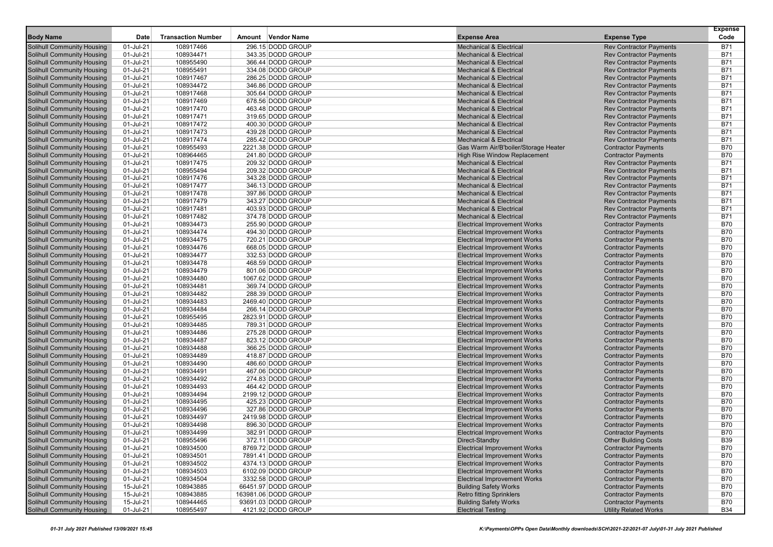| <b>Body Name</b>                                                       | Date                   | <b>Transaction Number</b> | Amount | Vendor Name                              | <b>Expense Area</b>                                                        | <b>Expense Type</b>                                              | <b>Expense</b><br>Code   |
|------------------------------------------------------------------------|------------------------|---------------------------|--------|------------------------------------------|----------------------------------------------------------------------------|------------------------------------------------------------------|--------------------------|
|                                                                        | 01-Jul-21              |                           |        | 296.15 DODD GROUP                        |                                                                            |                                                                  |                          |
| <b>Solihull Community Housing</b><br><b>Solihull Community Housing</b> | 01-Jul-21              | 108917466<br>108934471    |        | 343.35 DODD GROUP                        | <b>Mechanical &amp; Electrical</b><br><b>Mechanical &amp; Electrical</b>   | <b>Rev Contractor Payments</b><br><b>Rev Contractor Payments</b> | <b>B71</b><br><b>B71</b> |
| <b>Solihull Community Housing</b>                                      | 01-Jul-21              | 108955490                 |        | 366.44 DODD GROUP                        | <b>Mechanical &amp; Electrical</b>                                         | <b>Rev Contractor Payments</b>                                   | <b>B71</b>               |
| <b>Solihull Community Housing</b>                                      | 01-Jul-21              | 108955491                 |        | 334.08 DODD GROUP                        | <b>Mechanical &amp; Electrical</b>                                         | <b>Rev Contractor Payments</b>                                   | <b>B71</b>               |
| <b>Solihull Community Housing</b>                                      | 01-Jul-21              | 108917467                 |        | 286.25 DODD GROUP                        | <b>Mechanical &amp; Electrical</b>                                         | <b>Rev Contractor Payments</b>                                   | <b>B71</b>               |
| <b>Solihull Community Housing</b>                                      | 01-Jul-21              | 108934472                 |        | 346.86 DODD GROUP                        | <b>Mechanical &amp; Electrical</b>                                         | <b>Rev Contractor Payments</b>                                   | <b>B71</b>               |
| <b>Solihull Community Housing</b>                                      | 01-Jul-21              | 108917468                 |        | 305.64 DODD GROUP                        | <b>Mechanical &amp; Electrical</b>                                         | <b>Rev Contractor Payments</b>                                   | <b>B71</b>               |
| <b>Solihull Community Housing</b>                                      | 01-Jul-21              | 108917469                 |        | 678.56 DODD GROUP                        | <b>Mechanical &amp; Electrical</b>                                         | <b>Rev Contractor Payments</b>                                   | <b>B71</b>               |
| <b>Solihull Community Housing</b>                                      | 01-Jul-21              | 108917470                 |        | 463.48 DODD GROUP                        | <b>Mechanical &amp; Electrical</b>                                         | <b>Rev Contractor Payments</b>                                   | <b>B71</b>               |
| <b>Solihull Community Housing</b>                                      | 01-Jul-21              | 108917471                 |        | 319.65 DODD GROUP                        | <b>Mechanical &amp; Electrical</b>                                         | <b>Rev Contractor Payments</b>                                   | <b>B71</b>               |
| <b>Solihull Community Housing</b>                                      | 01-Jul-21              | 108917472                 |        | 400.30 DODD GROUP                        | <b>Mechanical &amp; Electrical</b>                                         | <b>Rev Contractor Payments</b>                                   | <b>B71</b>               |
| Solihull Community Housing                                             | 01-Jul-21              | 108917473                 |        | 439.28 DODD GROUP                        | <b>Mechanical &amp; Electrical</b>                                         | <b>Rev Contractor Payments</b>                                   | <b>B71</b>               |
| <b>Solihull Community Housing</b>                                      | 01-Jul-21              | 108917474                 |        | 285.42 DODD GROUP                        | <b>Mechanical &amp; Electrical</b>                                         | <b>Rev Contractor Payments</b>                                   | <b>B71</b>               |
| <b>Solihull Community Housing</b>                                      | 01-Jul-21              | 108955493                 |        | 2221.38 DODD GROUP                       | Gas Warm Air/B'boiler/Storage Heater                                       | <b>Contractor Payments</b>                                       | <b>B70</b>               |
| <b>Solihull Community Housing</b>                                      | 01-Jul-21              | 108964465                 |        | 241.80 DODD GROUP                        | <b>High Rise Window Replacement</b>                                        | <b>Contractor Payments</b>                                       | <b>B70</b>               |
| <b>Solihull Community Housing</b>                                      | 01-Jul-21              | 108917475                 |        | 209.32 DODD GROUP                        | <b>Mechanical &amp; Electrical</b>                                         | <b>Rev Contractor Payments</b>                                   | <b>B71</b>               |
| <b>Solihull Community Housing</b>                                      | 01-Jul-21              | 108955494                 |        | 209.32 DODD GROUP                        | <b>Mechanical &amp; Electrical</b>                                         | <b>Rev Contractor Payments</b>                                   | <b>B71</b>               |
| <b>Solihull Community Housing</b>                                      | 01-Jul-21              | 108917476                 |        | 343.28 DODD GROUP                        | <b>Mechanical &amp; Electrical</b>                                         | <b>Rev Contractor Payments</b>                                   | <b>B71</b>               |
| <b>Solihull Community Housing</b>                                      | 01-Jul-21              | 108917477                 |        | 346.13 DODD GROUP                        | <b>Mechanical &amp; Electrical</b>                                         | <b>Rev Contractor Payments</b>                                   | <b>B71</b>               |
| <b>Solihull Community Housing</b>                                      | 01-Jul-21              | 108917478                 |        | 397.86 DODD GROUP                        | <b>Mechanical &amp; Electrical</b>                                         | <b>Rev Contractor Payments</b>                                   | <b>B71</b>               |
| <b>Solihull Community Housing</b>                                      | 01-Jul-21              | 108917479                 |        | 343.27 DODD GROUP                        | <b>Mechanical &amp; Electrical</b>                                         | <b>Rev Contractor Payments</b>                                   | <b>B71</b>               |
| Solihull Community Housing                                             | 01-Jul-21              | 108917481                 |        | 403.93 DODD GROUP                        | <b>Mechanical &amp; Electrical</b>                                         | <b>Rev Contractor Payments</b>                                   | <b>B71</b>               |
| <b>Solihull Community Housing</b>                                      | 01-Jul-21              | 108917482                 |        | 374.78 DODD GROUP                        | <b>Mechanical &amp; Electrical</b>                                         | <b>Rev Contractor Payments</b>                                   | <b>B71</b>               |
| <b>Solihull Community Housing</b>                                      | 01-Jul-21              | 108934473                 |        | 255.90 DODD GROUP                        | <b>Electrical Improvement Works</b>                                        | <b>Contractor Payments</b>                                       | <b>B70</b>               |
| <b>Solihull Community Housing</b>                                      | 01-Jul-21              | 108934474                 |        | 494.30 DODD GROUP                        | <b>Electrical Improvement Works</b>                                        | <b>Contractor Payments</b>                                       | <b>B70</b>               |
| <b>Solihull Community Housing</b>                                      | 01-Jul-21              | 108934475                 |        | 720.21 DODD GROUP                        | <b>Electrical Improvement Works</b>                                        | <b>Contractor Payments</b>                                       | <b>B70</b>               |
| <b>Solihull Community Housing</b>                                      | 01-Jul-21              | 108934476                 |        | 668.05 DODD GROUP                        | <b>Electrical Improvement Works</b>                                        | <b>Contractor Payments</b>                                       | <b>B70</b>               |
| <b>Solihull Community Housing</b>                                      | 01-Jul-21              | 108934477                 |        | 332.53 DODD GROUP                        | <b>Electrical Improvement Works</b>                                        | <b>Contractor Payments</b>                                       | <b>B70</b>               |
| <b>Solihull Community Housing</b>                                      | 01-Jul-21              | 108934478                 |        | 468.59 DODD GROUP                        | <b>Electrical Improvement Works</b>                                        | <b>Contractor Payments</b>                                       | <b>B70</b>               |
| <b>Solihull Community Housing</b>                                      | 01-Jul-21              | 108934479                 |        | 801.06 DODD GROUP                        | <b>Electrical Improvement Works</b>                                        | <b>Contractor Payments</b>                                       | <b>B70</b>               |
| <b>Solihull Community Housing</b>                                      | 01-Jul-21              | 108934480                 |        | 1067.62 DODD GROUP                       | <b>Electrical Improvement Works</b>                                        | <b>Contractor Payments</b>                                       | <b>B70</b>               |
| <b>Solihull Community Housing</b>                                      | 01-Jul-21              | 108934481                 |        | 369.74 DODD GROUP                        | <b>Electrical Improvement Works</b>                                        | <b>Contractor Payments</b>                                       | <b>B70</b>               |
| <b>Solihull Community Housing</b>                                      | 01-Jul-21              | 108934482                 |        | 288.39 DODD GROUP                        | <b>Electrical Improvement Works</b>                                        | <b>Contractor Payments</b>                                       | <b>B70</b>               |
| <b>Solihull Community Housing</b>                                      | 01-Jul-21              | 108934483                 |        | 2469.40 DODD GROUP                       | <b>Electrical Improvement Works</b>                                        | <b>Contractor Payments</b>                                       | <b>B70</b>               |
| <b>Solihull Community Housing</b>                                      | 01-Jul-21              | 108934484                 |        | 266.14 DODD GROUP                        | <b>Electrical Improvement Works</b>                                        | <b>Contractor Payments</b>                                       | <b>B70</b>               |
| <b>Solihull Community Housing</b>                                      | 01-Jul-21              | 108955495                 |        | 2823.91 DODD GROUP                       | <b>Electrical Improvement Works</b>                                        | <b>Contractor Payments</b>                                       | <b>B70</b>               |
| <b>Solihull Community Housing</b>                                      | 01-Jul-21              | 108934485                 |        | 789.31 DODD GROUP                        | <b>Electrical Improvement Works</b>                                        | <b>Contractor Payments</b>                                       | <b>B70</b>               |
| <b>Solihull Community Housing</b>                                      | 01-Jul-21              | 108934486                 |        | 275.28 DODD GROUP                        | <b>Electrical Improvement Works</b>                                        | <b>Contractor Payments</b>                                       | <b>B70</b>               |
| <b>Solihull Community Housing</b>                                      | 01-Jul-21              | 108934487                 |        | 823.12 DODD GROUP                        | <b>Electrical Improvement Works</b>                                        | <b>Contractor Payments</b>                                       | <b>B70</b>               |
| <b>Solihull Community Housing</b>                                      | 01-Jul-21              | 108934488                 |        | 366.25 DODD GROUP                        | <b>Electrical Improvement Works</b>                                        | <b>Contractor Payments</b>                                       | <b>B70</b>               |
| <b>Solihull Community Housing</b>                                      | 01-Jul-21              | 108934489                 |        | 418.87 DODD GROUP                        | <b>Electrical Improvement Works</b>                                        | <b>Contractor Payments</b>                                       | <b>B70</b>               |
| <b>Solihull Community Housing</b>                                      | 01-Jul-21              | 108934490                 |        | 486.60 DODD GROUP                        | <b>Electrical Improvement Works</b>                                        | <b>Contractor Payments</b>                                       | <b>B70</b>               |
| <b>Solihull Community Housing</b>                                      | 01-Jul-21              | 108934491                 |        | 467.06 DODD GROUP                        | <b>Electrical Improvement Works</b>                                        | <b>Contractor Payments</b>                                       | <b>B70</b>               |
| <b>Solihull Community Housing</b>                                      | 01-Jul-21              | 108934492                 |        | 274.83 DODD GROUP                        | <b>Electrical Improvement Works</b>                                        | <b>Contractor Payments</b>                                       | <b>B70</b>               |
| <b>Solihull Community Housing</b>                                      | 01-Jul-21              | 108934493                 |        | 464.42 DODD GROUP                        | <b>Electrical Improvement Works</b>                                        | <b>Contractor Payments</b>                                       | <b>B70</b>               |
| <b>Solihull Community Housing</b>                                      | 01-Jul-21              | 108934494                 |        | 2199.12 DODD GROUP                       | <b>Electrical Improvement Works</b>                                        | <b>Contractor Payments</b>                                       | <b>B70</b>               |
| <b>Solihull Community Housing</b>                                      | 01-Jul-21              | 108934495                 |        | 425.23 DODD GROUP                        | <b>Electrical Improvement Works</b>                                        | <b>Contractor Payments</b>                                       | <b>B70</b>               |
| <b>Solihull Community Housing</b>                                      | 01-Jul-21              | 108934496                 |        | 327.86 DODD GROUP                        | <b>Electrical Improvement Works</b>                                        | <b>Contractor Payments</b>                                       | <b>B70</b>               |
| <b>Solihull Community Housing</b>                                      | 01-Jul-21              | 108934497                 |        | 2419.98 DODD GROUP                       | <b>Electrical Improvement Works</b>                                        | <b>Contractor Payments</b>                                       | <b>B70</b>               |
| <b>Solihull Community Housing</b>                                      | 01-Jul-21              | 108934498                 |        | 896.30 DODD GROUP                        | <b>Electrical Improvement Works</b>                                        | <b>Contractor Payments</b>                                       | <b>B70</b>               |
| <b>Solihull Community Housing</b>                                      | 01-Jul-21              | 108934499                 |        | 382.91 DODD GROUP                        | <b>Electrical Improvement Works</b>                                        | <b>Contractor Payments</b>                                       | <b>B70</b>               |
| <b>Solihull Community Housing</b>                                      | 01-Jul-21<br>01-Jul-21 | 108955496                 |        | 372.11 DODD GROUP<br>8769.72 DODD GROUP  | Direct-Standby                                                             | <b>Other Building Costs</b>                                      | <b>B39</b>               |
| <b>Solihull Community Housing</b>                                      |                        | 108934500                 |        |                                          | <b>Electrical Improvement Works</b>                                        | <b>Contractor Payments</b>                                       | <b>B70</b>               |
| <b>Solihull Community Housing</b><br><b>Solihull Community Housing</b> | 01-Jul-21<br>01-Jul-21 | 108934501<br>108934502    |        | 7891.41 DODD GROUP<br>4374.13 DODD GROUP | <b>Electrical Improvement Works</b>                                        | <b>Contractor Payments</b>                                       | <b>B70</b><br><b>B70</b> |
| <b>Solihull Community Housing</b>                                      | 01-Jul-21              | 108934503                 |        | 6102.09 DODD GROUP                       | <b>Electrical Improvement Works</b><br><b>Electrical Improvement Works</b> | <b>Contractor Payments</b><br><b>Contractor Payments</b>         | B70                      |
| <b>Solihull Community Housing</b>                                      | 01-Jul-21              | 108934504                 |        | 3332.58 DODD GROUP                       | <b>Electrical Improvement Works</b>                                        | <b>Contractor Payments</b>                                       | <b>B70</b>               |
| <b>Solihull Community Housing</b>                                      | 15-Jul-21              | 108943885                 |        | 66451.97 DODD GROUP                      | <b>Building Safety Works</b>                                               | <b>Contractor Payments</b>                                       | <b>B70</b>               |
| <b>Solihull Community Housing</b>                                      | 15-Jul-21              | 108943885                 |        | 163981.06 DODD GROUP                     | <b>Retro fitting Sprinklers</b>                                            | <b>Contractor Payments</b>                                       | <b>B70</b>               |
| <b>Solihull Community Housing</b>                                      | 15-Jul-21              | 108944465                 |        | 93691.03 DODD GROUP                      | <b>Building Safety Works</b>                                               | <b>Contractor Payments</b>                                       | <b>B70</b>               |
| <b>Solihull Community Housing</b>                                      | $01$ -Jul-21           | 108955497                 |        | 4121.92 DODD GROUP                       | <b>Electrical Testing</b>                                                  | <b>Utility Related Works</b>                                     | <b>B34</b>               |
|                                                                        |                        |                           |        |                                          |                                                                            |                                                                  |                          |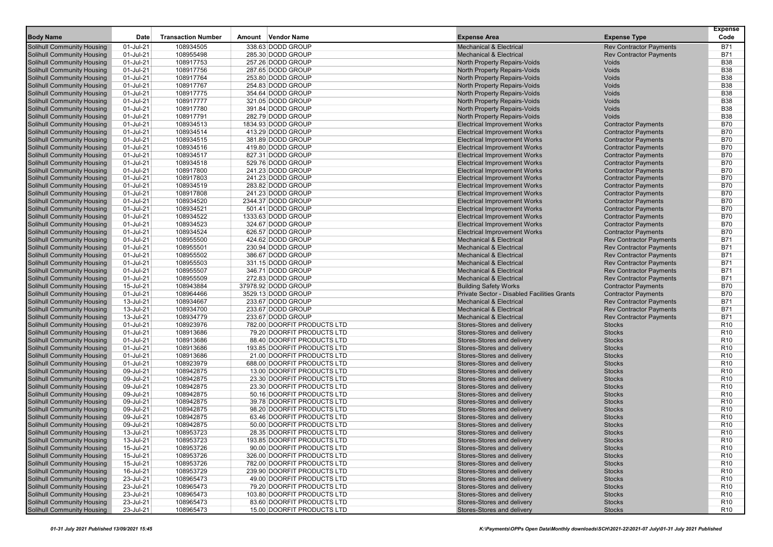|                                                                        |                        |                           |                                        |                                                              |                                | <b>Expense</b>           |
|------------------------------------------------------------------------|------------------------|---------------------------|----------------------------------------|--------------------------------------------------------------|--------------------------------|--------------------------|
| <b>Body Name</b>                                                       | Date                   | <b>Transaction Number</b> | Amount Vendor Name                     | <b>Expense Area</b>                                          | <b>Expense Type</b>            | Code                     |
| <b>Solihull Community Housing</b>                                      | 01-Jul-21              | 108934505                 | 338.63 DODD GROUP                      | <b>Mechanical &amp; Electrical</b>                           | <b>Rev Contractor Payments</b> | <b>B71</b>               |
| Solihull Community Housing                                             | 01-Jul-21              | 108955498                 | 285.30 DODD GROUP                      | <b>Mechanical &amp; Electrical</b>                           | <b>Rev Contractor Payments</b> | <b>B71</b>               |
| <b>Solihull Community Housing</b>                                      | 01-Jul-21              | 108917753                 | 257.26 DODD GROUP                      | North Property Repairs-Voids                                 | Voids<br>Voids                 | <b>B38</b><br><b>B38</b> |
| <b>Solihull Community Housing</b>                                      | 01-Jul-21              | 108917756<br>108917764    | 287.65 DODD GROUP                      | North Property Repairs-Voids                                 | Voids                          | <b>B38</b>               |
| <b>Solihull Community Housing</b><br><b>Solihull Community Housing</b> | 01-Jul-21<br>01-Jul-21 | 108917767                 | 253.80 DODD GROUP<br>254.83 DODD GROUP | North Property Repairs-Voids<br>North Property Repairs-Voids | Voids                          | <b>B38</b>               |
|                                                                        |                        |                           | 354.64 DODD GROUP                      |                                                              | Voids                          | <b>B38</b>               |
| <b>Solihull Community Housing</b><br><b>Solihull Community Housing</b> | 01-Jul-21<br>01-Jul-21 | 108917775<br>108917777    | 321.05 DODD GROUP                      | North Property Repairs-Voids<br>North Property Repairs-Voids | Voids                          | <b>B38</b>               |
| <b>Solihull Community Housing</b>                                      | 01-Jul-21              | 108917780                 | 391.84 DODD GROUP                      | North Property Repairs-Voids                                 | Voids                          | <b>B38</b>               |
| Solihull Community Housing                                             | 01-Jul-21              | 108917791                 | 282.79 DODD GROUP                      | North Property Repairs-Voids                                 | Voids                          | <b>B38</b>               |
| Solihull Community Housing                                             | 01-Jul-21              | 108934513                 | 1834.93 DODD GROUP                     | <b>Electrical Improvement Works</b>                          | <b>Contractor Payments</b>     | <b>B70</b>               |
| <b>Solihull Community Housing</b>                                      | 01-Jul-21              | 108934514                 | 413.29 DODD GROUP                      | <b>Electrical Improvement Works</b>                          | <b>Contractor Payments</b>     | <b>B70</b>               |
| <b>Solihull Community Housing</b>                                      | 01-Jul-21              | 108934515                 | 381.89 DODD GROUP                      | <b>Electrical Improvement Works</b>                          | <b>Contractor Payments</b>     | <b>B70</b>               |
| <b>Solihull Community Housing</b>                                      | 01-Jul-21              | 108934516                 | 419.80 DODD GROUP                      | <b>Electrical Improvement Works</b>                          | <b>Contractor Payments</b>     | <b>B70</b>               |
| <b>Solihull Community Housing</b>                                      | 01-Jul-21              | 108934517                 | 827.31 DODD GROUP                      | <b>Electrical Improvement Works</b>                          | <b>Contractor Payments</b>     | <b>B70</b>               |
| <b>Solihull Community Housing</b>                                      | 01-Jul-21              | 108934518                 | 529.76 DODD GROUP                      | <b>Electrical Improvement Works</b>                          | <b>Contractor Payments</b>     | <b>B70</b>               |
| <b>Solihull Community Housing</b>                                      | 01-Jul-21              | 108917800                 | 241.23 DODD GROUP                      | <b>Electrical Improvement Works</b>                          | <b>Contractor Payments</b>     | <b>B70</b>               |
| <b>Solihull Community Housing</b>                                      | 01-Jul-21              | 108917803                 | 241.23 DODD GROUP                      | <b>Electrical Improvement Works</b>                          | <b>Contractor Payments</b>     | <b>B70</b>               |
| <b>Solihull Community Housing</b>                                      | 01-Jul-21              | 108934519                 | 283.82 DODD GROUP                      | <b>Electrical Improvement Works</b>                          | <b>Contractor Payments</b>     | <b>B70</b>               |
| <b>Solihull Community Housing</b>                                      | 01-Jul-21              | 108917808                 | 241.23 DODD GROUP                      | <b>Electrical Improvement Works</b>                          | <b>Contractor Payments</b>     | <b>B70</b>               |
| <b>Solihull Community Housing</b>                                      | 01-Jul-21              | 108934520                 | 2344.37 DODD GROUP                     | <b>Electrical Improvement Works</b>                          | <b>Contractor Payments</b>     | <b>B70</b>               |
| <b>Solihull Community Housing</b>                                      | 01-Jul-21              | 108934521                 | 501.41 DODD GROUP                      | <b>Electrical Improvement Works</b>                          | <b>Contractor Payments</b>     | <b>B70</b>               |
| <b>Solihull Community Housing</b>                                      | 01-Jul-21              | 108934522                 | 1333.63 DODD GROUP                     | <b>Electrical Improvement Works</b>                          | <b>Contractor Payments</b>     | <b>B70</b>               |
| <b>Solihull Community Housing</b>                                      | 01-Jul-21              | 108934523                 | 324.67 DODD GROUP                      | <b>Electrical Improvement Works</b>                          | <b>Contractor Payments</b>     | <b>B70</b>               |
| <b>Solihull Community Housing</b>                                      | 01-Jul-21              | 108934524                 | 626.57 DODD GROUP                      | <b>Electrical Improvement Works</b>                          | <b>Contractor Payments</b>     | <b>B70</b>               |
| Solihull Community Housing                                             | 01-Jul-21              | 108955500                 | 424.62 DODD GROUP                      | <b>Mechanical &amp; Electrical</b>                           | <b>Rev Contractor Payments</b> | <b>B71</b>               |
| <b>Solihull Community Housing</b>                                      | 01-Jul-21              | 108955501                 | 230.94 DODD GROUP                      | <b>Mechanical &amp; Electrical</b>                           | <b>Rev Contractor Payments</b> | <b>B71</b>               |
| <b>Solihull Community Housing</b>                                      | 01-Jul-21              | 108955502                 | 386.67 DODD GROUP                      | <b>Mechanical &amp; Electrical</b>                           | <b>Rev Contractor Payments</b> | <b>B71</b>               |
| <b>Solihull Community Housing</b>                                      | 01-Jul-21              | 108955503                 | 331.15 DODD GROUP                      | <b>Mechanical &amp; Electrical</b>                           | <b>Rev Contractor Payments</b> | <b>B71</b>               |
| <b>Solihull Community Housing</b>                                      | 01-Jul-21              | 108955507                 | 346.71 DODD GROUP                      | <b>Mechanical &amp; Electrical</b>                           | <b>Rev Contractor Payments</b> | <b>B71</b>               |
| Solihull Community Housing                                             | 01-Jul-21              | 108955509                 | 272.83 DODD GROUP                      | <b>Mechanical &amp; Electrical</b>                           | <b>Rev Contractor Payments</b> | <b>B71</b>               |
| <b>Solihull Community Housing</b>                                      | 15-Jul-21              | 108943884                 | 37978.92 DODD GROUP                    | <b>Building Safety Works</b>                                 | <b>Contractor Payments</b>     | <b>B70</b>               |
| <b>Solihull Community Housing</b>                                      | 01-Jul-21              | 108964466                 | 3529.13 DODD GROUP                     | Private Sector - Disabled Facilities Grants                  | <b>Contractor Payments</b>     | <b>B70</b>               |
| <b>Solihull Community Housing</b>                                      | 13-Jul-21              | 108934667                 | 233.67 DODD GROUP                      | <b>Mechanical &amp; Electrical</b>                           | <b>Rev Contractor Payments</b> | <b>B71</b>               |
| <b>Solihull Community Housing</b>                                      | 13-Jul-21              | 108934700                 | 233.67 DODD GROUP                      | <b>Mechanical &amp; Electrical</b>                           | <b>Rev Contractor Payments</b> | <b>B71</b>               |
| <b>Solihull Community Housing</b>                                      | 13-Jul-21              | 108934779                 | 233.67 DODD GROUP                      | <b>Mechanical &amp; Electrical</b>                           | <b>Rev Contractor Payments</b> | <b>B71</b>               |
| <b>Solihull Community Housing</b>                                      | 01-Jul-21              | 108923976                 | 782.00 DOORFIT PRODUCTS LTD            | Stores-Stores and delivery                                   | <b>Stocks</b>                  | R <sub>10</sub>          |
| <b>Solihull Community Housing</b>                                      | 01-Jul-21              | 108913686                 | 79.20 DOORFIT PRODUCTS LTD             | Stores-Stores and delivery                                   | <b>Stocks</b>                  | R <sub>10</sub>          |
| <b>Solihull Community Housing</b>                                      | 01-Jul-21              | 108913686                 | 88.40 DOORFIT PRODUCTS LTD             | Stores-Stores and delivery                                   | <b>Stocks</b>                  | R <sub>10</sub>          |
| <b>Solihull Community Housing</b>                                      | 01-Jul-21              | 108913686                 | 193.85 DOORFIT PRODUCTS LTD            | Stores-Stores and delivery                                   | <b>Stocks</b>                  | R <sub>10</sub>          |
| <b>Solihull Community Housing</b>                                      | 01-Jul-21              | 108913686                 | 21.00 DOORFIT PRODUCTS LTD             | Stores-Stores and delivery                                   | <b>Stocks</b>                  | R <sub>10</sub>          |
| <b>Solihull Community Housing</b>                                      | 01-Jul-21              | 108923979                 | 688.00 DOORFIT PRODUCTS LTD            | Stores-Stores and delivery                                   | <b>Stocks</b>                  | R <sub>10</sub>          |
| <b>Solihull Community Housing</b>                                      | 09-Jul-21              | 108942875                 | 13.00 DOORFIT PRODUCTS LTD             | Stores-Stores and delivery                                   | <b>Stocks</b>                  | R <sub>10</sub>          |
| <b>Solihull Community Housing</b>                                      | 09-Jul-21              | 108942875                 | 23.30 DOORFIT PRODUCTS LTD             | Stores-Stores and delivery                                   | <b>Stocks</b>                  | R <sub>10</sub>          |
| <b>Solihull Community Housing</b>                                      | 09-Jul-21              | 108942875                 | 23.30 DOORFIT PRODUCTS LTD             | Stores-Stores and delivery                                   | <b>Stocks</b>                  | R <sub>10</sub>          |
| <b>Solihull Community Housing</b>                                      | 09-Jul-21              | 108942875                 | 50.16 DOORFIT PRODUCTS LTD             | Stores-Stores and delivery                                   | <b>Stocks</b>                  | R <sub>10</sub>          |
| <b>Solihull Community Housing</b>                                      | 09-Jul-21              | 108942875                 | 39.78 DOORFIT PRODUCTS LTD             | Stores-Stores and delivery                                   | <b>Stocks</b>                  | R <sub>10</sub>          |
| <b>Solihull Community Housing</b>                                      | 09-Jul-21              | 108942875                 | 98.20 DOORFIT PRODUCTS LTD             | Stores-Stores and delivery                                   | <b>Stocks</b>                  | R <sub>10</sub>          |
| <b>Solihull Community Housing</b>                                      | 09-Jul-21              | 108942875                 | 63.46 DOORFIT PRODUCTS LTD             | Stores-Stores and delivery                                   | <b>Stocks</b>                  | R <sub>10</sub>          |
| <b>Solihull Community Housing</b>                                      | 09-Jul-21              | 108942875                 | 50.00 DOORFIT PRODUCTS LTD             | Stores-Stores and delivery                                   | <b>Stocks</b>                  | R <sub>10</sub>          |
| <b>Solihull Community Housing</b>                                      | 13-Jul-21              | 108953723                 | 28.35 DOORFIT PRODUCTS LTD             | Stores-Stores and delivery                                   | <b>Stocks</b>                  | R <sub>10</sub>          |
| <b>Solihull Community Housing</b>                                      | 13-Jul-21              | 108953723                 | 193.85 DOORFIT PRODUCTS LTD            | Stores-Stores and delivery                                   | <b>Stocks</b>                  | R <sub>10</sub>          |
| <b>Solihull Community Housing</b>                                      | 15-Jul-21              | 108953726                 | 90.00 DOORFIT PRODUCTS LTD             | Stores-Stores and delivery                                   | <b>Stocks</b>                  | R <sub>10</sub>          |
| <b>Solihull Community Housing</b>                                      | 15-Jul-21              | 108953726                 | 326.00 DOORFIT PRODUCTS LTD            | Stores-Stores and delivery                                   | <b>Stocks</b>                  | R <sub>10</sub>          |
| <b>Solihull Community Housing</b>                                      | 15-Jul-21              | 108953726                 | 782.00 DOORFIT PRODUCTS LTD            | Stores-Stores and delivery                                   | <b>Stocks</b>                  | R <sub>10</sub>          |
| <b>Solihull Community Housing</b>                                      | 16-Jul-21              | 108953729                 | 239.90 DOORFIT PRODUCTS LTD            | Stores-Stores and delivery                                   | <b>Stocks</b>                  | R <sub>10</sub>          |
| <b>Solihull Community Housing</b>                                      | 23-Jul-21              | 108965473                 | 49.00 DOORFIT PRODUCTS LTD             | Stores-Stores and delivery                                   | <b>Stocks</b>                  | R <sub>10</sub>          |
| <b>Solihull Community Housing</b>                                      | 23-Jul-21              | 108965473                 | 79.20 DOORFIT PRODUCTS LTD             | Stores-Stores and delivery                                   | <b>Stocks</b>                  | R <sub>10</sub>          |
| <b>Solihull Community Housing</b>                                      | 23-Jul-21              | 108965473                 | 103.80 DOORFIT PRODUCTS LTD            | Stores-Stores and delivery                                   | <b>Stocks</b>                  | R <sub>10</sub>          |
| <b>Solihull Community Housing</b>                                      | 23-Jul-21              | 108965473                 | 83.60 DOORFIT PRODUCTS LTD             | Stores-Stores and delivery                                   | <b>Stocks</b>                  | R <sub>10</sub>          |
| <b>Solihull Community Housing</b>                                      | 23-Jul-21              | 108965473                 | 15.00 DOORFIT PRODUCTS LTD             | Stores-Stores and delivery                                   | <b>Stocks</b>                  | R <sub>10</sub>          |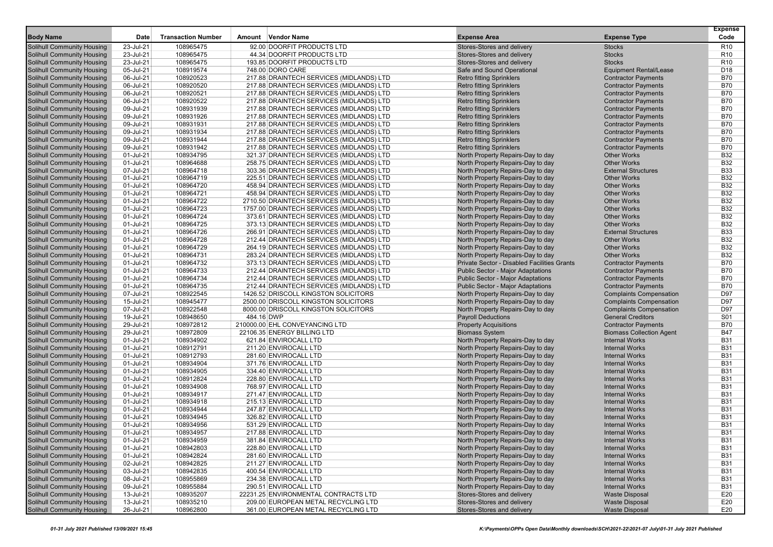|                                   |           |                           |                                           |                                             |                                 | <b>Expense</b>  |
|-----------------------------------|-----------|---------------------------|-------------------------------------------|---------------------------------------------|---------------------------------|-----------------|
| <b>Body Name</b>                  | Date      | <b>Transaction Number</b> | Amount Vendor Name                        | <b>Expense Area</b>                         | <b>Expense Type</b>             | Code            |
| <b>Solihull Community Housing</b> | 23-Jul-21 | 108965475                 | 92.00 DOORFIT PRODUCTS LTD                | Stores-Stores and delivery                  | <b>Stocks</b>                   | R <sub>10</sub> |
| <b>Solihull Community Housing</b> | 23-Jul-21 | 108965475                 | 44.34 DOORFIT PRODUCTS LTD                | Stores-Stores and delivery                  | <b>Stocks</b>                   | R <sub>10</sub> |
| <b>Solihull Community Housing</b> | 23-Jul-21 | 108965475                 | 193.85 DOORFIT PRODUCTS LTD               | Stores-Stores and delivery                  | <b>Stocks</b>                   | R <sub>10</sub> |
| <b>Solihull Community Housing</b> | 05-Jul-21 | 108919574                 | 748.00 DORO CARE                          | Safe and Sound Operational                  | <b>Equipment Rental/Lease</b>   | D <sub>18</sub> |
| <b>Solihull Community Housing</b> | 06-Jul-21 | 108920523                 | 217.88 DRAINTECH SERVICES (MIDLANDS) LTD  | <b>Retro fitting Sprinklers</b>             | <b>Contractor Payments</b>      | <b>B70</b>      |
| Solihull Community Housing        | 06-Jul-21 | 108920520                 | 217.88 DRAINTECH SERVICES (MIDLANDS) LTD  | <b>Retro fitting Sprinklers</b>             | <b>Contractor Payments</b>      | <b>B70</b>      |
| <b>Solihull Community Housing</b> | 06-Jul-21 | 108920521                 | 217.88 DRAINTECH SERVICES (MIDLANDS) LTD  | <b>Retro fitting Sprinklers</b>             | <b>Contractor Payments</b>      | <b>B70</b>      |
| <b>Solihull Community Housing</b> | 06-Jul-21 | 108920522                 | 217.88 DRAINTECH SERVICES (MIDLANDS) LTD  | <b>Retro fitting Sprinklers</b>             | <b>Contractor Payments</b>      | <b>B70</b>      |
| <b>Solihull Community Housing</b> | 09-Jul-21 | 108931939                 | 217.88 DRAINTECH SERVICES (MIDLANDS) LTD  | <b>Retro fitting Sprinklers</b>             | <b>Contractor Payments</b>      | <b>B70</b>      |
| <b>Solihull Community Housing</b> | 09-Jul-21 | 108931926                 | 217.88 DRAINTECH SERVICES (MIDLANDS) LTD  | <b>Retro fitting Sprinklers</b>             | <b>Contractor Payments</b>      | <b>B70</b>      |
| Solihull Community Housing        | 09-Jul-21 | 108931931                 | 217.88 DRAINTECH SERVICES (MIDLANDS) LTD  | <b>Retro fitting Sprinklers</b>             | <b>Contractor Payments</b>      | <b>B70</b>      |
| <b>Solihull Community Housing</b> | 09-Jul-21 | 108931934                 | 217.88 DRAINTECH SERVICES (MIDLANDS) LTD  | <b>Retro fitting Sprinklers</b>             | <b>Contractor Payments</b>      | <b>B70</b>      |
| <b>Solihull Community Housing</b> | 09-Jul-21 | 108931944                 | 217.88 DRAINTECH SERVICES (MIDLANDS) LTD  | <b>Retro fitting Sprinklers</b>             | <b>Contractor Payments</b>      | <b>B70</b>      |
| <b>Solihull Community Housing</b> | 09-Jul-21 | 108931942                 | 217.88 DRAINTECH SERVICES (MIDLANDS) LTD  | <b>Retro fitting Sprinklers</b>             | <b>Contractor Payments</b>      | <b>B70</b>      |
| <b>Solihull Community Housing</b> | 01-Jul-21 | 108934795                 | 321.37 DRAINTECH SERVICES (MIDLANDS) LTD  | North Property Repairs-Day to day           | <b>Other Works</b>              | <b>B32</b>      |
| Solihull Community Housing        | 01-Jul-21 | 108964688                 | 258.75 DRAINTECH SERVICES (MIDLANDS) LTD  | North Property Repairs-Day to day           | <b>Other Works</b>              | <b>B32</b>      |
| <b>Solihull Community Housing</b> | 07-Jul-21 | 108964718                 | 303.36 DRAINTECH SERVICES (MIDLANDS) LTD  | North Property Repairs-Day to day           | <b>External Structures</b>      | <b>B33</b>      |
| <b>Solihull Community Housing</b> | 01-Jul-21 | 108964719                 | 225.51 DRAINTECH SERVICES (MIDLANDS) LTD  | North Property Repairs-Day to day           | <b>Other Works</b>              | <b>B32</b>      |
| <b>Solihull Community Housing</b> | 01-Jul-21 | 108964720                 | 458.94 DRAINTECH SERVICES (MIDLANDS) LTD  | North Property Repairs-Day to day           | <b>Other Works</b>              | <b>B32</b>      |
| <b>Solihull Community Housing</b> | 01-Jul-21 | 108964721                 | 458.94 DRAINTECH SERVICES (MIDLANDS) LTD  | North Property Repairs-Day to day           | <b>Other Works</b>              | <b>B32</b>      |
| Solihull Community Housing        | 01-Jul-21 | 108964722                 | 2710.50 DRAINTECH SERVICES (MIDLANDS) LTD | North Property Repairs-Day to day           | <b>Other Works</b>              | <b>B32</b>      |
| <b>Solihull Community Housing</b> | 01-Jul-21 | 108964723                 | 1757.00 DRAINTECH SERVICES (MIDLANDS) LTD | North Property Repairs-Day to day           | <b>Other Works</b>              | <b>B32</b>      |
| <b>Solihull Community Housing</b> | 01-Jul-21 | 108964724                 | 373.61 DRAINTECH SERVICES (MIDLANDS) LTD  | North Property Repairs-Day to day           | <b>Other Works</b>              | <b>B32</b>      |
| <b>Solihull Community Housing</b> | 01-Jul-21 | 108964725                 | 373.13 DRAINTECH SERVICES (MIDLANDS) LTD  | North Property Repairs-Day to day           | <b>Other Works</b>              | <b>B32</b>      |
| <b>Solihull Community Housing</b> | 01-Jul-21 | 108964726                 | 266.91 DRAINTECH SERVICES (MIDLANDS) LTD  | North Property Repairs-Day to day           | <b>External Structures</b>      | <b>B33</b>      |
| Solihull Community Housing        | 01-Jul-21 | 108964728                 | 212.44 DRAINTECH SERVICES (MIDLANDS) LTD  | North Property Repairs-Day to day           | <b>Other Works</b>              | <b>B32</b>      |
| <b>Solihull Community Housing</b> | 01-Jul-21 | 108964729                 | 264.19 DRAINTECH SERVICES (MIDLANDS) LTD  | North Property Repairs-Day to day           | <b>Other Works</b>              | <b>B32</b>      |
| <b>Solihull Community Housing</b> | 01-Jul-21 | 108964731                 | 283.24 DRAINTECH SERVICES (MIDLANDS) LTD  | North Property Repairs-Day to day           | <b>Other Works</b>              | <b>B32</b>      |
| <b>Solihull Community Housing</b> | 01-Jul-21 | 108964732                 | 373.13 DRAINTECH SERVICES (MIDLANDS) LTD  | Private Sector - Disabled Facilities Grants | <b>Contractor Payments</b>      | <b>B70</b>      |
| <b>Solihull Community Housing</b> | 01-Jul-21 | 108964733                 | 212.44 DRAINTECH SERVICES (MIDLANDS) LTD  | <b>Public Sector - Major Adaptations</b>    | <b>Contractor Payments</b>      | <b>B70</b>      |
| Solihull Community Housing        | 01-Jul-21 | 108964734                 | 212.44 DRAINTECH SERVICES (MIDLANDS) LTD  | <b>Public Sector - Major Adaptations</b>    | <b>Contractor Payments</b>      | <b>B70</b>      |
| <b>Solihull Community Housing</b> | 01-Jul-21 | 108964735                 | 212.44 DRAINTECH SERVICES (MIDLANDS) LTD  | <b>Public Sector - Major Adaptations</b>    | <b>Contractor Payments</b>      | <b>B70</b>      |
| <b>Solihull Community Housing</b> | 07-Jul-21 | 108922545                 | 1426.52 DRISCOLL KINGSTON SOLICITORS      | North Property Repairs-Day to day           | <b>Complaints Compensation</b>  | D97             |
| Solihull Community Housing        | 15-Jul-21 | 108945477                 | 2500.00 DRISCOLL KINGSTON SOLICITORS      | North Property Repairs-Day to day           | <b>Complaints Compensation</b>  | D97             |
| <b>Solihull Community Housing</b> | 07-Jul-21 | 108922548                 | 8000.00 DRISCOLL KINGSTON SOLICITORS      | North Property Repairs-Day to day           | <b>Complaints Compensation</b>  | D97             |
| Solihull Community Housing        | 19-Jul-21 | 108948650                 | 484.16 DWP                                | <b>Payroll Deductions</b>                   | <b>General Creditors</b>        | S01             |
| <b>Solihull Community Housing</b> | 29-Jul-21 | 108972812                 | 210000.00 EHL CONVEYANCING LTD            | <b>Property Acquisitions</b>                | <b>Contractor Payments</b>      | <b>B70</b>      |
| <b>Solihull Community Housing</b> | 29-Jul-21 | 108972809                 | 22106.35 ENERGY BILLING LTD               | <b>Biomass System</b>                       | <b>Biomass Collection Agent</b> | <b>B47</b>      |
| <b>Solihull Community Housing</b> | 01-Jul-21 | 108934902                 | 621.84 ENVIROCALL LTD                     | North Property Repairs-Day to day           | <b>Internal Works</b>           | <b>B31</b>      |
| <b>Solihull Community Housing</b> | 01-Jul-21 | 108912791                 | 211.20 ENVIROCALL LTD                     | North Property Repairs-Day to day           | <b>Internal Works</b>           | <b>B31</b>      |
| Solihull Community Housing        | 01-Jul-21 | 108912793                 | 281.60 ENVIROCALL LTD                     | North Property Repairs-Day to day           | <b>Internal Works</b>           | <b>B31</b>      |
| <b>Solihull Community Housing</b> | 01-Jul-21 | 108934904                 | 371.76 ENVIROCALL LTD                     | North Property Repairs-Day to day           | <b>Internal Works</b>           | <b>B31</b>      |
| <b>Solihull Community Housing</b> | 01-Jul-21 | 108934905                 | 334.40 ENVIROCALL LTD                     | North Property Repairs-Day to day           | <b>Internal Works</b>           | <b>B31</b>      |
| <b>Solihull Community Housing</b> | 01-Jul-21 | 108912824                 | 228.80 ENVIROCALL LTD                     | North Property Repairs-Day to day           | <b>Internal Works</b>           | <b>B31</b>      |
| <b>Solihull Community Housing</b> | 01-Jul-21 | 108934908                 | 768.97 ENVIROCALL LTD                     | North Property Repairs-Day to day           | <b>Internal Works</b>           | <b>B31</b>      |
| Solihull Community Housing        | 01-Jul-21 | 108934917                 | 271.47 ENVIROCALL LTD                     | North Property Repairs-Day to day           | <b>Internal Works</b>           | <b>B31</b>      |
| <b>Solihull Community Housing</b> | 01-Jul-21 | 108934918                 | 215.13 ENVIROCALL LTD                     | North Property Repairs-Day to day           | <b>Internal Works</b>           | <b>B31</b>      |
| <b>Solihull Community Housing</b> | 01-Jul-21 | 108934944                 | 247.87 ENVIROCALL LTD                     | North Property Repairs-Day to day           | <b>Internal Works</b>           | <b>B31</b>      |
| Solihull Community Housing        | 01-Jul-21 | 108934945                 | 326.82 ENVIROCALL LTD                     | North Property Repairs-Day to day           | <b>Internal Works</b>           | <b>B31</b>      |
| <b>Solihull Community Housing</b> | 01-Jul-21 | 108934956                 | 531.29 ENVIROCALL LTD                     | North Property Repairs-Day to day           | <b>Internal Works</b>           | <b>B31</b>      |
| <b>Solihull Community Housing</b> | 01-Jul-21 | 108934957                 | 217.88 ENVIROCALL LTD                     | North Property Repairs-Day to day           | <b>Internal Works</b>           | <b>B31</b>      |
| Solihull Community Housing        | 01-Jul-21 | 108934959                 | 381.84 ENVIROCALL LTD                     | North Property Repairs-Day to day           | <b>Internal Works</b>           | <b>B31</b>      |
| <b>Solihull Community Housing</b> | 01-Jul-21 | 108942803                 | 228.80 ENVIROCALL LTD                     | North Property Repairs-Day to day           | <b>Internal Works</b>           | <b>B31</b>      |
| <b>Solihull Community Housing</b> | 01-Jul-21 | 108942824                 | 281.60 ENVIROCALL LTD                     | North Property Repairs-Day to day           | <b>Internal Works</b>           | <b>B31</b>      |
| <b>Solihull Community Housing</b> | 02-Jul-21 | 108942825                 | 211.27 ENVIROCALL LTD                     | North Property Repairs-Day to day           | <b>Internal Works</b>           | <b>B31</b>      |
| <b>Solihull Community Housing</b> | 03-Jul-21 | 108942835                 | 400.54 ENVIROCALL LTD                     | North Property Repairs-Day to day           | <b>Internal Works</b>           | <b>B31</b>      |
| <b>Solihull Community Housing</b> | 08-Jul-21 | 108955869                 | 234.38 ENVIROCALL LTD                     | North Property Repairs-Day to day           | <b>Internal Works</b>           | <b>B31</b>      |
| <b>Solihull Community Housing</b> | 09-Jul-21 | 108955884                 | 290.51 ENVIROCALL LTD                     | North Property Repairs-Day to day           | <b>Internal Works</b>           | <b>B31</b>      |
| <b>Solihull Community Housing</b> | 13-Jul-21 | 108935207                 | 22231.25 ENVIRONMENTAL CONTRACTS LTD      | Stores-Stores and delivery                  | <b>Waste Disposal</b>           | E20             |
| <b>Solihull Community Housing</b> | 13-Jul-21 | 108935210                 | 209.00 EUROPEAN METAL RECYCLING LTD       | Stores-Stores and delivery                  | <b>Waste Disposal</b>           | E20             |
| <b>Solihull Community Housing</b> | 26-Jul-21 | 108962800                 | 361.00 EUROPEAN METAL RECYCLING LTD       | Stores-Stores and delivery                  | <b>Waste Disposal</b>           | E20             |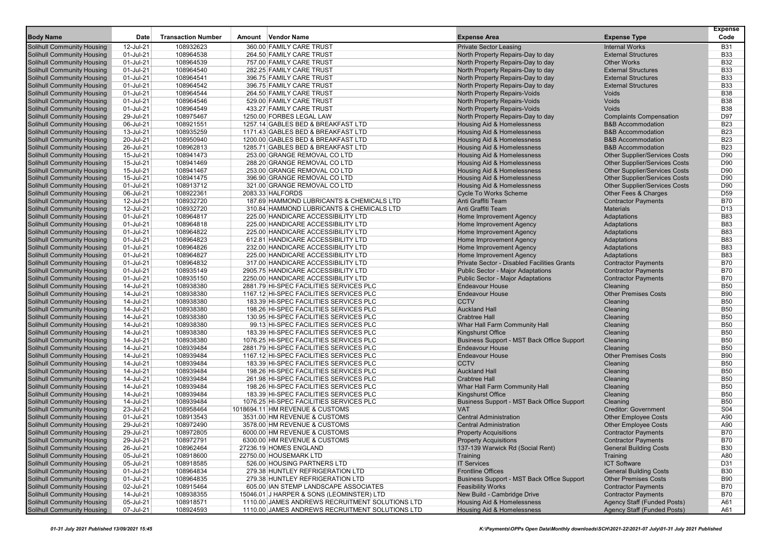|                                                                 |                        |                           |                                                                          |                                                    |                                      | <b>Expense</b>           |
|-----------------------------------------------------------------|------------------------|---------------------------|--------------------------------------------------------------------------|----------------------------------------------------|--------------------------------------|--------------------------|
| <b>Body Name</b>                                                | Date                   | <b>Transaction Number</b> | Amount Vendor Name                                                       | <b>Expense Area</b>                                | <b>Expense Type</b>                  | Code                     |
| Solihull Community Housing                                      | 12-Jul-21              | 108932623                 | 360.00 FAMILY CARE TRUST                                                 | <b>Private Sector Leasing</b>                      | <b>Internal Works</b>                | <b>B31</b>               |
| Solihull Community Housing                                      | 01-Jul-21              | 108964538                 | 264.50 FAMILY CARE TRUST                                                 | North Property Repairs-Day to day                  | <b>External Structures</b>           | <b>B33</b>               |
| <b>Solihull Community Housing</b>                               | 01-Jul-21              | 108964539                 | 757.00 FAMILY CARE TRUST                                                 | North Property Repairs-Day to day                  | <b>Other Works</b>                   | <b>B32</b>               |
| <b>Solihull Community Housing</b>                               | 01-Jul-21              | 108964540                 | 282.25 FAMILY CARE TRUST                                                 | North Property Repairs-Day to day                  | <b>External Structures</b>           | <b>B33</b>               |
| Solihull Community Housing                                      | 01-Jul-21              | 108964541                 | 396.75 FAMILY CARE TRUST                                                 | North Property Repairs-Day to day                  | <b>External Structures</b>           | <b>B33</b>               |
| Solihull Community Housing                                      | 01-Jul-21              | 108964542                 | 396.75 FAMILY CARE TRUST                                                 | North Property Repairs-Day to day                  | <b>External Structures</b>           | <b>B33</b>               |
| Solihull Community Housing                                      | 01-Jul-21              | 108964544                 | 264.50 FAMILY CARE TRUST                                                 | North Property Repairs-Voids                       | Voids                                | <b>B38</b>               |
| <b>Solihull Community Housing</b>                               | 01-Jul-21              | 108964546                 | 529.00 FAMILY CARE TRUST                                                 | North Property Repairs-Voids                       | Voids                                | <b>B38</b>               |
| <b>Solihull Community Housing</b>                               | 01-Jul-21              | 108964549                 | 433.27 FAMILY CARE TRUST                                                 | North Property Repairs-Voids                       | Voids                                | <b>B38</b>               |
| <b>Solihull Community Housing</b>                               | 29-Jul-21              | 108975467                 | 1250.00 FORBES LEGAL LAW                                                 | North Property Repairs-Day to day                  | <b>Complaints Compensation</b>       | D97                      |
| Solihull Community Housing                                      | 06-Jul-21              | 108921551                 | 1257.14 GABLES BED & BREAKFAST LTD                                       | <b>Housing Aid &amp; Homelessness</b>              | <b>B&amp;B Accommodation</b>         | <b>B23</b>               |
| Solihull Community Housing                                      | 13-Jul-21              | 108935259                 | 1171.43 GABLES BED & BREAKFAST LTD                                       | Housing Aid & Homelessness                         | <b>B&amp;B Accommodation</b>         | <b>B23</b>               |
| <b>Solihull Community Housing</b>                               | 20-Jul-21              | 108950940                 | 1200.00 GABLES BED & BREAKFAST LTD                                       | Housing Aid & Homelessness                         | <b>B&amp;B Accommodation</b>         | <b>B23</b>               |
| <b>Solihull Community Housing</b>                               | 26-Jul-21              | 108962813                 | 1285.71 GABLES BED & BREAKFAST LTD                                       | Housing Aid & Homelessness                         | <b>B&amp;B Accommodation</b>         | <b>B23</b>               |
| <b>Solihull Community Housing</b>                               | 15-Jul-21              | 108941473                 | 253.00 GRANGE REMOVAL CO LTD                                             | <b>Housing Aid &amp; Homelessness</b>              | <b>Other Supplier/Services Costs</b> | D90                      |
| Solihull Community Housing                                      | 15-Jul-21              | 108941469                 | 288.20 GRANGE REMOVAL CO LTD                                             | Housing Aid & Homelessness                         | <b>Other Supplier/Services Costs</b> | D90                      |
| Solihull Community Housing                                      | 15-Jul-21              | 108941467                 | 253.00 GRANGE REMOVAL CO LTD                                             | Housing Aid & Homelessness                         | <b>Other Supplier/Services Costs</b> | D90                      |
| <b>Solihull Community Housing</b>                               | 15-Jul-21              | 108941475                 | 396.90 GRANGE REMOVAL CO LTD                                             | Housing Aid & Homelessness                         | <b>Other Supplier/Services Costs</b> | D <sub>90</sub>          |
| <b>Solihull Community Housing</b>                               | 01-Jul-21              | 108913712                 | 321.00 GRANGE REMOVAL CO LTD                                             | Housing Aid & Homelessness                         | <b>Other Supplier/Services Costs</b> | D90                      |
| <b>Solihull Community Housing</b>                               | 06-Jul-21              | 108922361                 | 2083.33 HALFORDS                                                         | <b>Cycle To Works Scheme</b>                       | Other Fees & Charges                 | D <sub>59</sub>          |
| Solihull Community Housing                                      | 12-Jul-21              | 108932720                 | 187.69 HAMMOND LUBRICANTS & CHEMICALS LTD                                | Anti Graffiti Team                                 | <b>Contractor Payments</b>           | <b>B70</b>               |
| Solihull Community Housing                                      | 12-Jul-21              | 108932720<br>108964817    | 310.84 HAMMOND LUBRICANTS & CHEMICALS LTD                                | Anti Graffiti Team                                 | <b>Materials</b>                     | D <sub>13</sub>          |
| <b>Solihull Community Housing</b>                               | 01-Jul-21              |                           | 225.00 HANDICARE ACCESSIBILITY LTD                                       | Home Improvement Agency                            | Adaptations                          | <b>B83</b><br><b>B83</b> |
| <b>Solihull Community Housing</b>                               | 01-Jul-21              | 108964818<br>108964822    | 225.00 HANDICARE ACCESSIBILITY LTD<br>225.00 HANDICARE ACCESSIBILITY LTD | Home Improvement Agency                            | Adaptations                          | <b>B83</b>               |
| <b>Solihull Community Housing</b><br>Solihull Community Housing | 01-Jul-21<br>01-Jul-21 | 108964823                 | 612.81 HANDICARE ACCESSIBILITY LTD                                       | Home Improvement Agency<br>Home Improvement Agency | Adaptations<br>Adaptations           | <b>B83</b>               |
| Solihull Community Housing                                      | 01-Jul-21              | 108964826                 | 232.00 HANDICARE ACCESSIBILITY LTD                                       | Home Improvement Agency                            | Adaptations                          | <b>B83</b>               |
| <b>Solihull Community Housing</b>                               | 01-Jul-21              | 108964827                 | 225.00 HANDICARE ACCESSIBILITY LTD                                       | Home Improvement Agency                            | Adaptations                          | <b>B83</b>               |
| <b>Solihull Community Housing</b>                               | 01-Jul-21              | 108964832                 | 317.00 HANDICARE ACCESSIBILITY LTD                                       | Private Sector - Disabled Facilities Grants        | <b>Contractor Payments</b>           | <b>B70</b>               |
| <b>Solihull Community Housing</b>                               | 01-Jul-21              | 108935149                 | 2905.75 HANDICARE ACCESSIBILITY LTD                                      | <b>Public Sector - Major Adaptations</b>           | <b>Contractor Payments</b>           | <b>B70</b>               |
| Solihull Community Housing                                      | 01-Jul-21              | 108935150                 | 2250.00 HANDICARE ACCESSIBILITY LTD                                      | <b>Public Sector - Major Adaptations</b>           | <b>Contractor Payments</b>           | <b>B70</b>               |
| Solihull Community Housing                                      | 14-Jul-21              | 108938380                 | 2881.79 HI-SPEC FACILITIES SERVICES PLC                                  | <b>Endeavour House</b>                             | Cleaning                             | <b>B50</b>               |
| <b>Solihull Community Housing</b>                               | 14-Jul-21              | 108938380                 | 1167.12 HI-SPEC FACILITIES SERVICES PLC                                  | <b>Endeavour House</b>                             | <b>Other Premises Costs</b>          | <b>B90</b>               |
| Solihull Community Housing                                      | 14-Jul-21              | 108938380                 | 183.39 HI-SPEC FACILITIES SERVICES PLC                                   | <b>CCTV</b>                                        | Cleaning                             | <b>B50</b>               |
| <b>Solihull Community Housing</b>                               | 14-Jul-21              | 108938380                 | 198.26 HI-SPEC FACILITIES SERVICES PLC                                   | <b>Auckland Hall</b>                               | Cleaning                             | <b>B50</b>               |
| Solihull Community Housing                                      | 14-Jul-21              | 108938380                 | 130.95 HI-SPEC FACILITIES SERVICES PLC                                   | <b>Crabtree Hall</b>                               | Cleaning                             | <b>B50</b>               |
| Solihull Community Housing                                      | 14-Jul-21              | 108938380                 | 99.13 HI-SPEC FACILITIES SERVICES PLC                                    | Whar Hall Farm Community Hall                      | Cleaning                             | <b>B50</b>               |
| <b>Solihull Community Housing</b>                               | 14-Jul-21              | 108938380                 | 183.39 HI-SPEC FACILITIES SERVICES PLC                                   | Kingshurst Office                                  | Cleaning                             | <b>B50</b>               |
| Solihull Community Housing                                      | 14-Jul-21              | 108938380                 | 1076.25 HI-SPEC FACILITIES SERVICES PLC                                  | Business Support - MST Back Office Support         | Cleaning                             | <b>B50</b>               |
| <b>Solihull Community Housing</b>                               | 14-Jul-21              | 108939484                 | 2881.79 HI-SPEC FACILITIES SERVICES PLC                                  | <b>Endeavour House</b>                             | Cleaning                             | <b>B50</b>               |
| Solihull Community Housing                                      | 14-Jul-21              | 108939484                 | 1167.12 HI-SPEC FACILITIES SERVICES PLC                                  | <b>Endeavour House</b>                             | <b>Other Premises Costs</b>          | <b>B90</b>               |
| Solihull Community Housing                                      | 14-Jul-21              | 108939484                 | 183.39 HI-SPEC FACILITIES SERVICES PLC                                   | <b>CCTV</b>                                        | Cleaning                             | <b>B50</b>               |
| <b>Solihull Community Housing</b>                               | 14-Jul-21              | 108939484                 | 198.26 HI-SPEC FACILITIES SERVICES PLC                                   | <b>Auckland Hall</b>                               | Cleaning                             | <b>B50</b>               |
| Solihull Community Housing                                      | 14-Jul-21              | 108939484                 | 261.98 HI-SPEC FACILITIES SERVICES PLC                                   | <b>Crabtree Hall</b>                               | Cleaning                             | <b>B50</b>               |
| <b>Solihull Community Housing</b>                               | 14-Jul-21              | 108939484                 | 198.26 HI-SPEC FACILITIES SERVICES PLC                                   | Whar Hall Farm Community Hall                      | Cleaning                             | <b>B50</b>               |
| Solihull Community Housing                                      | 14-Jul-21              | 108939484                 | 183.39 HI-SPEC FACILITIES SERVICES PLC                                   | Kingshurst Office                                  | Cleaning                             | <b>B50</b>               |
| Solihull Community Housing                                      | 14-Jul-21              | 108939484                 | 1076.25 HI-SPEC FACILITIES SERVICES PLC                                  | Business Support - MST Back Office Support         | Cleaning                             | <b>B50</b>               |
| <b>Solihull Community Housing</b>                               | 23-Jul-21              | 108958464                 | 1018694.11 HM REVENUE & CUSTOMS                                          | <b>VAT</b>                                         | <b>Creditor: Government</b>          | <b>S04</b>               |
| Solihull Community Housing                                      | 01-Jul-21              | 108913543                 | 3531.00 HM REVENUE & CUSTOMS                                             | <b>Central Administration</b>                      | <b>Other Employee Costs</b>          | A90                      |
| <b>Solihull Community Housing</b>                               | 29-Jul-21              | 108972490                 | 3578.00 HM REVENUE & CUSTOMS                                             | <b>Central Administration</b>                      | <b>Other Employee Costs</b>          | A90                      |
| <b>Solihull Community Housing</b>                               | 29-Jul-21              | 108972805                 | 6000.00 HM REVENUE & CUSTOMS                                             | <b>Property Acquisitions</b>                       | <b>Contractor Payments</b>           | <b>B70</b>               |
| Solihull Community Housing                                      | 29-Jul-21              | 108972791                 | 6300.00 HM REVENUE & CUSTOMS                                             | <b>Property Acquisitions</b>                       | <b>Contractor Payments</b>           | <b>B70</b>               |
| <b>Solihull Community Housing</b>                               | 26-Jul-21              | 108962464                 | 27236.19 HOMES ENGLAND                                                   | 137-139 Warwick Rd (Social Rent)                   | <b>General Building Costs</b>        | <b>B30</b>               |
| <b>Solihull Community Housing</b>                               | 05-Jul-21              | 108918600                 | 22750.00 HOUSEMARK LTD                                                   | Training                                           | Training                             | A80                      |
| <b>Solihull Community Housing</b>                               | 05-Jul-21              | 108918585                 | 526.00 HOUSING PARTNERS LTD                                              | <b>IT Services</b>                                 | <b>ICT Software</b>                  | D31                      |
| Solihull Community Housing                                      | 01-Jul-21              | 108964834                 | 279.38 HUNTLEY REFRIGERATION LTD                                         | <b>Frontline Offices</b>                           | <b>General Building Costs</b>        | <b>B30</b>               |
| Solihull Community Housing                                      | 01-Jul-21              | 108964835                 | 279.38 HUNTLEY REFRIGERATION LTD                                         | Business Support - MST Back Office Support         | <b>Other Premises Costs</b>          | <b>B90</b>               |
| <b>Solihull Community Housing</b>                               | 02-Jul-21              | 108915464                 | 605.00 IAN STEMP LANDSCAPE ASSOCIATES                                    | <b>Feasibility Works</b>                           | <b>Contractor Payments</b>           | <b>B70</b>               |
| <b>Solihull Community Housing</b>                               | 14-Jul-21              | 108938355                 | 15046.01 J HARPER & SONS (LEOMINSTER) LTD                                | New Build - Cambridge Drive                        | <b>Contractor Payments</b>           | <b>B70</b>               |
| <b>Solihull Community Housing</b>                               | 05-Jul-21              | 108918571                 | 1110.00 JAMES ANDREWS RECRUITMENT SOLUTIONS LTD                          | Housing Aid & Homelessness                         | <b>Agency Staff (Funded Posts)</b>   | A61                      |
| <b>Solihull Community Housing</b>                               | 07-Jul-21              | 108924593                 | 1110.00 JAMES ANDREWS RECRUITMENT SOLUTIONS LTD                          | Housing Aid & Homelessness                         | <b>Agency Staff (Funded Posts)</b>   | A61                      |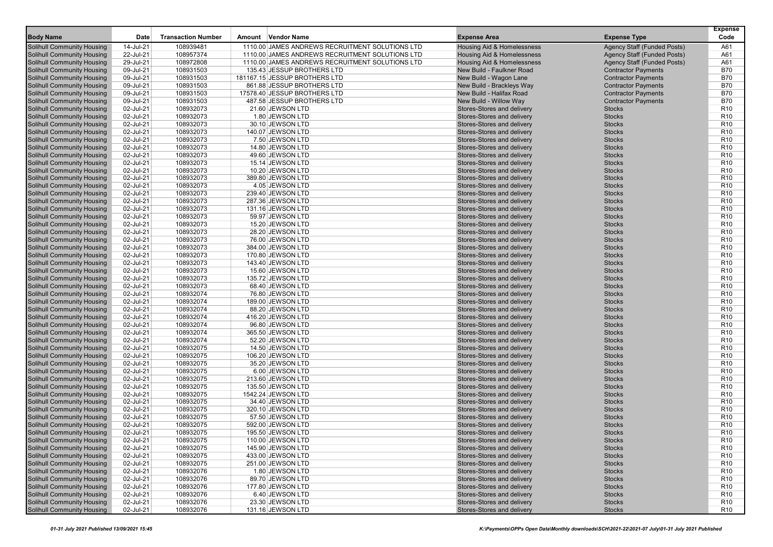| <b>Body Name</b>                                                       | Date                   | <b>Transaction Number</b> | Amount Vendor Name                              | <b>Expense Area</b>                                      | <b>Expense Type</b>                | <b>Expense</b><br>Code             |
|------------------------------------------------------------------------|------------------------|---------------------------|-------------------------------------------------|----------------------------------------------------------|------------------------------------|------------------------------------|
| <b>Solihull Community Housing</b>                                      | 14-Jul-21              | 108939481                 | 1110.00 JAMES ANDREWS RECRUITMENT SOLUTIONS LTD | <b>Housing Aid &amp; Homelessness</b>                    | <b>Agency Staff (Funded Posts)</b> | A61                                |
| Solihull Community Housing                                             | 22-Jul-21              | 108957374                 | 1110.00 JAMES ANDREWS RECRUITMENT SOLUTIONS LTD | <b>Housing Aid &amp; Homelessness</b>                    | Agency Staff (Funded Posts)        | A61                                |
| <b>Solihull Community Housing</b>                                      | 29-Jul-21              | 108972808                 | 1110.00 JAMES ANDREWS RECRUITMENT SOLUTIONS LTD | <b>Housing Aid &amp; Homelessness</b>                    | <b>Agency Staff (Funded Posts)</b> | A61                                |
| <b>Solihull Community Housing</b>                                      | 09-Jul-21              | 108931503                 | 135.43 JESSUP BROTHERS LTD                      | New Build - Faulkner Road                                | <b>Contractor Payments</b>         | <b>B70</b>                         |
| <b>Solihull Community Housing</b>                                      | 09-Jul-21              | 108931503                 | 181167.15 JESSUP BROTHERS LTD                   | New Build - Wagon Lane                                   | <b>Contractor Payments</b>         | <b>B70</b>                         |
| Solihull Community Housing                                             | 09-Jul-21              | 108931503                 | 861.88 JESSUP BROTHERS LTD                      | New Build - Brackleys Way                                | <b>Contractor Payments</b>         | <b>B70</b>                         |
| <b>Solihull Community Housing</b>                                      | 09-Jul-21              | 108931503                 | 17578.40 JESSUP BROTHERS LTD                    | New Build - Halifax Road                                 | <b>Contractor Payments</b>         | <b>B70</b>                         |
| <b>Solihull Community Housing</b>                                      | 09-Jul-21              | 108931503                 | 487.58 JESSUP BROTHERS LTD                      | New Build - Willow Way                                   | <b>Contractor Payments</b>         | <b>B70</b>                         |
| <b>Solihull Community Housing</b>                                      | 02-Jul-21              | 108932073                 | 21.60 JEWSON LTD                                | Stores-Stores and delivery                               | <b>Stocks</b>                      | R <sub>10</sub>                    |
| <b>Solihull Community Housing</b>                                      | 02-Jul-21              | 108932073                 | 1.80 JEWSON LTD                                 | Stores-Stores and delivery                               | <b>Stocks</b>                      | R <sub>10</sub>                    |
| Solihull Community Housing                                             | 02-Jul-21              | 108932073                 | 30.10 JEWSON LTD                                | Stores-Stores and delivery                               | <b>Stocks</b>                      | R <sub>10</sub>                    |
| <b>Solihull Community Housing</b>                                      | 02-Jul-21              | 108932073                 | 140.07 JEWSON LTD                               | Stores-Stores and delivery                               | <b>Stocks</b>                      | R <sub>10</sub>                    |
| <b>Solihull Community Housing</b>                                      | 02-Jul-21              | 108932073                 | 7.50 JEWSON LTD                                 | Stores-Stores and delivery                               | <b>Stocks</b>                      | R <sub>10</sub>                    |
| <b>Solihull Community Housing</b>                                      | 02-Jul-21              | 108932073                 | 14.80 JEWSON LTD                                | Stores-Stores and delivery                               | <b>Stocks</b>                      | R <sub>10</sub>                    |
| <b>Solihull Community Housing</b>                                      | 02-Jul-21              | 108932073                 | 49.60 JEWSON LTD                                | Stores-Stores and delivery                               | <b>Stocks</b>                      | R <sub>10</sub>                    |
| <b>Solihull Community Housing</b>                                      | 02-Jul-21              | 108932073                 | 15.14 JEWSON LTD                                | Stores-Stores and delivery                               | <b>Stocks</b>                      | R <sub>10</sub>                    |
| <b>Solihull Community Housing</b>                                      | 02-Jul-21              | 108932073                 | 10.20 JEWSON LTD                                | Stores-Stores and delivery                               | <b>Stocks</b>                      | R <sub>10</sub>                    |
| <b>Solihull Community Housing</b>                                      | 02-Jul-21              | 108932073                 | 389.80 JEWSON LTD                               | Stores-Stores and delivery                               | <b>Stocks</b>                      | R <sub>10</sub>                    |
| <b>Solihull Community Housing</b>                                      | 02-Jul-21              | 108932073                 | 4.05 JEWSON LTD                                 | Stores-Stores and delivery                               | <b>Stocks</b>                      | R <sub>10</sub>                    |
| <b>Solihull Community Housing</b>                                      | 02-Jul-21              | 108932073                 | 239.40 JEWSON LTD                               | Stores-Stores and delivery                               | <b>Stocks</b>                      | R <sub>10</sub>                    |
| <b>Solihull Community Housing</b>                                      | 02-Jul-21              | 108932073                 | 287.36 JEWSON LTD                               | Stores-Stores and delivery                               | <b>Stocks</b>                      | R <sub>10</sub>                    |
| <b>Solihull Community Housing</b>                                      | 02-Jul-21              | 108932073<br>108932073    | 131.16 JEWSON LTD                               | Stores-Stores and delivery                               | <b>Stocks</b>                      | R <sub>10</sub>                    |
| <b>Solihull Community Housing</b><br><b>Solihull Community Housing</b> | 02-Jul-21<br>02-Jul-21 | 108932073                 | 59.97 JEWSON LTD<br>15.20 JEWSON LTD            | Stores-Stores and delivery<br>Stores-Stores and delivery | <b>Stocks</b><br><b>Stocks</b>     | R <sub>10</sub><br>R <sub>10</sub> |
| <b>Solihull Community Housing</b>                                      | 02-Jul-21              | 108932073                 | 28.20 JEWSON LTD                                | Stores-Stores and delivery                               | <b>Stocks</b>                      | R <sub>10</sub>                    |
| <b>Solihull Community Housing</b>                                      | 02-Jul-21              | 108932073                 | 76.00 JEWSON LTD                                | Stores-Stores and delivery                               | <b>Stocks</b>                      | R <sub>10</sub>                    |
| <b>Solihull Community Housing</b>                                      | 02-Jul-21              | 108932073                 | 384.00 JEWSON LTD                               | Stores-Stores and delivery                               | <b>Stocks</b>                      | R <sub>10</sub>                    |
| Solihull Community Housing                                             | 02-Jul-21              | 108932073                 | 170.80 JEWSON LTD                               | Stores-Stores and delivery                               | <b>Stocks</b>                      | R <sub>10</sub>                    |
| <b>Solihull Community Housing</b>                                      | 02-Jul-21              | 108932073                 | 143.40 JEWSON LTD                               | Stores-Stores and delivery                               | <b>Stocks</b>                      | R <sub>10</sub>                    |
| <b>Solihull Community Housing</b>                                      | 02-Jul-21              | 108932073                 | 15.60 JEWSON LTD                                | Stores-Stores and delivery                               | <b>Stocks</b>                      | R <sub>10</sub>                    |
| Solihull Community Housing                                             | 02-Jul-21              | 108932073                 | 135.72 JEWSON LTD                               | Stores-Stores and delivery                               | <b>Stocks</b>                      | R <sub>10</sub>                    |
| Solihull Community Housing                                             | 02-Jul-21              | 108932073                 | 68.40 JEWSON LTD                                | Stores-Stores and delivery                               | <b>Stocks</b>                      | R <sub>10</sub>                    |
| <b>Solihull Community Housing</b>                                      | 02-Jul-21              | 108932074                 | 76.80 JEWSON LTD                                | Stores-Stores and delivery                               | <b>Stocks</b>                      | R <sub>10</sub>                    |
| <b>Solihull Community Housing</b>                                      | 02-Jul-21              | 108932074                 | 189.00 JEWSON LTD                               | Stores-Stores and delivery                               | <b>Stocks</b>                      | R <sub>10</sub>                    |
| <b>Solihull Community Housing</b>                                      | 02-Jul-21              | 108932074                 | 88.20 JEWSON LTD                                | Stores-Stores and delivery                               | <b>Stocks</b>                      | R <sub>10</sub>                    |
| <b>Solihull Community Housing</b>                                      | 02-Jul-21              | 108932074                 | 416.20 JEWSON LTD                               | Stores-Stores and delivery                               | <b>Stocks</b>                      | R <sub>10</sub>                    |
| <b>Solihull Community Housing</b>                                      | 02-Jul-21              | 108932074                 | 96.80 JEWSON LTD                                | Stores-Stores and delivery                               | <b>Stocks</b>                      | R <sub>10</sub>                    |
| <b>Solihull Community Housing</b>                                      | 02-Jul-21              | 108932074                 | 365.50 JEWSON LTD                               | Stores-Stores and delivery                               | <b>Stocks</b>                      | R <sub>10</sub>                    |
| <b>Solihull Community Housing</b>                                      | 02-Jul-21              | 108932074                 | 52.20 JEWSON LTD                                | Stores-Stores and delivery                               | <b>Stocks</b>                      | R <sub>10</sub>                    |
| <b>Solihull Community Housing</b>                                      | 02-Jul-21              | 108932075                 | 14.50 JEWSON LTD                                | Stores-Stores and delivery                               | <b>Stocks</b>                      | R <sub>10</sub>                    |
| <b>Solihull Community Housing</b>                                      | 02-Jul-21              | 108932075                 | 106.20 JEWSON LTD                               | Stores-Stores and delivery                               | <b>Stocks</b>                      | R <sub>10</sub>                    |
| <b>Solihull Community Housing</b>                                      | 02-Jul-21              | 108932075                 | 35.20 JEWSON LTD                                | Stores-Stores and delivery                               | <b>Stocks</b>                      | R <sub>10</sub>                    |
| <b>Solihull Community Housing</b>                                      | 02-Jul-21              | 108932075                 | 6.00 JEWSON LTD                                 | Stores-Stores and delivery                               | <b>Stocks</b>                      | R <sub>10</sub>                    |
| <b>Solihull Community Housing</b>                                      | 02-Jul-21              | 108932075                 | 213.60 JEWSON LTD                               | Stores-Stores and delivery                               | <b>Stocks</b>                      | R <sub>10</sub>                    |
| <b>Solihull Community Housing</b>                                      | 02-Jul-21              | 108932075                 | 135.50 JEWSON LTD                               | Stores-Stores and delivery                               | <b>Stocks</b>                      | R <sub>10</sub>                    |
| <b>Solihull Community Housing</b>                                      | 02-Jul-21              | 108932075                 | 1542.24 JEWSON LTD                              | Stores-Stores and delivery                               | <b>Stocks</b>                      | R <sub>10</sub>                    |
| <b>Solihull Community Housing</b>                                      | 02-Jul-21              | 108932075                 | 34.40 JEWSON LTD                                | Stores-Stores and delivery                               | <b>Stocks</b>                      | R <sub>10</sub>                    |
| <b>Solihull Community Housing</b>                                      | 02-Jul-21              | 108932075                 | 320.10 JEWSON LTD                               | Stores-Stores and delivery                               | <b>Stocks</b>                      | R <sub>10</sub>                    |
| <b>Solihull Community Housing</b>                                      | 02-Jul-21              | 108932075                 | 57.50 JEWSON LTD                                | Stores-Stores and delivery                               | <b>Stocks</b>                      | R <sub>10</sub>                    |
| <b>Solihull Community Housing</b>                                      | 02-Jul-21              | 108932075                 | 592.00 JEWSON LTD                               | Stores-Stores and delivery                               | <b>Stocks</b>                      | R <sub>10</sub>                    |
| <b>Solihull Community Housing</b>                                      | 02-Jul-21              | 108932075                 | 195.50 JEWSON LTD                               | Stores-Stores and delivery                               | <b>Stocks</b>                      | R <sub>10</sub>                    |
| <b>Solihull Community Housing</b>                                      | 02-Jul-21              | 108932075                 | 110.00 JEWSON LTD                               | Stores-Stores and delivery                               | <b>Stocks</b>                      | R <sub>10</sub>                    |
| <b>Solihull Community Housing</b>                                      | 02-Jul-21              | 108932075                 | 145.90 JEWSON LTD<br>433.00 JEWSON LTD          | Stores-Stores and delivery<br>Stores-Stores and delivery | <b>Stocks</b>                      | R <sub>10</sub>                    |
| <b>Solihull Community Housing</b><br><b>Solihull Community Housing</b> | 02-Jul-21              | 108932075<br>108932075    |                                                 | Stores-Stores and delivery                               | <b>Stocks</b><br><b>Stocks</b>     | R <sub>10</sub><br>R <sub>10</sub> |
| <b>Solihull Community Housing</b>                                      | 02-Jul-21<br>02-Jul-21 | 108932076                 | 251.00 JEWSON LTD<br>1.80 JEWSON LTD            | Stores-Stores and delivery                               | <b>Stocks</b>                      | R <sub>10</sub>                    |
| <b>Solihull Community Housing</b>                                      | 02-Jul-21              | 108932076                 | 89.70 JEWSON LTD                                | Stores-Stores and delivery                               | <b>Stocks</b>                      | R <sub>10</sub>                    |
| <b>Solihull Community Housing</b>                                      | 02-Jul-21              | 108932076                 | 177.80 JEWSON LTD                               | Stores-Stores and delivery                               | <b>Stocks</b>                      | R <sub>10</sub>                    |
| <b>Solihull Community Housing</b>                                      | 02-Jul-21              | 108932076                 | 6.40 JEWSON LTD                                 | Stores-Stores and delivery                               | <b>Stocks</b>                      | R <sub>10</sub>                    |
| <b>Solihull Community Housing</b>                                      | 02-Jul-21              | 108932076                 | 23.30 JEWSON LTD                                | Stores-Stores and delivery                               | <b>Stocks</b>                      | R <sub>10</sub>                    |
| <b>Solihull Community Housing</b>                                      | 02-Jul-21              | 108932076                 | 131.16 JEWSON LTD                               | Stores-Stores and delivery                               | <b>Stocks</b>                      | R <sub>10</sub>                    |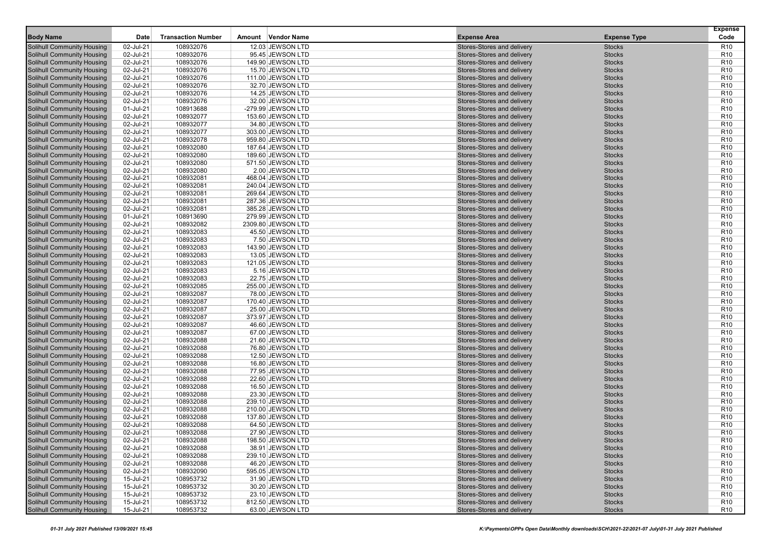| <b>Body Name</b>                                                       | Date                   | <b>Transaction Number</b> | Amount Vendor Name                   | <b>Expense Area</b>                                      | <b>Expense Type</b>            | <b>Expense</b><br>Code             |
|------------------------------------------------------------------------|------------------------|---------------------------|--------------------------------------|----------------------------------------------------------|--------------------------------|------------------------------------|
| <b>Solihull Community Housing</b>                                      | 02-Jul-21              | 108932076                 | 12.03 JEWSON LTD                     | Stores-Stores and delivery                               | <b>Stocks</b>                  | R <sub>10</sub>                    |
| <b>Solihull Community Housing</b>                                      | 02-Jul-21              | 108932076                 | 95.45 JEWSON LTD                     | Stores-Stores and delivery                               | <b>Stocks</b>                  | R <sub>10</sub>                    |
| <b>Solihull Community Housing</b>                                      | 02-Jul-21              | 108932076                 | 149.90 JEWSON LTD                    | Stores-Stores and delivery                               | <b>Stocks</b>                  | R <sub>10</sub>                    |
| <b>Solihull Community Housing</b>                                      | 02-Jul-21              | 108932076                 | 15.70 JEWSON LTD                     | Stores-Stores and delivery                               | <b>Stocks</b>                  | R <sub>10</sub>                    |
| <b>Solihull Community Housing</b>                                      | 02-Jul-21              | 108932076                 | 111.00 JEWSON LTD                    | Stores-Stores and delivery                               | <b>Stocks</b>                  | R <sub>10</sub>                    |
| Solihull Community Housing                                             | 02-Jul-21              | 108932076                 | 32.70 JEWSON LTD                     | Stores-Stores and delivery                               | <b>Stocks</b>                  | R <sub>10</sub>                    |
| <b>Solihull Community Housing</b>                                      | 02-Jul-21              | 108932076                 | 14.25 JEWSON LTD                     | Stores-Stores and delivery                               | <b>Stocks</b>                  | R <sub>10</sub>                    |
| <b>Solihull Community Housing</b>                                      | 02-Jul-21              | 108932076                 | 32.00 JEWSON LTD                     | Stores-Stores and delivery                               | <b>Stocks</b>                  | R <sub>10</sub>                    |
| <b>Solihull Community Housing</b>                                      | 01-Jul-21              | 108913688                 | -279.99 JEWSON LTD                   | Stores-Stores and delivery                               | <b>Stocks</b>                  | R <sub>10</sub>                    |
| <b>Solihull Community Housing</b>                                      | 02-Jul-21              | 108932077                 | 153.60 JEWSON LTD                    | Stores-Stores and delivery                               | <b>Stocks</b>                  | R <sub>10</sub>                    |
| <b>Solihull Community Housing</b>                                      | 02-Jul-21              | 108932077                 | 34.80 JEWSON LTD                     | Stores-Stores and delivery                               | <b>Stocks</b>                  | R <sub>10</sub>                    |
| <b>Solihull Community Housing</b>                                      | 02-Jul-21              | 108932077                 | 303.00 JEWSON LTD                    | Stores-Stores and delivery                               | <b>Stocks</b>                  | R <sub>10</sub>                    |
| <b>Solihull Community Housing</b>                                      | 02-Jul-21              | 108932078                 | 959.80 JEWSON LTD                    | Stores-Stores and delivery                               | <b>Stocks</b>                  | R <sub>10</sub>                    |
| Solihull Community Housing                                             | 02-Jul-21              | 108932080                 | 187.64 JEWSON LTD                    | Stores-Stores and delivery                               | <b>Stocks</b>                  | R <sub>10</sub>                    |
| Solihull Community Housing                                             | 02-Jul-21              | 108932080                 | 189.60 JEWSON LTD                    | Stores-Stores and delivery                               | <b>Stocks</b>                  | R <sub>10</sub>                    |
| <b>Solihull Community Housing</b>                                      | 02-Jul-21              | 108932080                 | 571.50 JEWSON LTD                    | Stores-Stores and delivery                               | <b>Stocks</b>                  | R <sub>10</sub>                    |
| <b>Solihull Community Housing</b>                                      | 02-Jul-21              | 108932080                 | 2.00 JEWSON LTD                      | Stores-Stores and delivery                               | <b>Stocks</b>                  | R <sub>10</sub>                    |
| <b>Solihull Community Housing</b>                                      | 02-Jul-21              | 108932081                 | 468.04 JEWSON LTD                    | Stores-Stores and delivery                               | <b>Stocks</b>                  | R <sub>10</sub>                    |
| <b>Solihull Community Housing</b>                                      | 02-Jul-21              | 108932081                 | 240.04 JEWSON LTD                    | Stores-Stores and delivery                               | <b>Stocks</b>                  | R <sub>10</sub>                    |
| <b>Solihull Community Housing</b>                                      | 02-Jul-21              | 108932081                 | 269.64 JEWSON LTD                    | Stores-Stores and delivery                               | <b>Stocks</b>                  | R <sub>10</sub>                    |
| <b>Solihull Community Housing</b>                                      | 02-Jul-21              | 108932081                 | 287.36 JEWSON LTD                    | Stores-Stores and delivery                               | <b>Stocks</b>                  | R <sub>10</sub>                    |
| Solihull Community Housing                                             | 02-Jul-21              | 108932081                 | 385.28 JEWSON LTD                    | Stores-Stores and delivery                               | <b>Stocks</b>                  | R <sub>10</sub>                    |
| <b>Solihull Community Housing</b>                                      | 01-Jul-21              | 108913690                 | 279.99 JEWSON LTD                    | Stores-Stores and delivery                               | <b>Stocks</b>                  | R <sub>10</sub>                    |
| <b>Solihull Community Housing</b>                                      | 02-Jul-21              | 108932082                 | 2309.80 JEWSON LTD                   | Stores-Stores and delivery                               | <b>Stocks</b>                  | R <sub>10</sub>                    |
| <b>Solihull Community Housing</b>                                      | 02-Jul-21              | 108932083                 | 45.50 JEWSON LTD                     | Stores-Stores and delivery                               | <b>Stocks</b>                  | R <sub>10</sub>                    |
| <b>Solihull Community Housing</b>                                      | 02-Jul-21              | 108932083                 | 7.50 JEWSON LTD                      | Stores-Stores and delivery                               | <b>Stocks</b>                  | R <sub>10</sub>                    |
| <b>Solihull Community Housing</b>                                      | 02-Jul-21              | 108932083                 | 143.90 JEWSON LTD                    | Stores-Stores and delivery                               | <b>Stocks</b>                  | R <sub>10</sub>                    |
| Solihull Community Housing                                             | 02-Jul-21              | 108932083                 | 13.05 JEWSON LTD                     | Stores-Stores and delivery                               | <b>Stocks</b>                  | R <sub>10</sub>                    |
| <b>Solihull Community Housing</b>                                      | 02-Jul-21              | 108932083                 | 121.05 JEWSON LTD                    | Stores-Stores and delivery                               | <b>Stocks</b>                  | R <sub>10</sub>                    |
| <b>Solihull Community Housing</b>                                      | 02-Jul-21              | 108932083                 | 5.16 JEWSON LTD                      | Stores-Stores and delivery                               | <b>Stocks</b>                  | R <sub>10</sub>                    |
| Solihull Community Housing                                             | 02-Jul-21              | 108932083                 | 22.75 JEWSON LTD                     | Stores-Stores and delivery                               | <b>Stocks</b>                  | R <sub>10</sub>                    |
| <b>Solihull Community Housing</b>                                      | 02-Jul-21              | 108932085                 | 255.00 JEWSON LTD                    | Stores-Stores and delivery                               | <b>Stocks</b>                  | R <sub>10</sub>                    |
| <b>Solihull Community Housing</b>                                      | 02-Jul-21              | 108932087                 | 78.00 JEWSON LTD                     | Stores-Stores and delivery                               | <b>Stocks</b>                  | R <sub>10</sub>                    |
| <b>Solihull Community Housing</b>                                      | 02-Jul-21              | 108932087                 | 170.40 JEWSON LTD                    | Stores-Stores and delivery                               | <b>Stocks</b>                  | R <sub>10</sub>                    |
| <b>Solihull Community Housing</b>                                      | 02-Jul-21              | 108932087                 | 25.00 JEWSON LTD                     | Stores-Stores and delivery                               | <b>Stocks</b>                  | R <sub>10</sub>                    |
| <b>Solihull Community Housing</b>                                      | 02-Jul-21              | 108932087                 | 373.97 JEWSON LTD                    | Stores-Stores and delivery                               | <b>Stocks</b>                  | R <sub>10</sub>                    |
| <b>Solihull Community Housing</b>                                      | 02-Jul-21              | 108932087<br>108932087    | 46.60 JEWSON LTD                     | Stores-Stores and delivery                               | <b>Stocks</b>                  | R <sub>10</sub>                    |
| <b>Solihull Community Housing</b>                                      | 02-Jul-21              |                           | 67.00 JEWSON LTD                     | Stores-Stores and delivery<br>Stores-Stores and delivery | <b>Stocks</b><br><b>Stocks</b> | R <sub>10</sub><br>R <sub>10</sub> |
| <b>Solihull Community Housing</b><br><b>Solihull Community Housing</b> | 02-Jul-21<br>02-Jul-21 | 108932088<br>108932088    | 21.60 JEWSON LTD<br>76.80 JEWSON LTD | Stores-Stores and delivery                               | <b>Stocks</b>                  | R <sub>10</sub>                    |
| <b>Solihull Community Housing</b>                                      | 02-Jul-21              | 108932088                 | 12.50 JEWSON LTD                     | Stores-Stores and delivery                               | <b>Stocks</b>                  | R <sub>10</sub>                    |
| <b>Solihull Community Housing</b>                                      | 02-Jul-21              | 108932088                 | 16.80 JEWSON LTD                     | Stores-Stores and delivery                               | <b>Stocks</b>                  | R <sub>10</sub>                    |
| <b>Solihull Community Housing</b>                                      | 02-Jul-21              | 108932088                 | 77.95 JEWSON LTD                     | Stores-Stores and delivery                               | <b>Stocks</b>                  | R <sub>10</sub>                    |
| <b>Solihull Community Housing</b>                                      | 02-Jul-21              | 108932088                 | 22.60 JEWSON LTD                     | Stores-Stores and delivery                               | <b>Stocks</b>                  | R <sub>10</sub>                    |
| <b>Solihull Community Housing</b>                                      | 02-Jul-21              | 108932088                 | 16.50 JEWSON LTD                     | Stores-Stores and delivery                               | <b>Stocks</b>                  | R <sub>10</sub>                    |
| <b>Solihull Community Housing</b>                                      | 02-Jul-21              | 108932088                 | 23.30 JEWSON LTD                     | Stores-Stores and delivery                               | <b>Stocks</b>                  | R <sub>10</sub>                    |
| <b>Solihull Community Housing</b>                                      | 02-Jul-21              | 108932088                 | 239.10 JEWSON LTD                    | Stores-Stores and delivery                               | <b>Stocks</b>                  | R <sub>10</sub>                    |
| <b>Solihull Community Housing</b>                                      | 02-Jul-21              | 108932088                 | 210.00 JEWSON LTD                    | Stores-Stores and delivery                               | <b>Stocks</b>                  | R <sub>10</sub>                    |
| <b>Solihull Community Housing</b>                                      | 02-Jul-21              | 108932088                 | 137.80 JEWSON LTD                    | Stores-Stores and delivery                               | <b>Stocks</b>                  | R <sub>10</sub>                    |
| Solihull Community Housing                                             | 02-Jul-21              | 108932088                 | 64.50 JEWSON LTD                     | Stores-Stores and delivery                               | <b>Stocks</b>                  | R <sub>10</sub>                    |
| <b>Solihull Community Housing</b>                                      | 02-Jul-21              | 108932088                 | 27.90 JEWSON LTD                     | Stores-Stores and delivery                               | <b>Stocks</b>                  | R <sub>10</sub>                    |
| <b>Solihull Community Housing</b>                                      | 02-Jul-21              | 108932088                 | 198.50 JEWSON LTD                    | Stores-Stores and delivery                               | <b>Stocks</b>                  | R <sub>10</sub>                    |
| <b>Solihull Community Housing</b>                                      | 02-Jul-21              | 108932088                 | 38.91 JEWSON LTD                     | Stores-Stores and delivery                               | <b>Stocks</b>                  | R <sub>10</sub>                    |
| <b>Solihull Community Housing</b>                                      | 02-Jul-21              | 108932088                 | 239.10 JEWSON LTD                    | Stores-Stores and delivery                               | <b>Stocks</b>                  | R <sub>10</sub>                    |
| <b>Solihull Community Housing</b>                                      | 02-Jul-21              | 108932088                 | 46.20 JEWSON LTD                     | Stores-Stores and delivery                               | <b>Stocks</b>                  | R <sub>10</sub>                    |
| <b>Solihull Community Housing</b>                                      | 02-Jul-21              | 108932090                 | 595.05 JEWSON LTD                    | Stores-Stores and delivery                               | <b>Stocks</b>                  | R <sub>10</sub>                    |
| <b>Solihull Community Housing</b>                                      | 15-Jul-21              | 108953732                 | 31.90 JEWSON LTD                     | Stores-Stores and delivery                               | <b>Stocks</b>                  | R <sub>10</sub>                    |
| <b>Solihull Community Housing</b>                                      | 15-Jul-21              | 108953732                 | 30.20 JEWSON LTD                     | Stores-Stores and delivery                               | <b>Stocks</b>                  | R <sub>10</sub>                    |
| <b>Solihull Community Housing</b>                                      | 15-Jul-21              | 108953732                 | 23.10 JEWSON LTD                     | Stores-Stores and delivery                               | <b>Stocks</b>                  | R <sub>10</sub>                    |
| <b>Solihull Community Housing</b>                                      | 15-Jul-21              | 108953732                 | 812.50 JEWSON LTD                    | Stores-Stores and delivery                               | <b>Stocks</b>                  | R <sub>10</sub>                    |
| <b>Solihull Community Housing</b>                                      | $15$ -Jul-21           | 108953732                 | 63.00 JEWSON LTD                     | Stores-Stores and delivery                               | <b>Stocks</b>                  | R <sub>10</sub>                    |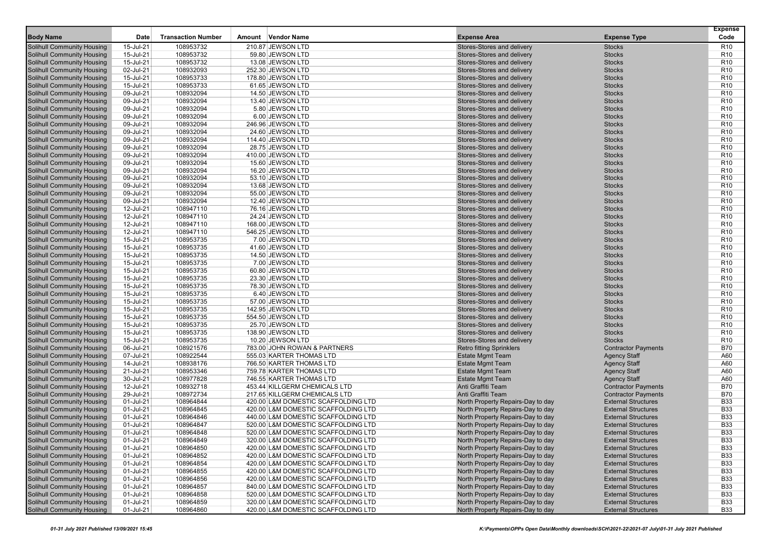| <b>Body Name</b>                                                       | Date                   | <b>Transaction Number</b> | Amount Vendor Name                    | <b>Expense Area</b>                                      | <b>Expense Type</b>            | <b>Expense</b><br>Code             |
|------------------------------------------------------------------------|------------------------|---------------------------|---------------------------------------|----------------------------------------------------------|--------------------------------|------------------------------------|
|                                                                        | 15-Jul-21              | 108953732                 | 210.87 JEWSON LTD                     | Stores-Stores and delivery                               | <b>Stocks</b>                  | R <sub>10</sub>                    |
| <b>Solihull Community Housing</b><br>Solihull Community Housing        | 15-Jul-21              | 108953732                 | 59.80 JEWSON LTD                      | Stores-Stores and delivery                               | <b>Stocks</b>                  | R <sub>10</sub>                    |
| <b>Solihull Community Housing</b>                                      | 15-Jul-21              | 108953732                 | 13.08 JEWSON LTD                      | Stores-Stores and delivery                               | <b>Stocks</b>                  | R <sub>10</sub>                    |
| <b>Solihull Community Housing</b>                                      | 02-Jul-21              | 108932093                 | 252.30 JEWSON LTD                     | Stores-Stores and delivery                               | <b>Stocks</b>                  | R <sub>10</sub>                    |
| <b>Solihull Community Housing</b>                                      | 15-Jul-21              | 108953733                 | 178.80 JEWSON LTD                     | Stores-Stores and delivery                               | <b>Stocks</b>                  | R <sub>10</sub>                    |
| Solihull Community Housing                                             | 15-Jul-21              | 108953733                 | 61.65 JEWSON LTD                      | Stores-Stores and delivery                               | <b>Stocks</b>                  | R <sub>10</sub>                    |
| <b>Solihull Community Housing</b>                                      | 09-Jul-21              | 108932094                 | 14.50 JEWSON LTD                      | Stores-Stores and delivery                               | <b>Stocks</b>                  | R <sub>10</sub>                    |
| <b>Solihull Community Housing</b>                                      | 09-Jul-21              | 108932094                 | 13.40 JEWSON LTD                      | Stores-Stores and delivery                               | <b>Stocks</b>                  | R <sub>10</sub>                    |
| <b>Solihull Community Housing</b>                                      | 09-Jul-21              | 108932094                 | 5.80 JEWSON LTD                       | Stores-Stores and delivery                               | <b>Stocks</b>                  | R <sub>10</sub>                    |
| <b>Solihull Community Housing</b>                                      | 09-Jul-21              | 108932094                 | 6.00 JEWSON LTD                       | Stores-Stores and delivery                               | <b>Stocks</b>                  | R <sub>10</sub>                    |
| <b>Solihull Community Housing</b>                                      | 09-Jul-21              | 108932094                 | 246.96 JEWSON LTD                     | Stores-Stores and delivery                               | <b>Stocks</b>                  | R <sub>10</sub>                    |
| Solihull Community Housing                                             | 09-Jul-21              | 108932094                 | 24.60 JEWSON LTD                      | Stores-Stores and delivery                               | <b>Stocks</b>                  | R <sub>10</sub>                    |
| <b>Solihull Community Housing</b>                                      | 09-Jul-21              | 108932094                 | 114.40 JEWSON LTD                     | Stores-Stores and delivery                               | <b>Stocks</b>                  | R <sub>10</sub>                    |
| <b>Solihull Community Housing</b>                                      | 09-Jul-21              | 108932094                 | 28.75 JEWSON LTD                      | Stores-Stores and delivery                               | <b>Stocks</b>                  | R <sub>10</sub>                    |
| <b>Solihull Community Housing</b>                                      | 09-Jul-21              | 108932094                 | 410.00 JEWSON LTD                     | Stores-Stores and delivery                               | <b>Stocks</b>                  | R <sub>10</sub>                    |
| <b>Solihull Community Housing</b>                                      | 09-Jul-21              | 108932094                 | 15.60 JEWSON LTD                      | Stores-Stores and delivery                               | <b>Stocks</b>                  | R <sub>10</sub>                    |
| <b>Solihull Community Housing</b>                                      | 09-Jul-21              | 108932094                 | 16.20 JEWSON LTD                      | Stores-Stores and delivery                               | <b>Stocks</b>                  | R <sub>10</sub>                    |
| <b>Solihull Community Housing</b>                                      | 09-Jul-21              | 108932094                 | 53.10 JEWSON LTD                      | Stores-Stores and delivery                               | <b>Stocks</b>                  | R <sub>10</sub>                    |
| <b>Solihull Community Housing</b>                                      | 09-Jul-21              | 108932094                 | 13.68 JEWSON LTD                      | Stores-Stores and delivery                               | <b>Stocks</b>                  | R <sub>10</sub>                    |
| <b>Solihull Community Housing</b>                                      | 09-Jul-21              | 108932094                 | 55.00 JEWSON LTD                      | Stores-Stores and delivery                               | <b>Stocks</b>                  | R <sub>10</sub>                    |
| <b>Solihull Community Housing</b>                                      | 09-Jul-21              | 108932094                 | 12.40 JEWSON LTD                      | Stores-Stores and delivery                               | <b>Stocks</b>                  | R <sub>10</sub>                    |
| Solihull Community Housing                                             | 12-Jul-21              | 108947110                 | 76.16 JEWSON LTD                      | Stores-Stores and delivery                               | <b>Stocks</b>                  | R <sub>10</sub>                    |
| <b>Solihull Community Housing</b>                                      | 12-Jul-21              | 108947110                 | 24.24 JEWSON LTD                      | Stores-Stores and delivery                               | <b>Stocks</b>                  | R <sub>10</sub>                    |
| <b>Solihull Community Housing</b>                                      | 12-Jul-21              | 108947110                 | 168.00 JEWSON LTD                     | Stores-Stores and delivery                               | <b>Stocks</b>                  | R <sub>10</sub>                    |
| <b>Solihull Community Housing</b>                                      | 12-Jul-21              | 108947110                 | 546.25 JEWSON LTD                     | Stores-Stores and delivery                               | <b>Stocks</b>                  | R <sub>10</sub>                    |
| Solihull Community Housing                                             | 15-Jul-21              | 108953735                 | 7.00 JEWSON LTD                       | Stores-Stores and delivery                               | <b>Stocks</b>                  | R <sub>10</sub>                    |
| Solihull Community Housing                                             | 15-Jul-21              | 108953735                 | 41.60 JEWSON LTD                      | Stores-Stores and delivery                               | <b>Stocks</b>                  | R <sub>10</sub>                    |
| <b>Solihull Community Housing</b>                                      | 15-Jul-21              | 108953735                 | 14.50 JEWSON LTD                      | Stores-Stores and delivery                               | <b>Stocks</b>                  | R <sub>10</sub>                    |
| <b>Solihull Community Housing</b>                                      | 15-Jul-21              | 108953735                 | 7.00 JEWSON LTD                       | Stores-Stores and delivery                               | <b>Stocks</b>                  | R <sub>10</sub>                    |
| <b>Solihull Community Housing</b>                                      | 15-Jul-21              | 108953735                 | 60.80 JEWSON LTD                      | Stores-Stores and delivery                               | <b>Stocks</b>                  | R <sub>10</sub>                    |
| <b>Solihull Community Housing</b>                                      | 15-Jul-21              | 108953735                 | 23.30 JEWSON LTD                      | Stores-Stores and delivery                               | <b>Stocks</b>                  | R <sub>10</sub>                    |
| <b>Solihull Community Housing</b>                                      | 15-Jul-21              | 108953735<br>108953735    | 78.30 JEWSON LTD                      | Stores-Stores and delivery                               | <b>Stocks</b>                  | R <sub>10</sub>                    |
| <b>Solihull Community Housing</b>                                      | 15-Jul-21              |                           | 6.40 JEWSON LTD                       | Stores-Stores and delivery                               | <b>Stocks</b>                  | R <sub>10</sub>                    |
| <b>Solihull Community Housing</b><br><b>Solihull Community Housing</b> | 15-Jul-21<br>15-Jul-21 | 108953735<br>108953735    | 57.00 JEWSON LTD<br>142.95 JEWSON LTD | Stores-Stores and delivery<br>Stores-Stores and delivery | <b>Stocks</b><br><b>Stocks</b> | R <sub>10</sub><br>R <sub>10</sub> |
| <b>Solihull Community Housing</b>                                      | 15-Jul-21              | 108953735                 | 554.50 JEWSON LTD                     | Stores-Stores and delivery                               | <b>Stocks</b>                  | R <sub>10</sub>                    |
| <b>Solihull Community Housing</b>                                      | 15-Jul-21              | 108953735                 | 25.70 JEWSON LTD                      | Stores-Stores and delivery                               | <b>Stocks</b>                  | R <sub>10</sub>                    |
| <b>Solihull Community Housing</b>                                      | 15-Jul-21              | 108953735                 | 138.90 JEWSON LTD                     | Stores-Stores and delivery                               | <b>Stocks</b>                  | R <sub>10</sub>                    |
| <b>Solihull Community Housing</b>                                      | 15-Jul-21              | 108953735                 | 10.20 JEWSON LTD                      | Stores-Stores and delivery                               | <b>Stocks</b>                  | R <sub>10</sub>                    |
| <b>Solihull Community Housing</b>                                      | 06-Jul-21              | 108921576                 | 783.00 JOHN ROWAN & PARTNERS          | <b>Retro fitting Sprinklers</b>                          | <b>Contractor Payments</b>     | <b>B70</b>                         |
| <b>Solihull Community Housing</b>                                      | 07-Jul-21              | 108922544                 | 555.03 KARTER THOMAS LTD              | <b>Estate Mgmt Team</b>                                  | <b>Agency Staff</b>            | A60                                |
| <b>Solihull Community Housing</b>                                      | 14-Jul-21              | 108938176                 | 766.50 KARTER THOMAS LTD              | <b>Estate Mgmt Team</b>                                  | <b>Agency Staff</b>            | A60                                |
| <b>Solihull Community Housing</b>                                      | 21-Jul-21              | 108953346                 | 759.78 KARTER THOMAS LTD              | <b>Estate Mgmt Team</b>                                  | <b>Agency Staff</b>            | A60                                |
| <b>Solihull Community Housing</b>                                      | 30-Jul-21              | 108977828                 | 746.55 KARTER THOMAS LTD              | <b>Estate Mgmt Team</b>                                  | <b>Agency Staff</b>            | A60                                |
| <b>Solihull Community Housing</b>                                      | 12-Jul-21              | 108932718                 | 453.44 KILLGERM CHEMICALS LTD         | Anti Graffiti Team                                       | <b>Contractor Payments</b>     | <b>B70</b>                         |
| <b>Solihull Community Housing</b>                                      | 29-Jul-21              | 108972734                 | 217.65 KILLGERM CHEMICALS LTD         | Anti Graffiti Team                                       | <b>Contractor Payments</b>     | <b>B70</b>                         |
| <b>Solihull Community Housing</b>                                      | 01-Jul-21              | 108964844                 | 420.00 L&M DOMESTIC SCAFFOLDING LTD   | North Property Repairs-Day to day                        | <b>External Structures</b>     | <b>B33</b>                         |
| <b>Solihull Community Housing</b>                                      | 01-Jul-21              | 108964845                 | 420.00 L&M DOMESTIC SCAFFOLDING LTD   | North Property Repairs-Day to day                        | <b>External Structures</b>     | <b>B33</b>                         |
| <b>Solihull Community Housing</b>                                      | 01-Jul-21              | 108964846                 | 440.00 L&M DOMESTIC SCAFFOLDING LTD   | North Property Repairs-Day to day                        | <b>External Structures</b>     | <b>B33</b>                         |
| Solihull Community Housing                                             | 01-Jul-21              | 108964847                 | 520.00 L&M DOMESTIC SCAFFOLDING LTD   | North Property Repairs-Day to day                        | <b>External Structures</b>     | <b>B33</b>                         |
| <b>Solihull Community Housing</b>                                      | 01-Jul-21              | 108964848                 | 520.00 L&M DOMESTIC SCAFFOLDING LTD   | North Property Repairs-Day to day                        | <b>External Structures</b>     | <b>B33</b>                         |
| <b>Solihull Community Housing</b>                                      | 01-Jul-21              | 108964849                 | 320.00 L&M DOMESTIC SCAFFOLDING LTD   | North Property Repairs-Day to day                        | <b>External Structures</b>     | <b>B33</b>                         |
| <b>Solihull Community Housing</b>                                      | 01-Jul-21              | 108964850                 | 420.00 L&M DOMESTIC SCAFFOLDING LTD   | North Property Repairs-Day to day                        | <b>External Structures</b>     | <b>B33</b>                         |
| <b>Solihull Community Housing</b>                                      | 01-Jul-21              | 108964852                 | 420.00 L&M DOMESTIC SCAFFOLDING LTD   | North Property Repairs-Day to day                        | <b>External Structures</b>     | <b>B33</b>                         |
| <b>Solihull Community Housing</b>                                      | 01-Jul-21              | 108964854                 | 420.00 L&M DOMESTIC SCAFFOLDING LTD   | North Property Repairs-Day to day                        | <b>External Structures</b>     | <b>B33</b>                         |
| <b>Solihull Community Housing</b>                                      | 01-Jul-21              | 108964855                 | 420.00 L&M DOMESTIC SCAFFOLDING LTD   | North Property Repairs-Day to day                        | <b>External Structures</b>     | <b>B33</b>                         |
| <b>Solihull Community Housing</b>                                      | 01-Jul-21              | 108964856                 | 420.00 L&M DOMESTIC SCAFFOLDING LTD   | North Property Repairs-Day to day                        | <b>External Structures</b>     | <b>B33</b>                         |
| <b>Solihull Community Housing</b>                                      | 01-Jul-21              | 108964857                 | 840.00 L&M DOMESTIC SCAFFOLDING LTD   | North Property Repairs-Day to day                        | <b>External Structures</b>     | <b>B33</b>                         |
| <b>Solihull Community Housing</b>                                      | 01-Jul-21              | 108964858                 | 520.00 L&M DOMESTIC SCAFFOLDING LTD   | North Property Repairs-Day to day                        | <b>External Structures</b>     | <b>B33</b>                         |
| <b>Solihull Community Housing</b>                                      | 01-Jul-21              | 108964859                 | 320.00 L&M DOMESTIC SCAFFOLDING LTD   | North Property Repairs-Day to day                        | <b>External Structures</b>     | <b>B33</b>                         |
| <b>Solihull Community Housing</b>                                      | 01-Jul-21              | 108964860                 | 420.00 L&M DOMESTIC SCAFFOLDING LTD   | North Property Repairs-Day to day                        | <b>External Structures</b>     | <b>B33</b>                         |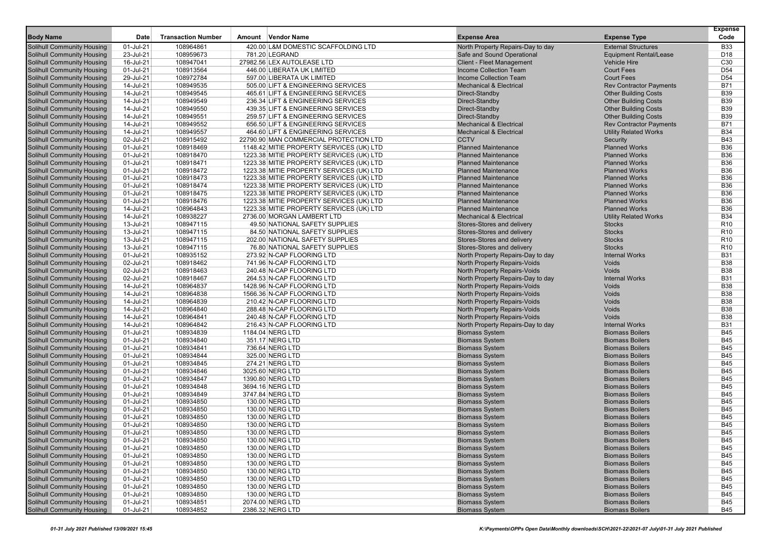|                                                                        |                        |                           |        |                                                                  |                                                              |                                                     | <b>Expense</b>                     |
|------------------------------------------------------------------------|------------------------|---------------------------|--------|------------------------------------------------------------------|--------------------------------------------------------------|-----------------------------------------------------|------------------------------------|
| <b>Body Name</b>                                                       | Date                   | <b>Transaction Number</b> | Amount | Vendor Name                                                      | <b>Expense Area</b>                                          | <b>Expense Type</b>                                 | Code                               |
| <b>Solihull Community Housing</b>                                      | 01-Jul-21              | 108964861                 |        | 420.00 L&M DOMESTIC SCAFFOLDING LTD                              | North Property Repairs-Day to day                            | <b>External Structures</b>                          | <b>B33</b>                         |
| <b>Solihull Community Housing</b>                                      | 23-Jul-21              | 108959673                 |        | 781.20 LEGRAND                                                   | Safe and Sound Operational                                   | <b>Equipment Rental/Lease</b>                       | D <sub>18</sub>                    |
| <b>Solihull Community Housing</b>                                      | 16-Jul-21              | 108947041                 |        | 27982.56 LEX AUTOLEASE LTD                                       | <b>Client - Fleet Management</b>                             | Vehicle Hire                                        | C <sub>30</sub>                    |
| <b>Solihull Community Housing</b><br><b>Solihull Community Housing</b> | 01-Jul-21<br>29-Jul-21 | 108913564<br>108972784    |        | 446.00 LIBERATA UK LIMITED                                       | Income Collection Team                                       | <b>Court Fees</b>                                   | D <sub>54</sub><br>D <sub>54</sub> |
| <b>Solihull Community Housing</b>                                      | 14-Jul-21              | 108949535                 |        | 597.00 LIBERATA UK LIMITED<br>505.00 LIFT & ENGINEERING SERVICES | Income Collection Team<br><b>Mechanical &amp; Electrical</b> | <b>Court Fees</b><br><b>Rev Contractor Payments</b> | <b>B71</b>                         |
| <b>Solihull Community Housing</b>                                      | 14-Jul-21              | 108949545                 |        | 465.61 LIFT & ENGINEERING SERVICES                               | Direct-Standby                                               | <b>Other Building Costs</b>                         | <b>B39</b>                         |
| <b>Solihull Community Housing</b>                                      | 14-Jul-21              | 108949549                 |        | 236.34 LIFT & ENGINEERING SERVICES                               | Direct-Standby                                               | <b>Other Building Costs</b>                         | <b>B39</b>                         |
| <b>Solihull Community Housing</b>                                      | 14-Jul-21              | 108949550                 |        | 439.35 LIFT & ENGINEERING SERVICES                               | Direct-Standby                                               | <b>Other Building Costs</b>                         | <b>B39</b>                         |
| <b>Solihull Community Housing</b>                                      | 14-Jul-21              | 108949551                 |        | 259.57 LIFT & ENGINEERING SERVICES                               | Direct-Standby                                               | <b>Other Building Costs</b>                         | <b>B39</b>                         |
| <b>Solihull Community Housing</b>                                      | 14-Jul-21              | 108949552                 |        | 656.50 LIFT & ENGINEERING SERVICES                               | <b>Mechanical &amp; Electrical</b>                           | <b>Rev Contractor Payments</b>                      | <b>B71</b>                         |
| <b>Solihull Community Housing</b>                                      | 14-Jul-21              | 108949557                 |        | 464.60 LIFT & ENGINEERING SERVICES                               | <b>Mechanical &amp; Electrical</b>                           | <b>Utility Related Works</b>                        | <b>B34</b>                         |
| <b>Solihull Community Housing</b>                                      | 02-Jul-21              | 108915492                 |        | 22790.90 MAN COMMERCIAL PROTECTION LTD                           | <b>CCTV</b>                                                  | Security                                            | <b>B43</b>                         |
| <b>Solihull Community Housing</b>                                      | 01-Jul-21              | 108918469                 |        | 1148.42 MITIE PROPERTY SERVICES (UK) LTD                         | <b>Planned Maintenance</b>                                   | <b>Planned Works</b>                                | <b>B36</b>                         |
| <b>Solihull Community Housing</b>                                      | 01-Jul-21              | 108918470                 |        | 1223.38 MITIE PROPERTY SERVICES (UK) LTD                         | <b>Planned Maintenance</b>                                   | <b>Planned Works</b>                                | <b>B36</b>                         |
| <b>Solihull Community Housing</b>                                      | 01-Jul-21              | 108918471                 |        | 1223.38 MITIE PROPERTY SERVICES (UK) LTD                         | <b>Planned Maintenance</b>                                   | <b>Planned Works</b>                                | <b>B36</b>                         |
| <b>Solihull Community Housing</b>                                      | 01-Jul-21              | 108918472                 |        | 1223.38 MITIE PROPERTY SERVICES (UK) LTD                         | <b>Planned Maintenance</b>                                   | <b>Planned Works</b>                                | <b>B36</b>                         |
| <b>Solihull Community Housing</b>                                      | 01-Jul-21              | 108918473                 |        | 1223.38 MITIE PROPERTY SERVICES (UK) LTD                         | <b>Planned Maintenance</b>                                   | <b>Planned Works</b>                                | <b>B36</b>                         |
| <b>Solihull Community Housing</b>                                      | 01-Jul-21              | 108918474                 |        | 1223.38 MITIE PROPERTY SERVICES (UK) LTD                         | <b>Planned Maintenance</b>                                   | <b>Planned Works</b>                                | <b>B36</b>                         |
| <b>Solihull Community Housing</b>                                      | 01-Jul-21              | 108918475                 |        | 1223.38 MITIE PROPERTY SERVICES (UK) LTD                         | <b>Planned Maintenance</b>                                   | <b>Planned Works</b>                                | <b>B36</b>                         |
| <b>Solihull Community Housing</b>                                      | 01-Jul-21              | 108918476                 |        | 1223.38 MITIE PROPERTY SERVICES (UK) LTD                         | <b>Planned Maintenance</b>                                   | <b>Planned Works</b>                                | <b>B36</b>                         |
| <b>Solihull Community Housing</b>                                      | 14-Jul-21              | 108964843                 |        | 1223.38 MITIE PROPERTY SERVICES (UK) LTD                         | <b>Planned Maintenance</b>                                   | <b>Planned Works</b>                                | <b>B36</b>                         |
| <b>Solihull Community Housing</b>                                      | 14-Jul-21              | 108938227                 |        | 2736.00 MORGAN LAMBERT LTD                                       | <b>Mechanical &amp; Electrical</b>                           | <b>Utility Related Works</b>                        | <b>B34</b>                         |
| <b>Solihull Community Housing</b>                                      | 13-Jul-21              | 108947115                 |        | 49.50 NATIONAL SAFETY SUPPLIES                                   | Stores-Stores and delivery                                   | <b>Stocks</b>                                       | R <sub>10</sub>                    |
| <b>Solihull Community Housing</b>                                      | 13-Jul-21              | 108947115                 |        | 84.50 NATIONAL SAFETY SUPPLIES                                   | Stores-Stores and delivery                                   | <b>Stocks</b>                                       | R <sub>10</sub>                    |
| <b>Solihull Community Housing</b>                                      | 13-Jul-21              | 108947115                 |        | 202.00 NATIONAL SAFETY SUPPLIES                                  | Stores-Stores and delivery                                   | <b>Stocks</b>                                       | R <sub>10</sub>                    |
| <b>Solihull Community Housing</b>                                      | 13-Jul-21              | 108947115                 |        | 76.80 NATIONAL SAFETY SUPPLIES                                   | Stores-Stores and delivery                                   | <b>Stocks</b>                                       | R <sub>10</sub>                    |
| <b>Solihull Community Housing</b>                                      | 01-Jul-21              | 108935152                 |        | 273.92 N-CAP FLOORING LTD                                        | North Property Repairs-Day to day                            | <b>Internal Works</b>                               | <b>B31</b>                         |
| <b>Solihull Community Housing</b>                                      | 02-Jul-21              | 108918462                 |        | 741.96 N-CAP FLOORING LTD                                        | North Property Repairs-Voids                                 | Voids                                               | <b>B38</b>                         |
| <b>Solihull Community Housing</b>                                      | 02-Jul-21              | 108918463                 |        | 240.48 N-CAP FLOORING LTD                                        | North Property Repairs-Voids                                 | Voids                                               | <b>B38</b>                         |
| <b>Solihull Community Housing</b>                                      | 02-Jul-21              | 108918467                 |        | 264.53 N-CAP FLOORING LTD                                        | North Property Repairs-Day to day                            | <b>Internal Works</b>                               | <b>B31</b>                         |
| <b>Solihull Community Housing</b>                                      | 14-Jul-21              | 108964837                 |        | 1428.96 N-CAP FLOORING LTD                                       | North Property Repairs-Voids                                 | Voids                                               | <b>B38</b>                         |
| <b>Solihull Community Housing</b>                                      | 14-Jul-21              | 108964838                 |        | 1566.36 N-CAP FLOORING LTD                                       | North Property Repairs-Voids                                 | Voids                                               | <b>B38</b>                         |
| <b>Solihull Community Housing</b>                                      | 14-Jul-21<br>14-Jul-21 | 108964839<br>108964840    |        | 210.42 N-CAP FLOORING LTD<br>288.48 N-CAP FLOORING LTD           | North Property Repairs-Voids                                 | Voids<br>Voids                                      | <b>B38</b><br><b>B38</b>           |
| <b>Solihull Community Housing</b><br><b>Solihull Community Housing</b> | 14-Jul-21              | 108964841                 |        | 240.48 N-CAP FLOORING LTD                                        | North Property Repairs-Voids<br>North Property Repairs-Voids | Voids                                               | <b>B38</b>                         |
| <b>Solihull Community Housing</b>                                      | 14-Jul-21              | 108964842                 |        | 216.43 N-CAP FLOORING LTD                                        | North Property Repairs-Day to day                            | <b>Internal Works</b>                               | <b>B31</b>                         |
| <b>Solihull Community Housing</b>                                      | 01-Jul-21              | 108934839                 |        | 1184.04 NERG LTD                                                 | <b>Biomass System</b>                                        | <b>Biomass Boilers</b>                              | B45                                |
| <b>Solihull Community Housing</b>                                      | 01-Jul-21              | 108934840                 |        | 351.17 NERG LTD                                                  | <b>Biomass System</b>                                        | <b>Biomass Boilers</b>                              | <b>B45</b>                         |
| <b>Solihull Community Housing</b>                                      | 01-Jul-21              | 108934841                 |        | 736.64 NERG LTD                                                  | <b>Biomass System</b>                                        | <b>Biomass Boilers</b>                              | <b>B45</b>                         |
| <b>Solihull Community Housing</b>                                      | 01-Jul-21              | 108934844                 |        | 325.00 NERG LTD                                                  | <b>Biomass System</b>                                        | <b>Biomass Boilers</b>                              | <b>B45</b>                         |
| <b>Solihull Community Housing</b>                                      | 01-Jul-21              | 108934845                 |        | 274.21 NERG LTD                                                  | <b>Biomass System</b>                                        | <b>Biomass Boilers</b>                              | <b>B45</b>                         |
| <b>Solihull Community Housing</b>                                      | 01-Jul-21              | 108934846                 |        | 3025.60 NERG LTD                                                 | <b>Biomass System</b>                                        | <b>Biomass Boilers</b>                              | B45                                |
| <b>Solihull Community Housing</b>                                      | 01-Jul-21              | 108934847                 |        | 1390.80 NERG LTD                                                 | <b>Biomass System</b>                                        | <b>Biomass Boilers</b>                              | <b>B45</b>                         |
| <b>Solihull Community Housing</b>                                      | 01-Jul-21              | 108934848                 |        | 3694.16 NERG LTD                                                 | <b>Biomass System</b>                                        | <b>Biomass Boilers</b>                              | <b>B45</b>                         |
| <b>Solihull Community Housing</b>                                      | 01-Jul-21              | 108934849                 |        | 3747.84 NERG LTD                                                 | <b>Biomass System</b>                                        | <b>Biomass Boilers</b>                              | <b>B45</b>                         |
| <b>Solihull Community Housing</b>                                      | 01-Jul-21              | 108934850                 |        | 130.00 NERG LTD                                                  | <b>Biomass System</b>                                        | <b>Biomass Boilers</b>                              | <b>B45</b>                         |
| <b>Solihull Community Housing</b>                                      | 01-Jul-21              | 108934850                 |        | 130.00 NERG LTD                                                  | <b>Biomass System</b>                                        | <b>Biomass Boilers</b>                              | B45                                |
| <b>Solihull Community Housing</b>                                      | 01-Jul-21              | 108934850                 |        | 130.00 NERG LTD                                                  | <b>Biomass System</b>                                        | <b>Biomass Boilers</b>                              | <b>B45</b>                         |
| <b>Solihull Community Housing</b>                                      | 01-Jul-21              | 108934850                 |        | 130.00 NERG LTD                                                  | <b>Biomass System</b>                                        | <b>Biomass Boilers</b>                              | <b>B45</b>                         |
| <b>Solihull Community Housing</b>                                      | 01-Jul-21              | 108934850                 |        | 130.00 NERG LTD                                                  | <b>Biomass System</b>                                        | <b>Biomass Boilers</b>                              | <b>B45</b>                         |
| <b>Solihull Community Housing</b>                                      | 01-Jul-21              | 108934850                 |        | 130.00 NERG LTD                                                  | <b>Biomass System</b>                                        | <b>Biomass Boilers</b>                              | <b>B45</b>                         |
| <b>Solihull Community Housing</b>                                      | 01-Jul-21              | 108934850                 |        | 130.00 NERG LTD                                                  | <b>Biomass System</b>                                        | <b>Biomass Boilers</b>                              | <b>B45</b>                         |
| <b>Solihull Community Housing</b>                                      | 01-Jul-21              | 108934850                 |        | 130.00 NERG LTD                                                  | <b>Biomass System</b>                                        | <b>Biomass Boilers</b>                              | <b>B45</b>                         |
| <b>Solihull Community Housing</b>                                      | 01-Jul-21              | 108934850                 |        | 130.00 NERG LTD                                                  | <b>Biomass System</b>                                        | <b>Biomass Boilers</b>                              | <b>B45</b>                         |
| <b>Solihull Community Housing</b>                                      | 01-Jul-21              | 108934850                 |        | 130.00 NERG LTD                                                  | <b>Biomass System</b>                                        | <b>Biomass Boilers</b>                              | B45                                |
| <b>Solihull Community Housing</b>                                      | 01-Jul-21              | 108934850                 |        | 130.00 NERG LTD                                                  | <b>Biomass System</b>                                        | <b>Biomass Boilers</b>                              | <b>B45</b>                         |
| <b>Solihull Community Housing</b>                                      | 01-Jul-21              | 108934850                 |        | 130.00 NERG LTD                                                  | <b>Biomass System</b>                                        | <b>Biomass Boilers</b>                              | <b>B45</b>                         |
| <b>Solihull Community Housing</b><br><b>Solihull Community Housing</b> | 01-Jul-21<br>01-Jul-21 | 108934850<br>108934851    |        | 130.00 NERG LTD                                                  | <b>Biomass System</b><br><b>Biomass System</b>               | <b>Biomass Boilers</b><br><b>Biomass Boilers</b>    | <b>B45</b><br><b>B45</b>           |
| <b>Solihull Community Housing</b>                                      | $01$ -Jul-21           | 108934852                 |        | 2074.00 NERG LTD<br>2386.32 NERG LTD                             | <b>Biomass System</b>                                        | <b>Biomass Boilers</b>                              | <b>B45</b>                         |
|                                                                        |                        |                           |        |                                                                  |                                                              |                                                     |                                    |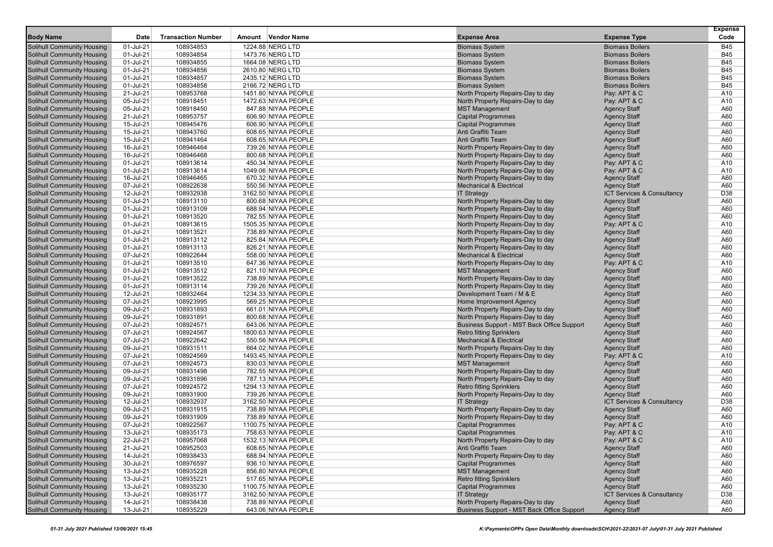|                                   |           |                           |                      |                                            |                                       | <b>Expense</b> |
|-----------------------------------|-----------|---------------------------|----------------------|--------------------------------------------|---------------------------------------|----------------|
| <b>Body Name</b>                  | Date      | <b>Transaction Number</b> | Amount Vendor Name   | <b>Expense Area</b>                        | <b>Expense Type</b>                   | Code           |
| <b>Solihull Community Housing</b> | 01-Jul-21 | 108934853                 | 1224.88 NERG LTD     | <b>Biomass System</b>                      | <b>Biomass Boilers</b>                | <b>B45</b>     |
| <b>Solihull Community Housing</b> | 01-Jul-21 | 108934854                 | 1473.76 NERG LTD     | <b>Biomass System</b>                      | <b>Biomass Boilers</b>                | <b>B45</b>     |
| <b>Solihull Community Housing</b> | 01-Jul-21 | 108934855                 | 1664.08 NERG LTD     | <b>Biomass System</b>                      | <b>Biomass Boilers</b>                | <b>B45</b>     |
| <b>Solihull Community Housing</b> | 01-Jul-21 | 108934856                 | 2610.80 NERG LTD     | <b>Biomass System</b>                      | <b>Biomass Boilers</b>                | <b>B45</b>     |
| <b>Solihull Community Housing</b> | 01-Jul-21 | 108934857                 | 2435.12 NERG LTD     | <b>Biomass System</b>                      | <b>Biomass Boilers</b>                | <b>B45</b>     |
| <b>Solihull Community Housing</b> | 01-Jul-21 | 108934858                 | 2166.72 NERG LTD     | <b>Biomass System</b>                      | <b>Biomass Boilers</b>                | <b>B45</b>     |
| <b>Solihull Community Housing</b> | 21-Jul-21 | 108953768                 | 1451.80 NIYAA PEOPLE | North Property Repairs-Day to day          | Pay: APT & C                          | A10            |
| <b>Solihull Community Housing</b> | 05-Jul-21 | 108918451                 | 1472.63 NIYAA PEOPLE | North Property Repairs-Day to day          | Pay: APT & C                          | A10            |
| <b>Solihull Community Housing</b> | 05-Jul-21 | 108918450                 | 847.88 NIYAA PEOPLE  | <b>MST Management</b>                      | <b>Agency Staff</b>                   | A60            |
| <b>Solihull Community Housing</b> | 21-Jul-21 | 108953757                 | 606.90 NIYAA PEOPLE  | <b>Capital Programmes</b>                  | <b>Agency Staff</b>                   | A60            |
| <b>Solihull Community Housing</b> | 15-Jul-21 | 108945476                 | 606.90 NIYAA PEOPLE  | <b>Capital Programmes</b>                  | <b>Agency Staff</b>                   | A60            |
| <b>Solihull Community Housing</b> | 15-Jul-21 | 108943760                 | 608.65 NIYAA PEOPLE  | Anti Graffiti Team                         | <b>Agency Staff</b>                   | A60            |
| <b>Solihull Community Housing</b> | 15-Jul-21 | 108941464                 | 608.65 NIYAA PEOPLE  | Anti Graffiti Team                         | <b>Agency Staff</b>                   | A60            |
| <b>Solihull Community Housing</b> | 16-Jul-21 | 108946464                 | 739.26 NIYAA PEOPLE  | North Property Repairs-Day to day          | <b>Agency Staff</b>                   | A60            |
| <b>Solihull Community Housing</b> | 16-Jul-21 | 108946468                 | 800.68 NIYAA PEOPLE  | North Property Repairs-Day to day          | <b>Agency Staff</b>                   | A60            |
| <b>Solihull Community Housing</b> | 01-Jul-21 | 108913614                 | 450.34 NIYAA PEOPLE  | North Property Repairs-Day to day          | Pay: APT & C                          | A10            |
| <b>Solihull Community Housing</b> | 01-Jul-21 | 108913614                 | 1049.06 NIYAA PEOPLE | North Property Repairs-Day to day          | Pay: APT & C                          | A10            |
| <b>Solihull Community Housing</b> | 16-Jul-21 | 108946465                 | 670.32 NIYAA PEOPLE  | North Property Repairs-Day to day          | <b>Agency Staff</b>                   | A60            |
| <b>Solihull Community Housing</b> | 07-Jul-21 | 108922638                 | 550.56 NIYAA PEOPLE  | <b>Mechanical &amp; Electrical</b>         | <b>Agency Staff</b>                   | A60            |
| <b>Solihull Community Housing</b> | 12-Jul-21 | 108932938                 | 3162.50 NIYAA PEOPLE | <b>IT Strategy</b>                         | ICT Services & Consultancy            | D38            |
| <b>Solihull Community Housing</b> | 01-Jul-21 | 108913110                 | 800.68 NIYAA PEOPLE  | North Property Repairs-Day to day          | <b>Agency Staff</b>                   | A60            |
| <b>Solihull Community Housing</b> | 01-Jul-21 | 108913109                 | 688.94 NIYAA PEOPLE  | North Property Repairs-Day to day          | <b>Agency Staff</b>                   | A60            |
| <b>Solihull Community Housing</b> | 01-Jul-21 | 108913520                 | 782.55 NIYAA PEOPLE  | North Property Repairs-Day to day          | <b>Agency Staff</b>                   | A60            |
| <b>Solihull Community Housing</b> | 01-Jul-21 | 108913615                 | 1505.35 NIYAA PEOPLE | North Property Repairs-Day to day          | Pay: APT & C                          | A10            |
| <b>Solihull Community Housing</b> | 01-Jul-21 | 108913521                 | 738.89 NIYAA PEOPLE  | North Property Repairs-Day to day          | <b>Agency Staff</b>                   | A60            |
| <b>Solihull Community Housing</b> | 01-Jul-21 | 108913112                 | 825.84 NIYAA PEOPLE  | North Property Repairs-Day to day          | <b>Agency Staff</b>                   | A60            |
| <b>Solihull Community Housing</b> | 01-Jul-21 | 108913113                 | 826.21 NIYAA PEOPLE  | North Property Repairs-Day to day          | <b>Agency Staff</b>                   | A60            |
| <b>Solihull Community Housing</b> | 07-Jul-21 | 108922644                 | 558.00 NIYAA PEOPLE  | <b>Mechanical &amp; Electrical</b>         | <b>Agency Staff</b>                   | A60            |
| <b>Solihull Community Housing</b> | 01-Jul-21 | 108913510                 | 647.36 NIYAA PEOPLE  | North Property Repairs-Day to day          | Pay: APT & C                          | A10            |
| <b>Solihull Community Housing</b> | 01-Jul-21 | 108913512                 | 821.10 NIYAA PEOPLE  | <b>MST Management</b>                      | <b>Agency Staff</b>                   | A60            |
| <b>Solihull Community Housing</b> | 01-Jul-21 | 108913522                 | 738.89 NIYAA PEOPLE  | North Property Repairs-Day to day          | <b>Agency Staff</b>                   | A60            |
| <b>Solihull Community Housing</b> | 01-Jul-21 | 108913114                 | 739.26 NIYAA PEOPLE  | North Property Repairs-Day to day          | <b>Agency Staff</b>                   | A60            |
| <b>Solihull Community Housing</b> | 12-Jul-21 | 108932464                 | 1234.33 NIYAA PEOPLE | Development Team / M & E                   | <b>Agency Staff</b>                   | A60            |
| <b>Solihull Community Housing</b> | 07-Jul-21 | 108923995                 | 569.25 NIYAA PEOPLE  | <b>Home Improvement Agency</b>             | <b>Agency Staff</b>                   | A60            |
| <b>Solihull Community Housing</b> | 09-Jul-21 | 108931893                 | 661.01 NIYAA PEOPLE  | North Property Repairs-Day to day          | <b>Agency Staff</b>                   | A60            |
| <b>Solihull Community Housing</b> | 09-Jul-21 | 108931891                 | 800.68 NIYAA PEOPLE  | North Property Repairs-Day to day          | <b>Agency Staff</b>                   | A60            |
| <b>Solihull Community Housing</b> | 07-Jul-21 | 108924571                 | 643.06 NIYAA PEOPLE  | Business Support - MST Back Office Support | <b>Agency Staff</b>                   | A60            |
| <b>Solihull Community Housing</b> | 07-Jul-21 | 108924567                 | 1800.63 NIYAA PEOPLE | <b>Retro fitting Sprinklers</b>            | <b>Agency Staff</b>                   | A60            |
| <b>Solihull Community Housing</b> | 07-Jul-21 | 108922642                 | 550.56 NIYAA PEOPLE  | <b>Mechanical &amp; Electrical</b>         | <b>Agency Staff</b>                   | A60            |
| <b>Solihull Community Housing</b> | 09-Jul-21 | 108931511                 | 664.02 NIYAA PEOPLE  | North Property Repairs-Day to day          | <b>Agency Staff</b>                   | A60            |
| <b>Solihull Community Housing</b> | 07-Jul-21 | 108924569                 | 1493.45 NIYAA PEOPLE | North Property Repairs-Day to day          | Pay: APT & C                          | A10            |
| <b>Solihull Community Housing</b> | 07-Jul-21 | 108924573                 | 830.03 NIYAA PEOPLE  | <b>MST Management</b>                      | <b>Agency Staff</b>                   | A60            |
| <b>Solihull Community Housing</b> | 09-Jul-21 | 108931498                 | 782.55 NIYAA PEOPLE  | North Property Repairs-Day to day          | <b>Agency Staff</b>                   | A60            |
| <b>Solihull Community Housing</b> | 09-Jul-21 | 108931896                 | 787.13 NIYAA PEOPLE  | North Property Repairs-Day to day          | <b>Agency Staff</b>                   | A60            |
| <b>Solihull Community Housing</b> | 07-Jul-21 | 108924572                 | 1294.13 NIYAA PEOPLE | <b>Retro fitting Sprinklers</b>            | <b>Agency Staff</b>                   | A60            |
| <b>Solihull Community Housing</b> | 09-Jul-21 | 108931900                 | 739.26 NIYAA PEOPLE  | North Property Repairs-Day to day          | <b>Agency Staff</b>                   | A60            |
| <b>Solihull Community Housing</b> | 12-Jul-21 | 108932937                 | 3162.50 NIYAA PEOPLE | <b>IT Strategy</b>                         | <b>ICT Services &amp; Consultancy</b> | D38            |
| <b>Solihull Community Housing</b> | 09-Jul-21 | 108931915                 | 738.89 NIYAA PEOPLE  | North Property Repairs-Day to day          | <b>Agency Staff</b>                   | A60            |
| <b>Solihull Community Housing</b> | 09-Jul-21 | 108931909                 | 738.89 NIYAA PEOPLE  | North Property Repairs-Day to day          | <b>Agency Staff</b>                   | A60            |
| <b>Solihull Community Housing</b> | 07-Jul-21 | 108922567                 | 1100.75 NIYAA PEOPLE | <b>Capital Programmes</b>                  | Pay: APT & C                          | A10            |
| <b>Solihull Community Housing</b> | 13-Jul-21 | 108935173                 | 758.63 NIYAA PEOPLE  | <b>Capital Programmes</b>                  | Pay: APT & C                          | A10            |
| <b>Solihull Community Housing</b> | 22-Jul-21 | 108957068                 | 1532.13 NIYAA PEOPLE | North Property Repairs-Day to day          | Pay: APT & C                          | A10            |
| Solihull Community Housing        | 21-Jul-21 | 108952503                 | 608.65 NIYAA PEOPLE  | Anti Graffiti Team                         | <b>Agency Staff</b>                   | A60            |
| <b>Solihull Community Housing</b> | 14-Jul-21 | 108938433                 | 688.94 NIYAA PEOPLE  | North Property Repairs-Day to day          | <b>Agency Staff</b>                   | A60            |
| <b>Solihull Community Housing</b> | 30-Jul-21 | 108976597                 | 936.10 NIYAA PEOPLE  | <b>Capital Programmes</b>                  | <b>Agency Staff</b>                   | A60            |
| <b>Solihull Community Housing</b> | 13-Jul-21 | 108935228                 | 856.80 NIYAA PEOPLE  | <b>MST Management</b>                      | <b>Agency Staff</b>                   | A60            |
| <b>Solihull Community Housing</b> | 13-Jul-21 | 108935221                 | 517.65 NIYAA PEOPLE  | <b>Retro fitting Sprinklers</b>            | <b>Agency Staff</b>                   | A60            |
| <b>Solihull Community Housing</b> | 13-Jul-21 | 108935230                 | 1100.75 NIYAA PEOPLE | <b>Capital Programmes</b>                  | <b>Agency Staff</b>                   | A60            |
| <b>Solihull Community Housing</b> | 13-Jul-21 | 108935177                 | 3162.50 NIYAA PEOPLE | <b>IT Strategy</b>                         | ICT Services & Consultancy            | D38            |
| <b>Solihull Community Housing</b> | 14-Jul-21 | 108938438                 | 738.89 NIYAA PEOPLE  | North Property Repairs-Day to day          | <b>Agency Staff</b>                   | A60            |
| <b>Solihull Community Housing</b> | 13-Jul-21 | 108935229                 | 643.06 NIYAA PEOPLE  | Business Support - MST Back Office Support | <b>Agency Staff</b>                   | A60            |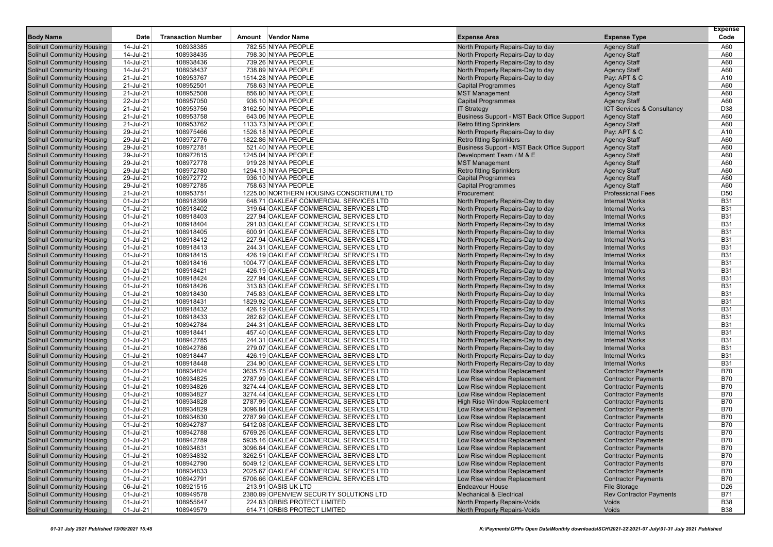| Amount Vendor Name<br>Solihull Community Housing<br>14-Jul-21<br>108938385<br>782.55 NIYAA PEOPLE<br>A60<br>North Property Repairs-Day to day<br><b>Agency Staff</b><br>Solihull Community Housing<br>14-Jul-21<br>108938435<br>798.30 NIYAA PEOPLE<br>North Property Repairs-Day to day<br><b>Agency Staff</b><br>A60<br>14-Jul-21<br>108938436<br>A60<br>Solihull Community Housing<br>739.26 NIYAA PEOPLE<br>North Property Repairs-Day to day<br><b>Agency Staff</b><br>Solihull Community Housing<br>14-Jul-21<br>108938437<br>738.89 NIYAA PEOPLE<br>North Property Repairs-Day to day<br><b>Agency Staff</b><br>A60<br>Solihull Community Housing<br>21-Jul-21<br>108953767<br>1514.28 NIYAA PEOPLE<br>North Property Repairs-Day to day<br>Pay: APT & C<br>A10<br>A60<br>Solihull Community Housing<br>21-Jul-21<br>108952501<br>758.63 NIYAA PEOPLE<br><b>Capital Programmes</b><br><b>Agency Staff</b><br>108952508<br>A60<br>Solihull Community Housing<br>21-Jul-21<br>856.80 NIYAA PEOPLE<br><b>MST Management</b><br><b>Agency Staff</b><br>A60<br>Solihull Community Housing<br>22-Jul-21<br>108957050<br>936.10 NIYAA PEOPLE<br><b>Capital Programmes</b><br><b>Agency Staff</b><br>D38<br>Solihull Community Housing<br>21-Jul-21<br>108953756<br>3162.50 NIYAA PEOPLE<br><b>IT Strategy</b><br>ICT Services & Consultancy<br>A60<br><b>Solihull Community Housing</b><br>21-Jul-21<br>108953758<br>643.06 NIYAA PEOPLE<br>Business Support - MST Back Office Support<br><b>Agency Staff</b><br>A60<br>Solihull Community Housing<br>21-Jul-21<br>108953762<br>1133.73 NIYAA PEOPLE<br><b>Retro fitting Sprinklers</b><br><b>Agency Staff</b><br>Solihull Community Housing<br>29-Jul-21<br>108975466<br>1526.18 NIYAA PEOPLE<br>North Property Repairs-Day to day<br>Pay: APT & C<br>A10<br>108972776<br>A60<br>Solihull Community Housing<br>29-Jul-21<br>1822.86 NIYAA PEOPLE<br><b>Retro fitting Sprinklers</b><br><b>Agency Staff</b><br>Solihull Community Housing<br>29-Jul-21<br>108972781<br>521.40 NIYAA PEOPLE<br>Business Support - MST Back Office Support<br><b>Agency Staff</b><br>A60<br>A60<br>Solihull Community Housing<br>29-Jul-21<br>108972815<br>1245.04 NIYAA PEOPLE<br>Development Team / M & E<br><b>Agency Staff</b><br>A60<br>Solihull Community Housing<br>29-Jul-21<br>108972778<br>919.28 NIYAA PEOPLE<br><b>MST Management</b><br><b>Agency Staff</b><br>A60<br>Solihull Community Housing<br>29-Jul-21<br>108972780<br>1294.13 NIYAA PEOPLE<br><b>Retro fitting Sprinklers</b><br><b>Agency Staff</b><br>108972772<br>A60<br>Solihull Community Housing<br>29-Jul-21<br>936.10 NIYAA PEOPLE<br><b>Capital Programmes</b><br><b>Agency Staff</b><br>Solihull Community Housing<br>29-Jul-21<br>108972785<br>758.63 NIYAA PEOPLE<br><b>Capital Programmes</b><br><b>Agency Staff</b><br>A60<br>D <sub>50</sub><br><b>Solihull Community Housing</b><br>21-Jul-21<br>108953751<br>1225.00 NORTHERN HOUSING CONSORTIUM LTD<br>Procurement<br><b>Professional Fees</b><br><b>B31</b><br>Solihull Community Housing<br>01-Jul-21<br>108918399<br>648.71 OAKLEAF COMMERCIAL SERVICES LTD<br>North Property Repairs-Day to day<br><b>Internal Works</b><br><b>B31</b><br>Solihull Community Housing<br>01-Jul-21<br>108918402<br>319.64 OAKLEAF COMMERCIAL SERVICES LTD<br>North Property Repairs-Day to day<br><b>Internal Works</b><br><b>B31</b><br>Solihull Community Housing<br>01-Jul-21<br>108918403<br>227.94 OAKLEAF COMMERCIAL SERVICES LTD<br>North Property Repairs-Day to day<br><b>Internal Works</b><br><b>B31</b><br>Solihull Community Housing<br>01-Jul-21<br>108918404<br>291.03 OAKLEAF COMMERCIAL SERVICES LTD<br>North Property Repairs-Day to day<br><b>Internal Works</b><br><b>B31</b><br>Solihull Community Housing<br>01-Jul-21<br>108918405<br>600.91 OAKLEAF COMMERCIAL SERVICES LTD<br>North Property Repairs-Day to day<br><b>Internal Works</b><br><b>B31</b><br>Solihull Community Housing<br>01-Jul-21<br>108918412<br>227.94 OAKLEAF COMMERCIAL SERVICES LTD<br>North Property Repairs-Day to day<br><b>Internal Works</b><br><b>B31</b><br>Solihull Community Housing<br>01-Jul-21<br>108918413<br>244.31 OAKLEAF COMMERCIAL SERVICES LTD<br>North Property Repairs-Day to day<br><b>Internal Works</b><br><b>B31</b><br>Solihull Community Housing<br>01-Jul-21<br>108918415<br>426.19 OAKLEAF COMMERCIAL SERVICES LTD<br>North Property Repairs-Day to day<br><b>Internal Works</b><br><b>B31</b><br>Solihull Community Housing<br>01-Jul-21<br>108918416<br>1004.77 OAKLEAF COMMERCIAL SERVICES LTD<br>North Property Repairs-Day to day<br><b>Internal Works</b><br><b>B31</b><br>Solihull Community Housing<br>01-Jul-21<br>108918421<br>426.19 OAKLEAF COMMERCIAL SERVICES LTD<br>North Property Repairs-Day to day<br><b>Internal Works</b><br><b>B31</b><br>Solihull Community Housing<br>01-Jul-21<br>108918424<br>227.94 OAKLEAF COMMERCIAL SERVICES LTD<br>North Property Repairs-Day to day<br><b>Internal Works</b><br><b>B31</b><br>Solihull Community Housing<br>01-Jul-21<br>108918426<br>313.83 OAKLEAF COMMERCIAL SERVICES LTD<br>North Property Repairs-Day to day<br><b>Internal Works</b><br><b>B31</b><br>Solihull Community Housing<br>01-Jul-21<br>108918430<br>745.83 OAKLEAF COMMERCIAL SERVICES LTD<br>North Property Repairs-Day to day<br><b>Internal Works</b><br><b>Solihull Community Housing</b><br><b>B31</b><br>01-Jul-21<br>108918431<br>1829.92 OAKLEAF COMMERCIAL SERVICES LTD<br>North Property Repairs-Day to day<br><b>Internal Works</b><br><b>B31</b><br>Solihull Community Housing<br>01-Jul-21<br>108918432<br>North Property Repairs-Day to day<br><b>Internal Works</b><br>426.19 OAKLEAF COMMERCIAL SERVICES LTD<br><b>B31</b><br>Solihull Community Housing<br>01-Jul-21<br>108918433<br>282.62 OAKLEAF COMMERCIAL SERVICES LTD<br>North Property Repairs-Day to day<br><b>Internal Works</b><br><b>B31</b><br>Solihull Community Housing<br>01-Jul-21<br>108942784<br>244.31 OAKLEAF COMMERCIAL SERVICES LTD<br>North Property Repairs-Day to day<br><b>Internal Works</b><br><b>B31</b><br>Solihull Community Housing<br>01-Jul-21<br>108918441<br>North Property Repairs-Day to day<br><b>Internal Works</b><br>457.40 OAKLEAF COMMERCIAL SERVICES LTD<br><b>Solihull Community Housing</b><br><b>B31</b><br>01-Jul-21<br>108942785<br>244.31 OAKLEAF COMMERCIAL SERVICES LTD<br>North Property Repairs-Day to day<br><b>Internal Works</b><br><b>B31</b><br>Solihull Community Housing<br>01-Jul-21<br>108942786<br><b>Internal Works</b><br>279.07 OAKLEAF COMMERCIAL SERVICES LTD<br>North Property Repairs-Day to day<br><b>B31</b><br>Solihull Community Housing<br>01-Jul-21<br>108918447<br>426.19 OAKLEAF COMMERCIAL SERVICES LTD<br>North Property Repairs-Day to day<br><b>Internal Works</b><br><b>B31</b><br>Solihull Community Housing<br>01-Jul-21<br>108918448<br>234.90 OAKLEAF COMMERCIAL SERVICES LTD<br>North Property Repairs-Day to day<br><b>Internal Works</b><br>108934824<br><b>B70</b><br>Solihull Community Housing<br>01-Jul-21<br>3635.75 OAKLEAF COMMERCIAL SERVICES LTD<br>Low Rise window Replacement<br><b>Contractor Payments</b><br><b>Solihull Community Housing</b><br><b>B70</b><br>01-Jul-21<br>108934825<br>2787.99 OAKLEAF COMMERCIAL SERVICES LTD<br>Low Rise window Replacement<br><b>Contractor Payments</b><br><b>B70</b><br>Solihull Community Housing<br>01-Jul-21<br>108934826<br>Low Rise window Replacement<br><b>Contractor Payments</b><br>3274.44 OAKLEAF COMMERCIAL SERVICES LTD<br><b>B70</b><br>Solihull Community Housing<br>01-Jul-21<br>108934827<br>3274.44 OAKLEAF COMMERCIAL SERVICES LTD<br>Low Rise window Replacement<br><b>Contractor Payments</b><br><b>B70</b><br>Solihull Community Housing<br>01-Jul-21<br>108934828<br>2787.99 OAKLEAF COMMERCIAL SERVICES LTD<br><b>High Rise Window Replacement</b><br><b>Contractor Payments</b><br>108934829<br><b>B70</b><br><b>Solihull Community Housing</b><br>01-Jul-21<br>Low Rise window Replacement<br><b>Contractor Payments</b><br>3096.84 OAKLEAF COMMERCIAL SERVICES LTD<br><b>Solihull Community Housing</b><br><b>B70</b><br>01-Jul-21<br>108934830<br>2787.99 OAKLEAF COMMERCIAL SERVICES LTD<br>Low Rise window Replacement<br><b>Contractor Payments</b><br><b>B70</b><br>Solihull Community Housing<br>01-Jul-21<br>108942787<br>Low Rise window Replacement<br><b>Contractor Payments</b><br>5412.08 OAKLEAF COMMERCIAL SERVICES LTD<br><b>B70</b><br><b>Solihull Community Housing</b><br>01-Jul-21<br>108942788<br>5769.26 OAKLEAF COMMERCIAL SERVICES LTD<br>Low Rise window Replacement<br><b>Contractor Payments</b><br><b>Solihull Community Housing</b><br>01-Jul-21<br>Low Rise window Replacement<br><b>Contractor Payments</b><br><b>B70</b><br>108942789<br>5935.16 OAKLEAF COMMERCIAL SERVICES LTD<br>108934831<br><b>B70</b><br><b>Solihull Community Housing</b><br>01-Jul-21<br>3096.84 OAKLEAF COMMERCIAL SERVICES LTD<br>Low Rise window Replacement<br><b>Contractor Payments</b><br><b>Solihull Community Housing</b><br>108934832<br>Low Rise window Replacement<br><b>Contractor Payments</b><br><b>B70</b><br>01-Jul-21<br>3262.51 OAKLEAF COMMERCIAL SERVICES LTD<br><b>Solihull Community Housing</b><br>01-Jul-21<br>108942790<br>Low Rise window Replacement<br><b>Contractor Payments</b><br><b>B70</b><br>5049.12 OAKLEAF COMMERCIAL SERVICES LTD<br>108934833<br><b>B70</b><br><b>Solihull Community Housing</b><br>01-Jul-21<br>2025.67 OAKLEAF COMMERCIAL SERVICES LTD<br>Low Rise window Replacement<br><b>Contractor Payments</b><br><b>Solihull Community Housing</b><br><b>B70</b><br>01-Jul-21<br>108942791<br>5706.66 OAKLEAF COMMERCIAL SERVICES LTD<br>Low Rise window Replacement<br><b>Contractor Payments</b><br>108921515<br>D <sub>26</sub><br>Solihull Community Housing<br>06-Jul-21<br>213.91 OASIS UK LTD<br><b>Endeavour House</b><br>File Storage<br><b>Solihull Community Housing</b><br><b>Mechanical &amp; Electrical</b><br><b>Rev Contractor Payments</b><br>01-Jul-21<br>108949578<br>2380.89 OPENVIEW SECURITY SOLUTIONS LTD<br><b>B71</b><br><b>B38</b><br><b>Solihull Community Housing</b><br>01-Jul-21<br>108955647<br>North Property Repairs-Voids<br>Voids<br>224.83 ORBIS PROTECT LIMITED<br><b>Solihull Community Housing</b><br>Voids<br><b>B38</b><br>01-Jul-21<br>108949579<br>614.71 ORBIS PROTECT LIMITED<br>North Property Repairs-Voids | <b>Body Name</b> | Date | <b>Transaction Number</b> |  | <b>Expense Area</b> | <b>Expense Type</b> | <b>Expense</b><br>Code |
|---------------------------------------------------------------------------------------------------------------------------------------------------------------------------------------------------------------------------------------------------------------------------------------------------------------------------------------------------------------------------------------------------------------------------------------------------------------------------------------------------------------------------------------------------------------------------------------------------------------------------------------------------------------------------------------------------------------------------------------------------------------------------------------------------------------------------------------------------------------------------------------------------------------------------------------------------------------------------------------------------------------------------------------------------------------------------------------------------------------------------------------------------------------------------------------------------------------------------------------------------------------------------------------------------------------------------------------------------------------------------------------------------------------------------------------------------------------------------------------------------------------------------------------------------------------------------------------------------------------------------------------------------------------------------------------------------------------------------------------------------------------------------------------------------------------------------------------------------------------------------------------------------------------------------------------------------------------------------------------------------------------------------------------------------------------------------------------------------------------------------------------------------------------------------------------------------------------------------------------------------------------------------------------------------------------------------------------------------------------------------------------------------------------------------------------------------------------------------------------------------------------------------------------------------------------------------------------------------------------------------------------------------------------------------------------------------------------------------------------------------------------------------------------------------------------------------------------------------------------------------------------------------------------------------------------------------------------------------------------------------------------------------------------------------------------------------------------------------------------------------------------------------------------------------------------------------------------------------------------------------------------------------------------------------------------------------------------------------------------------------------------------------------------------------------------------------------------------------------------------------------------------------------------------------------------------------------------------------------------------------------------------------------------------------------------------------------------------------------------------------------------------------------------------------------------------------------------------------------------------------------------------------------------------------------------------------------------------------------------------------------------------------------------------------------------------------------------------------------------------------------------------------------------------------------------------------------------------------------------------------------------------------------------------------------------------------------------------------------------------------------------------------------------------------------------------------------------------------------------------------------------------------------------------------------------------------------------------------------------------------------------------------------------------------------------------------------------------------------------------------------------------------------------------------------------------------------------------------------------------------------------------------------------------------------------------------------------------------------------------------------------------------------------------------------------------------------------------------------------------------------------------------------------------------------------------------------------------------------------------------------------------------------------------------------------------------------------------------------------------------------------------------------------------------------------------------------------------------------------------------------------------------------------------------------------------------------------------------------------------------------------------------------------------------------------------------------------------------------------------------------------------------------------------------------------------------------------------------------------------------------------------------------------------------------------------------------------------------------------------------------------------------------------------------------------------------------------------------------------------------------------------------------------------------------------------------------------------------------------------------------------------------------------------------------------------------------------------------------------------------------------------------------------------------------------------------------------------------------------------------------------------------------------------------------------------------------------------------------------------------------------------------------------------------------------------------------------------------------------------------------------------------------------------------------------------------------------------------------------------------------------------------------------------------------------------------------------------------------------------------------------------------------------------------------------------------------------------------------------------------------------------------------------------------------------------------------------------------------------------------------------------------------------------------------------------------------------------------------------------------------------------------------------------------------------------------------------------------------------------------------------------------------------------------------------------------------------------------------------------------------------------------------------------------------------------------------------------------------------------------------------------------------------------------------------------------------------------------------------------------------------------------------------------------------------------------------------------------------------------------------------------------------------------------------------------------------------------------------------------------------------------------------------------------------------------------------------------------------------------------------------------------------------------------------------------------------------------------------------------------------------------------------------------------------------------------------------------------------------------------------------------------------------------------------------------------------------------------------------------------------------------------------------------------------------------------------------------------------------------------------------------------------------------------------------------------------------------------------------------------------------------------------------------------------------------------------------------------------------------------------------------------------------------------------------------------------------------------------------------------------------------------------------------------------------------------------------------------------------------------------------------------------------------------------------------------------------------------------------------------------------------------------------------------------------------------------------------------------------------------------------------------------------------------------------------------------------------------------------------------------------------------------------------------------------------------------------------------------------------------------------------------------------------------------------------------------------------------------------------------------------------------------------------------------------------------------------------------------------------------------------------------------------------------------------------------------------------------------------------------------------------------------------------------------------------------------------------------------------------------------------------------------------------------------------------------------------------------------------------------------------------------------------------------------------------------------------------------------|------------------|------|---------------------------|--|---------------------|---------------------|------------------------|
|                                                                                                                                                                                                                                                                                                                                                                                                                                                                                                                                                                                                                                                                                                                                                                                                                                                                                                                                                                                                                                                                                                                                                                                                                                                                                                                                                                                                                                                                                                                                                                                                                                                                                                                                                                                                                                                                                                                                                                                                                                                                                                                                                                                                                                                                                                                                                                                                                                                                                                                                                                                                                                                                                                                                                                                                                                                                                                                                                                                                                                                                                                                                                                                                                                                                                                                                                                                                                                                                                                                                                                                                                                                                                                                                                                                                                                                                                                                                                                                                                                                                                                                                                                                                                                                                                                                                                                                                                                                                                                                                                                                                                                                                                                                                                                                                                                                                                                                                                                                                                                                                                                                                                                                                                                                                                                                                                                                                                                                                                                                                                                                                                                                                                                                                                                                                                                                                                                                                                                                                                                                                                                                                                                                                                                                                                                                                                                                                                                                                                                                                                                                                                                                                                                                                                                                                                                                                                                                                                                                                                                                                                                                                                                                                                                                                                                                                                                                                                                                                                                                                                                                                                                                                                                                                                                                                                                                                                                                                                                                                                                                                                                                                                                                                                                                                                                                                                                                                                                                                                                                                                                                                                                                                                                                                                                                                                                                                                                                                                                                                                                                                                                                                                                                                                                                                                                                                                                                                                                                                                                                                                                                                                                                                                                                                                                                                                                                                                                                                                                                                                                                                                                                                                                                                                                                                                                                                                                                                                                                                                 |                  |      |                           |  |                     |                     |                        |
|                                                                                                                                                                                                                                                                                                                                                                                                                                                                                                                                                                                                                                                                                                                                                                                                                                                                                                                                                                                                                                                                                                                                                                                                                                                                                                                                                                                                                                                                                                                                                                                                                                                                                                                                                                                                                                                                                                                                                                                                                                                                                                                                                                                                                                                                                                                                                                                                                                                                                                                                                                                                                                                                                                                                                                                                                                                                                                                                                                                                                                                                                                                                                                                                                                                                                                                                                                                                                                                                                                                                                                                                                                                                                                                                                                                                                                                                                                                                                                                                                                                                                                                                                                                                                                                                                                                                                                                                                                                                                                                                                                                                                                                                                                                                                                                                                                                                                                                                                                                                                                                                                                                                                                                                                                                                                                                                                                                                                                                                                                                                                                                                                                                                                                                                                                                                                                                                                                                                                                                                                                                                                                                                                                                                                                                                                                                                                                                                                                                                                                                                                                                                                                                                                                                                                                                                                                                                                                                                                                                                                                                                                                                                                                                                                                                                                                                                                                                                                                                                                                                                                                                                                                                                                                                                                                                                                                                                                                                                                                                                                                                                                                                                                                                                                                                                                                                                                                                                                                                                                                                                                                                                                                                                                                                                                                                                                                                                                                                                                                                                                                                                                                                                                                                                                                                                                                                                                                                                                                                                                                                                                                                                                                                                                                                                                                                                                                                                                                                                                                                                                                                                                                                                                                                                                                                                                                                                                                                                                                                                                 |                  |      |                           |  |                     |                     |                        |
|                                                                                                                                                                                                                                                                                                                                                                                                                                                                                                                                                                                                                                                                                                                                                                                                                                                                                                                                                                                                                                                                                                                                                                                                                                                                                                                                                                                                                                                                                                                                                                                                                                                                                                                                                                                                                                                                                                                                                                                                                                                                                                                                                                                                                                                                                                                                                                                                                                                                                                                                                                                                                                                                                                                                                                                                                                                                                                                                                                                                                                                                                                                                                                                                                                                                                                                                                                                                                                                                                                                                                                                                                                                                                                                                                                                                                                                                                                                                                                                                                                                                                                                                                                                                                                                                                                                                                                                                                                                                                                                                                                                                                                                                                                                                                                                                                                                                                                                                                                                                                                                                                                                                                                                                                                                                                                                                                                                                                                                                                                                                                                                                                                                                                                                                                                                                                                                                                                                                                                                                                                                                                                                                                                                                                                                                                                                                                                                                                                                                                                                                                                                                                                                                                                                                                                                                                                                                                                                                                                                                                                                                                                                                                                                                                                                                                                                                                                                                                                                                                                                                                                                                                                                                                                                                                                                                                                                                                                                                                                                                                                                                                                                                                                                                                                                                                                                                                                                                                                                                                                                                                                                                                                                                                                                                                                                                                                                                                                                                                                                                                                                                                                                                                                                                                                                                                                                                                                                                                                                                                                                                                                                                                                                                                                                                                                                                                                                                                                                                                                                                                                                                                                                                                                                                                                                                                                                                                                                                                                                                                 |                  |      |                           |  |                     |                     |                        |
|                                                                                                                                                                                                                                                                                                                                                                                                                                                                                                                                                                                                                                                                                                                                                                                                                                                                                                                                                                                                                                                                                                                                                                                                                                                                                                                                                                                                                                                                                                                                                                                                                                                                                                                                                                                                                                                                                                                                                                                                                                                                                                                                                                                                                                                                                                                                                                                                                                                                                                                                                                                                                                                                                                                                                                                                                                                                                                                                                                                                                                                                                                                                                                                                                                                                                                                                                                                                                                                                                                                                                                                                                                                                                                                                                                                                                                                                                                                                                                                                                                                                                                                                                                                                                                                                                                                                                                                                                                                                                                                                                                                                                                                                                                                                                                                                                                                                                                                                                                                                                                                                                                                                                                                                                                                                                                                                                                                                                                                                                                                                                                                                                                                                                                                                                                                                                                                                                                                                                                                                                                                                                                                                                                                                                                                                                                                                                                                                                                                                                                                                                                                                                                                                                                                                                                                                                                                                                                                                                                                                                                                                                                                                                                                                                                                                                                                                                                                                                                                                                                                                                                                                                                                                                                                                                                                                                                                                                                                                                                                                                                                                                                                                                                                                                                                                                                                                                                                                                                                                                                                                                                                                                                                                                                                                                                                                                                                                                                                                                                                                                                                                                                                                                                                                                                                                                                                                                                                                                                                                                                                                                                                                                                                                                                                                                                                                                                                                                                                                                                                                                                                                                                                                                                                                                                                                                                                                                                                                                                                                                 |                  |      |                           |  |                     |                     |                        |
|                                                                                                                                                                                                                                                                                                                                                                                                                                                                                                                                                                                                                                                                                                                                                                                                                                                                                                                                                                                                                                                                                                                                                                                                                                                                                                                                                                                                                                                                                                                                                                                                                                                                                                                                                                                                                                                                                                                                                                                                                                                                                                                                                                                                                                                                                                                                                                                                                                                                                                                                                                                                                                                                                                                                                                                                                                                                                                                                                                                                                                                                                                                                                                                                                                                                                                                                                                                                                                                                                                                                                                                                                                                                                                                                                                                                                                                                                                                                                                                                                                                                                                                                                                                                                                                                                                                                                                                                                                                                                                                                                                                                                                                                                                                                                                                                                                                                                                                                                                                                                                                                                                                                                                                                                                                                                                                                                                                                                                                                                                                                                                                                                                                                                                                                                                                                                                                                                                                                                                                                                                                                                                                                                                                                                                                                                                                                                                                                                                                                                                                                                                                                                                                                                                                                                                                                                                                                                                                                                                                                                                                                                                                                                                                                                                                                                                                                                                                                                                                                                                                                                                                                                                                                                                                                                                                                                                                                                                                                                                                                                                                                                                                                                                                                                                                                                                                                                                                                                                                                                                                                                                                                                                                                                                                                                                                                                                                                                                                                                                                                                                                                                                                                                                                                                                                                                                                                                                                                                                                                                                                                                                                                                                                                                                                                                                                                                                                                                                                                                                                                                                                                                                                                                                                                                                                                                                                                                                                                                                                                                 |                  |      |                           |  |                     |                     |                        |
|                                                                                                                                                                                                                                                                                                                                                                                                                                                                                                                                                                                                                                                                                                                                                                                                                                                                                                                                                                                                                                                                                                                                                                                                                                                                                                                                                                                                                                                                                                                                                                                                                                                                                                                                                                                                                                                                                                                                                                                                                                                                                                                                                                                                                                                                                                                                                                                                                                                                                                                                                                                                                                                                                                                                                                                                                                                                                                                                                                                                                                                                                                                                                                                                                                                                                                                                                                                                                                                                                                                                                                                                                                                                                                                                                                                                                                                                                                                                                                                                                                                                                                                                                                                                                                                                                                                                                                                                                                                                                                                                                                                                                                                                                                                                                                                                                                                                                                                                                                                                                                                                                                                                                                                                                                                                                                                                                                                                                                                                                                                                                                                                                                                                                                                                                                                                                                                                                                                                                                                                                                                                                                                                                                                                                                                                                                                                                                                                                                                                                                                                                                                                                                                                                                                                                                                                                                                                                                                                                                                                                                                                                                                                                                                                                                                                                                                                                                                                                                                                                                                                                                                                                                                                                                                                                                                                                                                                                                                                                                                                                                                                                                                                                                                                                                                                                                                                                                                                                                                                                                                                                                                                                                                                                                                                                                                                                                                                                                                                                                                                                                                                                                                                                                                                                                                                                                                                                                                                                                                                                                                                                                                                                                                                                                                                                                                                                                                                                                                                                                                                                                                                                                                                                                                                                                                                                                                                                                                                                                                                                 |                  |      |                           |  |                     |                     |                        |
|                                                                                                                                                                                                                                                                                                                                                                                                                                                                                                                                                                                                                                                                                                                                                                                                                                                                                                                                                                                                                                                                                                                                                                                                                                                                                                                                                                                                                                                                                                                                                                                                                                                                                                                                                                                                                                                                                                                                                                                                                                                                                                                                                                                                                                                                                                                                                                                                                                                                                                                                                                                                                                                                                                                                                                                                                                                                                                                                                                                                                                                                                                                                                                                                                                                                                                                                                                                                                                                                                                                                                                                                                                                                                                                                                                                                                                                                                                                                                                                                                                                                                                                                                                                                                                                                                                                                                                                                                                                                                                                                                                                                                                                                                                                                                                                                                                                                                                                                                                                                                                                                                                                                                                                                                                                                                                                                                                                                                                                                                                                                                                                                                                                                                                                                                                                                                                                                                                                                                                                                                                                                                                                                                                                                                                                                                                                                                                                                                                                                                                                                                                                                                                                                                                                                                                                                                                                                                                                                                                                                                                                                                                                                                                                                                                                                                                                                                                                                                                                                                                                                                                                                                                                                                                                                                                                                                                                                                                                                                                                                                                                                                                                                                                                                                                                                                                                                                                                                                                                                                                                                                                                                                                                                                                                                                                                                                                                                                                                                                                                                                                                                                                                                                                                                                                                                                                                                                                                                                                                                                                                                                                                                                                                                                                                                                                                                                                                                                                                                                                                                                                                                                                                                                                                                                                                                                                                                                                                                                                                                                 |                  |      |                           |  |                     |                     |                        |
|                                                                                                                                                                                                                                                                                                                                                                                                                                                                                                                                                                                                                                                                                                                                                                                                                                                                                                                                                                                                                                                                                                                                                                                                                                                                                                                                                                                                                                                                                                                                                                                                                                                                                                                                                                                                                                                                                                                                                                                                                                                                                                                                                                                                                                                                                                                                                                                                                                                                                                                                                                                                                                                                                                                                                                                                                                                                                                                                                                                                                                                                                                                                                                                                                                                                                                                                                                                                                                                                                                                                                                                                                                                                                                                                                                                                                                                                                                                                                                                                                                                                                                                                                                                                                                                                                                                                                                                                                                                                                                                                                                                                                                                                                                                                                                                                                                                                                                                                                                                                                                                                                                                                                                                                                                                                                                                                                                                                                                                                                                                                                                                                                                                                                                                                                                                                                                                                                                                                                                                                                                                                                                                                                                                                                                                                                                                                                                                                                                                                                                                                                                                                                                                                                                                                                                                                                                                                                                                                                                                                                                                                                                                                                                                                                                                                                                                                                                                                                                                                                                                                                                                                                                                                                                                                                                                                                                                                                                                                                                                                                                                                                                                                                                                                                                                                                                                                                                                                                                                                                                                                                                                                                                                                                                                                                                                                                                                                                                                                                                                                                                                                                                                                                                                                                                                                                                                                                                                                                                                                                                                                                                                                                                                                                                                                                                                                                                                                                                                                                                                                                                                                                                                                                                                                                                                                                                                                                                                                                                                                                 |                  |      |                           |  |                     |                     |                        |
|                                                                                                                                                                                                                                                                                                                                                                                                                                                                                                                                                                                                                                                                                                                                                                                                                                                                                                                                                                                                                                                                                                                                                                                                                                                                                                                                                                                                                                                                                                                                                                                                                                                                                                                                                                                                                                                                                                                                                                                                                                                                                                                                                                                                                                                                                                                                                                                                                                                                                                                                                                                                                                                                                                                                                                                                                                                                                                                                                                                                                                                                                                                                                                                                                                                                                                                                                                                                                                                                                                                                                                                                                                                                                                                                                                                                                                                                                                                                                                                                                                                                                                                                                                                                                                                                                                                                                                                                                                                                                                                                                                                                                                                                                                                                                                                                                                                                                                                                                                                                                                                                                                                                                                                                                                                                                                                                                                                                                                                                                                                                                                                                                                                                                                                                                                                                                                                                                                                                                                                                                                                                                                                                                                                                                                                                                                                                                                                                                                                                                                                                                                                                                                                                                                                                                                                                                                                                                                                                                                                                                                                                                                                                                                                                                                                                                                                                                                                                                                                                                                                                                                                                                                                                                                                                                                                                                                                                                                                                                                                                                                                                                                                                                                                                                                                                                                                                                                                                                                                                                                                                                                                                                                                                                                                                                                                                                                                                                                                                                                                                                                                                                                                                                                                                                                                                                                                                                                                                                                                                                                                                                                                                                                                                                                                                                                                                                                                                                                                                                                                                                                                                                                                                                                                                                                                                                                                                                                                                                                                                                 |                  |      |                           |  |                     |                     |                        |
|                                                                                                                                                                                                                                                                                                                                                                                                                                                                                                                                                                                                                                                                                                                                                                                                                                                                                                                                                                                                                                                                                                                                                                                                                                                                                                                                                                                                                                                                                                                                                                                                                                                                                                                                                                                                                                                                                                                                                                                                                                                                                                                                                                                                                                                                                                                                                                                                                                                                                                                                                                                                                                                                                                                                                                                                                                                                                                                                                                                                                                                                                                                                                                                                                                                                                                                                                                                                                                                                                                                                                                                                                                                                                                                                                                                                                                                                                                                                                                                                                                                                                                                                                                                                                                                                                                                                                                                                                                                                                                                                                                                                                                                                                                                                                                                                                                                                                                                                                                                                                                                                                                                                                                                                                                                                                                                                                                                                                                                                                                                                                                                                                                                                                                                                                                                                                                                                                                                                                                                                                                                                                                                                                                                                                                                                                                                                                                                                                                                                                                                                                                                                                                                                                                                                                                                                                                                                                                                                                                                                                                                                                                                                                                                                                                                                                                                                                                                                                                                                                                                                                                                                                                                                                                                                                                                                                                                                                                                                                                                                                                                                                                                                                                                                                                                                                                                                                                                                                                                                                                                                                                                                                                                                                                                                                                                                                                                                                                                                                                                                                                                                                                                                                                                                                                                                                                                                                                                                                                                                                                                                                                                                                                                                                                                                                                                                                                                                                                                                                                                                                                                                                                                                                                                                                                                                                                                                                                                                                                                                                 |                  |      |                           |  |                     |                     |                        |
|                                                                                                                                                                                                                                                                                                                                                                                                                                                                                                                                                                                                                                                                                                                                                                                                                                                                                                                                                                                                                                                                                                                                                                                                                                                                                                                                                                                                                                                                                                                                                                                                                                                                                                                                                                                                                                                                                                                                                                                                                                                                                                                                                                                                                                                                                                                                                                                                                                                                                                                                                                                                                                                                                                                                                                                                                                                                                                                                                                                                                                                                                                                                                                                                                                                                                                                                                                                                                                                                                                                                                                                                                                                                                                                                                                                                                                                                                                                                                                                                                                                                                                                                                                                                                                                                                                                                                                                                                                                                                                                                                                                                                                                                                                                                                                                                                                                                                                                                                                                                                                                                                                                                                                                                                                                                                                                                                                                                                                                                                                                                                                                                                                                                                                                                                                                                                                                                                                                                                                                                                                                                                                                                                                                                                                                                                                                                                                                                                                                                                                                                                                                                                                                                                                                                                                                                                                                                                                                                                                                                                                                                                                                                                                                                                                                                                                                                                                                                                                                                                                                                                                                                                                                                                                                                                                                                                                                                                                                                                                                                                                                                                                                                                                                                                                                                                                                                                                                                                                                                                                                                                                                                                                                                                                                                                                                                                                                                                                                                                                                                                                                                                                                                                                                                                                                                                                                                                                                                                                                                                                                                                                                                                                                                                                                                                                                                                                                                                                                                                                                                                                                                                                                                                                                                                                                                                                                                                                                                                                                                                 |                  |      |                           |  |                     |                     |                        |
|                                                                                                                                                                                                                                                                                                                                                                                                                                                                                                                                                                                                                                                                                                                                                                                                                                                                                                                                                                                                                                                                                                                                                                                                                                                                                                                                                                                                                                                                                                                                                                                                                                                                                                                                                                                                                                                                                                                                                                                                                                                                                                                                                                                                                                                                                                                                                                                                                                                                                                                                                                                                                                                                                                                                                                                                                                                                                                                                                                                                                                                                                                                                                                                                                                                                                                                                                                                                                                                                                                                                                                                                                                                                                                                                                                                                                                                                                                                                                                                                                                                                                                                                                                                                                                                                                                                                                                                                                                                                                                                                                                                                                                                                                                                                                                                                                                                                                                                                                                                                                                                                                                                                                                                                                                                                                                                                                                                                                                                                                                                                                                                                                                                                                                                                                                                                                                                                                                                                                                                                                                                                                                                                                                                                                                                                                                                                                                                                                                                                                                                                                                                                                                                                                                                                                                                                                                                                                                                                                                                                                                                                                                                                                                                                                                                                                                                                                                                                                                                                                                                                                                                                                                                                                                                                                                                                                                                                                                                                                                                                                                                                                                                                                                                                                                                                                                                                                                                                                                                                                                                                                                                                                                                                                                                                                                                                                                                                                                                                                                                                                                                                                                                                                                                                                                                                                                                                                                                                                                                                                                                                                                                                                                                                                                                                                                                                                                                                                                                                                                                                                                                                                                                                                                                                                                                                                                                                                                                                                                                                                 |                  |      |                           |  |                     |                     |                        |
|                                                                                                                                                                                                                                                                                                                                                                                                                                                                                                                                                                                                                                                                                                                                                                                                                                                                                                                                                                                                                                                                                                                                                                                                                                                                                                                                                                                                                                                                                                                                                                                                                                                                                                                                                                                                                                                                                                                                                                                                                                                                                                                                                                                                                                                                                                                                                                                                                                                                                                                                                                                                                                                                                                                                                                                                                                                                                                                                                                                                                                                                                                                                                                                                                                                                                                                                                                                                                                                                                                                                                                                                                                                                                                                                                                                                                                                                                                                                                                                                                                                                                                                                                                                                                                                                                                                                                                                                                                                                                                                                                                                                                                                                                                                                                                                                                                                                                                                                                                                                                                                                                                                                                                                                                                                                                                                                                                                                                                                                                                                                                                                                                                                                                                                                                                                                                                                                                                                                                                                                                                                                                                                                                                                                                                                                                                                                                                                                                                                                                                                                                                                                                                                                                                                                                                                                                                                                                                                                                                                                                                                                                                                                                                                                                                                                                                                                                                                                                                                                                                                                                                                                                                                                                                                                                                                                                                                                                                                                                                                                                                                                                                                                                                                                                                                                                                                                                                                                                                                                                                                                                                                                                                                                                                                                                                                                                                                                                                                                                                                                                                                                                                                                                                                                                                                                                                                                                                                                                                                                                                                                                                                                                                                                                                                                                                                                                                                                                                                                                                                                                                                                                                                                                                                                                                                                                                                                                                                                                                                                                 |                  |      |                           |  |                     |                     |                        |
|                                                                                                                                                                                                                                                                                                                                                                                                                                                                                                                                                                                                                                                                                                                                                                                                                                                                                                                                                                                                                                                                                                                                                                                                                                                                                                                                                                                                                                                                                                                                                                                                                                                                                                                                                                                                                                                                                                                                                                                                                                                                                                                                                                                                                                                                                                                                                                                                                                                                                                                                                                                                                                                                                                                                                                                                                                                                                                                                                                                                                                                                                                                                                                                                                                                                                                                                                                                                                                                                                                                                                                                                                                                                                                                                                                                                                                                                                                                                                                                                                                                                                                                                                                                                                                                                                                                                                                                                                                                                                                                                                                                                                                                                                                                                                                                                                                                                                                                                                                                                                                                                                                                                                                                                                                                                                                                                                                                                                                                                                                                                                                                                                                                                                                                                                                                                                                                                                                                                                                                                                                                                                                                                                                                                                                                                                                                                                                                                                                                                                                                                                                                                                                                                                                                                                                                                                                                                                                                                                                                                                                                                                                                                                                                                                                                                                                                                                                                                                                                                                                                                                                                                                                                                                                                                                                                                                                                                                                                                                                                                                                                                                                                                                                                                                                                                                                                                                                                                                                                                                                                                                                                                                                                                                                                                                                                                                                                                                                                                                                                                                                                                                                                                                                                                                                                                                                                                                                                                                                                                                                                                                                                                                                                                                                                                                                                                                                                                                                                                                                                                                                                                                                                                                                                                                                                                                                                                                                                                                                                                                 |                  |      |                           |  |                     |                     |                        |
|                                                                                                                                                                                                                                                                                                                                                                                                                                                                                                                                                                                                                                                                                                                                                                                                                                                                                                                                                                                                                                                                                                                                                                                                                                                                                                                                                                                                                                                                                                                                                                                                                                                                                                                                                                                                                                                                                                                                                                                                                                                                                                                                                                                                                                                                                                                                                                                                                                                                                                                                                                                                                                                                                                                                                                                                                                                                                                                                                                                                                                                                                                                                                                                                                                                                                                                                                                                                                                                                                                                                                                                                                                                                                                                                                                                                                                                                                                                                                                                                                                                                                                                                                                                                                                                                                                                                                                                                                                                                                                                                                                                                                                                                                                                                                                                                                                                                                                                                                                                                                                                                                                                                                                                                                                                                                                                                                                                                                                                                                                                                                                                                                                                                                                                                                                                                                                                                                                                                                                                                                                                                                                                                                                                                                                                                                                                                                                                                                                                                                                                                                                                                                                                                                                                                                                                                                                                                                                                                                                                                                                                                                                                                                                                                                                                                                                                                                                                                                                                                                                                                                                                                                                                                                                                                                                                                                                                                                                                                                                                                                                                                                                                                                                                                                                                                                                                                                                                                                                                                                                                                                                                                                                                                                                                                                                                                                                                                                                                                                                                                                                                                                                                                                                                                                                                                                                                                                                                                                                                                                                                                                                                                                                                                                                                                                                                                                                                                                                                                                                                                                                                                                                                                                                                                                                                                                                                                                                                                                                                                                 |                  |      |                           |  |                     |                     |                        |
|                                                                                                                                                                                                                                                                                                                                                                                                                                                                                                                                                                                                                                                                                                                                                                                                                                                                                                                                                                                                                                                                                                                                                                                                                                                                                                                                                                                                                                                                                                                                                                                                                                                                                                                                                                                                                                                                                                                                                                                                                                                                                                                                                                                                                                                                                                                                                                                                                                                                                                                                                                                                                                                                                                                                                                                                                                                                                                                                                                                                                                                                                                                                                                                                                                                                                                                                                                                                                                                                                                                                                                                                                                                                                                                                                                                                                                                                                                                                                                                                                                                                                                                                                                                                                                                                                                                                                                                                                                                                                                                                                                                                                                                                                                                                                                                                                                                                                                                                                                                                                                                                                                                                                                                                                                                                                                                                                                                                                                                                                                                                                                                                                                                                                                                                                                                                                                                                                                                                                                                                                                                                                                                                                                                                                                                                                                                                                                                                                                                                                                                                                                                                                                                                                                                                                                                                                                                                                                                                                                                                                                                                                                                                                                                                                                                                                                                                                                                                                                                                                                                                                                                                                                                                                                                                                                                                                                                                                                                                                                                                                                                                                                                                                                                                                                                                                                                                                                                                                                                                                                                                                                                                                                                                                                                                                                                                                                                                                                                                                                                                                                                                                                                                                                                                                                                                                                                                                                                                                                                                                                                                                                                                                                                                                                                                                                                                                                                                                                                                                                                                                                                                                                                                                                                                                                                                                                                                                                                                                                                                                 |                  |      |                           |  |                     |                     |                        |
|                                                                                                                                                                                                                                                                                                                                                                                                                                                                                                                                                                                                                                                                                                                                                                                                                                                                                                                                                                                                                                                                                                                                                                                                                                                                                                                                                                                                                                                                                                                                                                                                                                                                                                                                                                                                                                                                                                                                                                                                                                                                                                                                                                                                                                                                                                                                                                                                                                                                                                                                                                                                                                                                                                                                                                                                                                                                                                                                                                                                                                                                                                                                                                                                                                                                                                                                                                                                                                                                                                                                                                                                                                                                                                                                                                                                                                                                                                                                                                                                                                                                                                                                                                                                                                                                                                                                                                                                                                                                                                                                                                                                                                                                                                                                                                                                                                                                                                                                                                                                                                                                                                                                                                                                                                                                                                                                                                                                                                                                                                                                                                                                                                                                                                                                                                                                                                                                                                                                                                                                                                                                                                                                                                                                                                                                                                                                                                                                                                                                                                                                                                                                                                                                                                                                                                                                                                                                                                                                                                                                                                                                                                                                                                                                                                                                                                                                                                                                                                                                                                                                                                                                                                                                                                                                                                                                                                                                                                                                                                                                                                                                                                                                                                                                                                                                                                                                                                                                                                                                                                                                                                                                                                                                                                                                                                                                                                                                                                                                                                                                                                                                                                                                                                                                                                                                                                                                                                                                                                                                                                                                                                                                                                                                                                                                                                                                                                                                                                                                                                                                                                                                                                                                                                                                                                                                                                                                                                                                                                                                                 |                  |      |                           |  |                     |                     |                        |
|                                                                                                                                                                                                                                                                                                                                                                                                                                                                                                                                                                                                                                                                                                                                                                                                                                                                                                                                                                                                                                                                                                                                                                                                                                                                                                                                                                                                                                                                                                                                                                                                                                                                                                                                                                                                                                                                                                                                                                                                                                                                                                                                                                                                                                                                                                                                                                                                                                                                                                                                                                                                                                                                                                                                                                                                                                                                                                                                                                                                                                                                                                                                                                                                                                                                                                                                                                                                                                                                                                                                                                                                                                                                                                                                                                                                                                                                                                                                                                                                                                                                                                                                                                                                                                                                                                                                                                                                                                                                                                                                                                                                                                                                                                                                                                                                                                                                                                                                                                                                                                                                                                                                                                                                                                                                                                                                                                                                                                                                                                                                                                                                                                                                                                                                                                                                                                                                                                                                                                                                                                                                                                                                                                                                                                                                                                                                                                                                                                                                                                                                                                                                                                                                                                                                                                                                                                                                                                                                                                                                                                                                                                                                                                                                                                                                                                                                                                                                                                                                                                                                                                                                                                                                                                                                                                                                                                                                                                                                                                                                                                                                                                                                                                                                                                                                                                                                                                                                                                                                                                                                                                                                                                                                                                                                                                                                                                                                                                                                                                                                                                                                                                                                                                                                                                                                                                                                                                                                                                                                                                                                                                                                                                                                                                                                                                                                                                                                                                                                                                                                                                                                                                                                                                                                                                                                                                                                                                                                                                                                                 |                  |      |                           |  |                     |                     |                        |
|                                                                                                                                                                                                                                                                                                                                                                                                                                                                                                                                                                                                                                                                                                                                                                                                                                                                                                                                                                                                                                                                                                                                                                                                                                                                                                                                                                                                                                                                                                                                                                                                                                                                                                                                                                                                                                                                                                                                                                                                                                                                                                                                                                                                                                                                                                                                                                                                                                                                                                                                                                                                                                                                                                                                                                                                                                                                                                                                                                                                                                                                                                                                                                                                                                                                                                                                                                                                                                                                                                                                                                                                                                                                                                                                                                                                                                                                                                                                                                                                                                                                                                                                                                                                                                                                                                                                                                                                                                                                                                                                                                                                                                                                                                                                                                                                                                                                                                                                                                                                                                                                                                                                                                                                                                                                                                                                                                                                                                                                                                                                                                                                                                                                                                                                                                                                                                                                                                                                                                                                                                                                                                                                                                                                                                                                                                                                                                                                                                                                                                                                                                                                                                                                                                                                                                                                                                                                                                                                                                                                                                                                                                                                                                                                                                                                                                                                                                                                                                                                                                                                                                                                                                                                                                                                                                                                                                                                                                                                                                                                                                                                                                                                                                                                                                                                                                                                                                                                                                                                                                                                                                                                                                                                                                                                                                                                                                                                                                                                                                                                                                                                                                                                                                                                                                                                                                                                                                                                                                                                                                                                                                                                                                                                                                                                                                                                                                                                                                                                                                                                                                                                                                                                                                                                                                                                                                                                                                                                                                                                                 |                  |      |                           |  |                     |                     |                        |
|                                                                                                                                                                                                                                                                                                                                                                                                                                                                                                                                                                                                                                                                                                                                                                                                                                                                                                                                                                                                                                                                                                                                                                                                                                                                                                                                                                                                                                                                                                                                                                                                                                                                                                                                                                                                                                                                                                                                                                                                                                                                                                                                                                                                                                                                                                                                                                                                                                                                                                                                                                                                                                                                                                                                                                                                                                                                                                                                                                                                                                                                                                                                                                                                                                                                                                                                                                                                                                                                                                                                                                                                                                                                                                                                                                                                                                                                                                                                                                                                                                                                                                                                                                                                                                                                                                                                                                                                                                                                                                                                                                                                                                                                                                                                                                                                                                                                                                                                                                                                                                                                                                                                                                                                                                                                                                                                                                                                                                                                                                                                                                                                                                                                                                                                                                                                                                                                                                                                                                                                                                                                                                                                                                                                                                                                                                                                                                                                                                                                                                                                                                                                                                                                                                                                                                                                                                                                                                                                                                                                                                                                                                                                                                                                                                                                                                                                                                                                                                                                                                                                                                                                                                                                                                                                                                                                                                                                                                                                                                                                                                                                                                                                                                                                                                                                                                                                                                                                                                                                                                                                                                                                                                                                                                                                                                                                                                                                                                                                                                                                                                                                                                                                                                                                                                                                                                                                                                                                                                                                                                                                                                                                                                                                                                                                                                                                                                                                                                                                                                                                                                                                                                                                                                                                                                                                                                                                                                                                                                                                                 |                  |      |                           |  |                     |                     |                        |
|                                                                                                                                                                                                                                                                                                                                                                                                                                                                                                                                                                                                                                                                                                                                                                                                                                                                                                                                                                                                                                                                                                                                                                                                                                                                                                                                                                                                                                                                                                                                                                                                                                                                                                                                                                                                                                                                                                                                                                                                                                                                                                                                                                                                                                                                                                                                                                                                                                                                                                                                                                                                                                                                                                                                                                                                                                                                                                                                                                                                                                                                                                                                                                                                                                                                                                                                                                                                                                                                                                                                                                                                                                                                                                                                                                                                                                                                                                                                                                                                                                                                                                                                                                                                                                                                                                                                                                                                                                                                                                                                                                                                                                                                                                                                                                                                                                                                                                                                                                                                                                                                                                                                                                                                                                                                                                                                                                                                                                                                                                                                                                                                                                                                                                                                                                                                                                                                                                                                                                                                                                                                                                                                                                                                                                                                                                                                                                                                                                                                                                                                                                                                                                                                                                                                                                                                                                                                                                                                                                                                                                                                                                                                                                                                                                                                                                                                                                                                                                                                                                                                                                                                                                                                                                                                                                                                                                                                                                                                                                                                                                                                                                                                                                                                                                                                                                                                                                                                                                                                                                                                                                                                                                                                                                                                                                                                                                                                                                                                                                                                                                                                                                                                                                                                                                                                                                                                                                                                                                                                                                                                                                                                                                                                                                                                                                                                                                                                                                                                                                                                                                                                                                                                                                                                                                                                                                                                                                                                                                                                                 |                  |      |                           |  |                     |                     |                        |
|                                                                                                                                                                                                                                                                                                                                                                                                                                                                                                                                                                                                                                                                                                                                                                                                                                                                                                                                                                                                                                                                                                                                                                                                                                                                                                                                                                                                                                                                                                                                                                                                                                                                                                                                                                                                                                                                                                                                                                                                                                                                                                                                                                                                                                                                                                                                                                                                                                                                                                                                                                                                                                                                                                                                                                                                                                                                                                                                                                                                                                                                                                                                                                                                                                                                                                                                                                                                                                                                                                                                                                                                                                                                                                                                                                                                                                                                                                                                                                                                                                                                                                                                                                                                                                                                                                                                                                                                                                                                                                                                                                                                                                                                                                                                                                                                                                                                                                                                                                                                                                                                                                                                                                                                                                                                                                                                                                                                                                                                                                                                                                                                                                                                                                                                                                                                                                                                                                                                                                                                                                                                                                                                                                                                                                                                                                                                                                                                                                                                                                                                                                                                                                                                                                                                                                                                                                                                                                                                                                                                                                                                                                                                                                                                                                                                                                                                                                                                                                                                                                                                                                                                                                                                                                                                                                                                                                                                                                                                                                                                                                                                                                                                                                                                                                                                                                                                                                                                                                                                                                                                                                                                                                                                                                                                                                                                                                                                                                                                                                                                                                                                                                                                                                                                                                                                                                                                                                                                                                                                                                                                                                                                                                                                                                                                                                                                                                                                                                                                                                                                                                                                                                                                                                                                                                                                                                                                                                                                                                                                                 |                  |      |                           |  |                     |                     |                        |
|                                                                                                                                                                                                                                                                                                                                                                                                                                                                                                                                                                                                                                                                                                                                                                                                                                                                                                                                                                                                                                                                                                                                                                                                                                                                                                                                                                                                                                                                                                                                                                                                                                                                                                                                                                                                                                                                                                                                                                                                                                                                                                                                                                                                                                                                                                                                                                                                                                                                                                                                                                                                                                                                                                                                                                                                                                                                                                                                                                                                                                                                                                                                                                                                                                                                                                                                                                                                                                                                                                                                                                                                                                                                                                                                                                                                                                                                                                                                                                                                                                                                                                                                                                                                                                                                                                                                                                                                                                                                                                                                                                                                                                                                                                                                                                                                                                                                                                                                                                                                                                                                                                                                                                                                                                                                                                                                                                                                                                                                                                                                                                                                                                                                                                                                                                                                                                                                                                                                                                                                                                                                                                                                                                                                                                                                                                                                                                                                                                                                                                                                                                                                                                                                                                                                                                                                                                                                                                                                                                                                                                                                                                                                                                                                                                                                                                                                                                                                                                                                                                                                                                                                                                                                                                                                                                                                                                                                                                                                                                                                                                                                                                                                                                                                                                                                                                                                                                                                                                                                                                                                                                                                                                                                                                                                                                                                                                                                                                                                                                                                                                                                                                                                                                                                                                                                                                                                                                                                                                                                                                                                                                                                                                                                                                                                                                                                                                                                                                                                                                                                                                                                                                                                                                                                                                                                                                                                                                                                                                                                                 |                  |      |                           |  |                     |                     |                        |
|                                                                                                                                                                                                                                                                                                                                                                                                                                                                                                                                                                                                                                                                                                                                                                                                                                                                                                                                                                                                                                                                                                                                                                                                                                                                                                                                                                                                                                                                                                                                                                                                                                                                                                                                                                                                                                                                                                                                                                                                                                                                                                                                                                                                                                                                                                                                                                                                                                                                                                                                                                                                                                                                                                                                                                                                                                                                                                                                                                                                                                                                                                                                                                                                                                                                                                                                                                                                                                                                                                                                                                                                                                                                                                                                                                                                                                                                                                                                                                                                                                                                                                                                                                                                                                                                                                                                                                                                                                                                                                                                                                                                                                                                                                                                                                                                                                                                                                                                                                                                                                                                                                                                                                                                                                                                                                                                                                                                                                                                                                                                                                                                                                                                                                                                                                                                                                                                                                                                                                                                                                                                                                                                                                                                                                                                                                                                                                                                                                                                                                                                                                                                                                                                                                                                                                                                                                                                                                                                                                                                                                                                                                                                                                                                                                                                                                                                                                                                                                                                                                                                                                                                                                                                                                                                                                                                                                                                                                                                                                                                                                                                                                                                                                                                                                                                                                                                                                                                                                                                                                                                                                                                                                                                                                                                                                                                                                                                                                                                                                                                                                                                                                                                                                                                                                                                                                                                                                                                                                                                                                                                                                                                                                                                                                                                                                                                                                                                                                                                                                                                                                                                                                                                                                                                                                                                                                                                                                                                                                                                                 |                  |      |                           |  |                     |                     |                        |
|                                                                                                                                                                                                                                                                                                                                                                                                                                                                                                                                                                                                                                                                                                                                                                                                                                                                                                                                                                                                                                                                                                                                                                                                                                                                                                                                                                                                                                                                                                                                                                                                                                                                                                                                                                                                                                                                                                                                                                                                                                                                                                                                                                                                                                                                                                                                                                                                                                                                                                                                                                                                                                                                                                                                                                                                                                                                                                                                                                                                                                                                                                                                                                                                                                                                                                                                                                                                                                                                                                                                                                                                                                                                                                                                                                                                                                                                                                                                                                                                                                                                                                                                                                                                                                                                                                                                                                                                                                                                                                                                                                                                                                                                                                                                                                                                                                                                                                                                                                                                                                                                                                                                                                                                                                                                                                                                                                                                                                                                                                                                                                                                                                                                                                                                                                                                                                                                                                                                                                                                                                                                                                                                                                                                                                                                                                                                                                                                                                                                                                                                                                                                                                                                                                                                                                                                                                                                                                                                                                                                                                                                                                                                                                                                                                                                                                                                                                                                                                                                                                                                                                                                                                                                                                                                                                                                                                                                                                                                                                                                                                                                                                                                                                                                                                                                                                                                                                                                                                                                                                                                                                                                                                                                                                                                                                                                                                                                                                                                                                                                                                                                                                                                                                                                                                                                                                                                                                                                                                                                                                                                                                                                                                                                                                                                                                                                                                                                                                                                                                                                                                                                                                                                                                                                                                                                                                                                                                                                                                                                                 |                  |      |                           |  |                     |                     |                        |
|                                                                                                                                                                                                                                                                                                                                                                                                                                                                                                                                                                                                                                                                                                                                                                                                                                                                                                                                                                                                                                                                                                                                                                                                                                                                                                                                                                                                                                                                                                                                                                                                                                                                                                                                                                                                                                                                                                                                                                                                                                                                                                                                                                                                                                                                                                                                                                                                                                                                                                                                                                                                                                                                                                                                                                                                                                                                                                                                                                                                                                                                                                                                                                                                                                                                                                                                                                                                                                                                                                                                                                                                                                                                                                                                                                                                                                                                                                                                                                                                                                                                                                                                                                                                                                                                                                                                                                                                                                                                                                                                                                                                                                                                                                                                                                                                                                                                                                                                                                                                                                                                                                                                                                                                                                                                                                                                                                                                                                                                                                                                                                                                                                                                                                                                                                                                                                                                                                                                                                                                                                                                                                                                                                                                                                                                                                                                                                                                                                                                                                                                                                                                                                                                                                                                                                                                                                                                                                                                                                                                                                                                                                                                                                                                                                                                                                                                                                                                                                                                                                                                                                                                                                                                                                                                                                                                                                                                                                                                                                                                                                                                                                                                                                                                                                                                                                                                                                                                                                                                                                                                                                                                                                                                                                                                                                                                                                                                                                                                                                                                                                                                                                                                                                                                                                                                                                                                                                                                                                                                                                                                                                                                                                                                                                                                                                                                                                                                                                                                                                                                                                                                                                                                                                                                                                                                                                                                                                                                                                                                                 |                  |      |                           |  |                     |                     |                        |
|                                                                                                                                                                                                                                                                                                                                                                                                                                                                                                                                                                                                                                                                                                                                                                                                                                                                                                                                                                                                                                                                                                                                                                                                                                                                                                                                                                                                                                                                                                                                                                                                                                                                                                                                                                                                                                                                                                                                                                                                                                                                                                                                                                                                                                                                                                                                                                                                                                                                                                                                                                                                                                                                                                                                                                                                                                                                                                                                                                                                                                                                                                                                                                                                                                                                                                                                                                                                                                                                                                                                                                                                                                                                                                                                                                                                                                                                                                                                                                                                                                                                                                                                                                                                                                                                                                                                                                                                                                                                                                                                                                                                                                                                                                                                                                                                                                                                                                                                                                                                                                                                                                                                                                                                                                                                                                                                                                                                                                                                                                                                                                                                                                                                                                                                                                                                                                                                                                                                                                                                                                                                                                                                                                                                                                                                                                                                                                                                                                                                                                                                                                                                                                                                                                                                                                                                                                                                                                                                                                                                                                                                                                                                                                                                                                                                                                                                                                                                                                                                                                                                                                                                                                                                                                                                                                                                                                                                                                                                                                                                                                                                                                                                                                                                                                                                                                                                                                                                                                                                                                                                                                                                                                                                                                                                                                                                                                                                                                                                                                                                                                                                                                                                                                                                                                                                                                                                                                                                                                                                                                                                                                                                                                                                                                                                                                                                                                                                                                                                                                                                                                                                                                                                                                                                                                                                                                                                                                                                                                                                                 |                  |      |                           |  |                     |                     |                        |
|                                                                                                                                                                                                                                                                                                                                                                                                                                                                                                                                                                                                                                                                                                                                                                                                                                                                                                                                                                                                                                                                                                                                                                                                                                                                                                                                                                                                                                                                                                                                                                                                                                                                                                                                                                                                                                                                                                                                                                                                                                                                                                                                                                                                                                                                                                                                                                                                                                                                                                                                                                                                                                                                                                                                                                                                                                                                                                                                                                                                                                                                                                                                                                                                                                                                                                                                                                                                                                                                                                                                                                                                                                                                                                                                                                                                                                                                                                                                                                                                                                                                                                                                                                                                                                                                                                                                                                                                                                                                                                                                                                                                                                                                                                                                                                                                                                                                                                                                                                                                                                                                                                                                                                                                                                                                                                                                                                                                                                                                                                                                                                                                                                                                                                                                                                                                                                                                                                                                                                                                                                                                                                                                                                                                                                                                                                                                                                                                                                                                                                                                                                                                                                                                                                                                                                                                                                                                                                                                                                                                                                                                                                                                                                                                                                                                                                                                                                                                                                                                                                                                                                                                                                                                                                                                                                                                                                                                                                                                                                                                                                                                                                                                                                                                                                                                                                                                                                                                                                                                                                                                                                                                                                                                                                                                                                                                                                                                                                                                                                                                                                                                                                                                                                                                                                                                                                                                                                                                                                                                                                                                                                                                                                                                                                                                                                                                                                                                                                                                                                                                                                                                                                                                                                                                                                                                                                                                                                                                                                                                                 |                  |      |                           |  |                     |                     |                        |
|                                                                                                                                                                                                                                                                                                                                                                                                                                                                                                                                                                                                                                                                                                                                                                                                                                                                                                                                                                                                                                                                                                                                                                                                                                                                                                                                                                                                                                                                                                                                                                                                                                                                                                                                                                                                                                                                                                                                                                                                                                                                                                                                                                                                                                                                                                                                                                                                                                                                                                                                                                                                                                                                                                                                                                                                                                                                                                                                                                                                                                                                                                                                                                                                                                                                                                                                                                                                                                                                                                                                                                                                                                                                                                                                                                                                                                                                                                                                                                                                                                                                                                                                                                                                                                                                                                                                                                                                                                                                                                                                                                                                                                                                                                                                                                                                                                                                                                                                                                                                                                                                                                                                                                                                                                                                                                                                                                                                                                                                                                                                                                                                                                                                                                                                                                                                                                                                                                                                                                                                                                                                                                                                                                                                                                                                                                                                                                                                                                                                                                                                                                                                                                                                                                                                                                                                                                                                                                                                                                                                                                                                                                                                                                                                                                                                                                                                                                                                                                                                                                                                                                                                                                                                                                                                                                                                                                                                                                                                                                                                                                                                                                                                                                                                                                                                                                                                                                                                                                                                                                                                                                                                                                                                                                                                                                                                                                                                                                                                                                                                                                                                                                                                                                                                                                                                                                                                                                                                                                                                                                                                                                                                                                                                                                                                                                                                                                                                                                                                                                                                                                                                                                                                                                                                                                                                                                                                                                                                                                                                                 |                  |      |                           |  |                     |                     |                        |
|                                                                                                                                                                                                                                                                                                                                                                                                                                                                                                                                                                                                                                                                                                                                                                                                                                                                                                                                                                                                                                                                                                                                                                                                                                                                                                                                                                                                                                                                                                                                                                                                                                                                                                                                                                                                                                                                                                                                                                                                                                                                                                                                                                                                                                                                                                                                                                                                                                                                                                                                                                                                                                                                                                                                                                                                                                                                                                                                                                                                                                                                                                                                                                                                                                                                                                                                                                                                                                                                                                                                                                                                                                                                                                                                                                                                                                                                                                                                                                                                                                                                                                                                                                                                                                                                                                                                                                                                                                                                                                                                                                                                                                                                                                                                                                                                                                                                                                                                                                                                                                                                                                                                                                                                                                                                                                                                                                                                                                                                                                                                                                                                                                                                                                                                                                                                                                                                                                                                                                                                                                                                                                                                                                                                                                                                                                                                                                                                                                                                                                                                                                                                                                                                                                                                                                                                                                                                                                                                                                                                                                                                                                                                                                                                                                                                                                                                                                                                                                                                                                                                                                                                                                                                                                                                                                                                                                                                                                                                                                                                                                                                                                                                                                                                                                                                                                                                                                                                                                                                                                                                                                                                                                                                                                                                                                                                                                                                                                                                                                                                                                                                                                                                                                                                                                                                                                                                                                                                                                                                                                                                                                                                                                                                                                                                                                                                                                                                                                                                                                                                                                                                                                                                                                                                                                                                                                                                                                                                                                                                                 |                  |      |                           |  |                     |                     |                        |
|                                                                                                                                                                                                                                                                                                                                                                                                                                                                                                                                                                                                                                                                                                                                                                                                                                                                                                                                                                                                                                                                                                                                                                                                                                                                                                                                                                                                                                                                                                                                                                                                                                                                                                                                                                                                                                                                                                                                                                                                                                                                                                                                                                                                                                                                                                                                                                                                                                                                                                                                                                                                                                                                                                                                                                                                                                                                                                                                                                                                                                                                                                                                                                                                                                                                                                                                                                                                                                                                                                                                                                                                                                                                                                                                                                                                                                                                                                                                                                                                                                                                                                                                                                                                                                                                                                                                                                                                                                                                                                                                                                                                                                                                                                                                                                                                                                                                                                                                                                                                                                                                                                                                                                                                                                                                                                                                                                                                                                                                                                                                                                                                                                                                                                                                                                                                                                                                                                                                                                                                                                                                                                                                                                                                                                                                                                                                                                                                                                                                                                                                                                                                                                                                                                                                                                                                                                                                                                                                                                                                                                                                                                                                                                                                                                                                                                                                                                                                                                                                                                                                                                                                                                                                                                                                                                                                                                                                                                                                                                                                                                                                                                                                                                                                                                                                                                                                                                                                                                                                                                                                                                                                                                                                                                                                                                                                                                                                                                                                                                                                                                                                                                                                                                                                                                                                                                                                                                                                                                                                                                                                                                                                                                                                                                                                                                                                                                                                                                                                                                                                                                                                                                                                                                                                                                                                                                                                                                                                                                                                                 |                  |      |                           |  |                     |                     |                        |
|                                                                                                                                                                                                                                                                                                                                                                                                                                                                                                                                                                                                                                                                                                                                                                                                                                                                                                                                                                                                                                                                                                                                                                                                                                                                                                                                                                                                                                                                                                                                                                                                                                                                                                                                                                                                                                                                                                                                                                                                                                                                                                                                                                                                                                                                                                                                                                                                                                                                                                                                                                                                                                                                                                                                                                                                                                                                                                                                                                                                                                                                                                                                                                                                                                                                                                                                                                                                                                                                                                                                                                                                                                                                                                                                                                                                                                                                                                                                                                                                                                                                                                                                                                                                                                                                                                                                                                                                                                                                                                                                                                                                                                                                                                                                                                                                                                                                                                                                                                                                                                                                                                                                                                                                                                                                                                                                                                                                                                                                                                                                                                                                                                                                                                                                                                                                                                                                                                                                                                                                                                                                                                                                                                                                                                                                                                                                                                                                                                                                                                                                                                                                                                                                                                                                                                                                                                                                                                                                                                                                                                                                                                                                                                                                                                                                                                                                                                                                                                                                                                                                                                                                                                                                                                                                                                                                                                                                                                                                                                                                                                                                                                                                                                                                                                                                                                                                                                                                                                                                                                                                                                                                                                                                                                                                                                                                                                                                                                                                                                                                                                                                                                                                                                                                                                                                                                                                                                                                                                                                                                                                                                                                                                                                                                                                                                                                                                                                                                                                                                                                                                                                                                                                                                                                                                                                                                                                                                                                                                                                                 |                  |      |                           |  |                     |                     |                        |
|                                                                                                                                                                                                                                                                                                                                                                                                                                                                                                                                                                                                                                                                                                                                                                                                                                                                                                                                                                                                                                                                                                                                                                                                                                                                                                                                                                                                                                                                                                                                                                                                                                                                                                                                                                                                                                                                                                                                                                                                                                                                                                                                                                                                                                                                                                                                                                                                                                                                                                                                                                                                                                                                                                                                                                                                                                                                                                                                                                                                                                                                                                                                                                                                                                                                                                                                                                                                                                                                                                                                                                                                                                                                                                                                                                                                                                                                                                                                                                                                                                                                                                                                                                                                                                                                                                                                                                                                                                                                                                                                                                                                                                                                                                                                                                                                                                                                                                                                                                                                                                                                                                                                                                                                                                                                                                                                                                                                                                                                                                                                                                                                                                                                                                                                                                                                                                                                                                                                                                                                                                                                                                                                                                                                                                                                                                                                                                                                                                                                                                                                                                                                                                                                                                                                                                                                                                                                                                                                                                                                                                                                                                                                                                                                                                                                                                                                                                                                                                                                                                                                                                                                                                                                                                                                                                                                                                                                                                                                                                                                                                                                                                                                                                                                                                                                                                                                                                                                                                                                                                                                                                                                                                                                                                                                                                                                                                                                                                                                                                                                                                                                                                                                                                                                                                                                                                                                                                                                                                                                                                                                                                                                                                                                                                                                                                                                                                                                                                                                                                                                                                                                                                                                                                                                                                                                                                                                                                                                                                                                                 |                  |      |                           |  |                     |                     |                        |
|                                                                                                                                                                                                                                                                                                                                                                                                                                                                                                                                                                                                                                                                                                                                                                                                                                                                                                                                                                                                                                                                                                                                                                                                                                                                                                                                                                                                                                                                                                                                                                                                                                                                                                                                                                                                                                                                                                                                                                                                                                                                                                                                                                                                                                                                                                                                                                                                                                                                                                                                                                                                                                                                                                                                                                                                                                                                                                                                                                                                                                                                                                                                                                                                                                                                                                                                                                                                                                                                                                                                                                                                                                                                                                                                                                                                                                                                                                                                                                                                                                                                                                                                                                                                                                                                                                                                                                                                                                                                                                                                                                                                                                                                                                                                                                                                                                                                                                                                                                                                                                                                                                                                                                                                                                                                                                                                                                                                                                                                                                                                                                                                                                                                                                                                                                                                                                                                                                                                                                                                                                                                                                                                                                                                                                                                                                                                                                                                                                                                                                                                                                                                                                                                                                                                                                                                                                                                                                                                                                                                                                                                                                                                                                                                                                                                                                                                                                                                                                                                                                                                                                                                                                                                                                                                                                                                                                                                                                                                                                                                                                                                                                                                                                                                                                                                                                                                                                                                                                                                                                                                                                                                                                                                                                                                                                                                                                                                                                                                                                                                                                                                                                                                                                                                                                                                                                                                                                                                                                                                                                                                                                                                                                                                                                                                                                                                                                                                                                                                                                                                                                                                                                                                                                                                                                                                                                                                                                                                                                                                                 |                  |      |                           |  |                     |                     |                        |
|                                                                                                                                                                                                                                                                                                                                                                                                                                                                                                                                                                                                                                                                                                                                                                                                                                                                                                                                                                                                                                                                                                                                                                                                                                                                                                                                                                                                                                                                                                                                                                                                                                                                                                                                                                                                                                                                                                                                                                                                                                                                                                                                                                                                                                                                                                                                                                                                                                                                                                                                                                                                                                                                                                                                                                                                                                                                                                                                                                                                                                                                                                                                                                                                                                                                                                                                                                                                                                                                                                                                                                                                                                                                                                                                                                                                                                                                                                                                                                                                                                                                                                                                                                                                                                                                                                                                                                                                                                                                                                                                                                                                                                                                                                                                                                                                                                                                                                                                                                                                                                                                                                                                                                                                                                                                                                                                                                                                                                                                                                                                                                                                                                                                                                                                                                                                                                                                                                                                                                                                                                                                                                                                                                                                                                                                                                                                                                                                                                                                                                                                                                                                                                                                                                                                                                                                                                                                                                                                                                                                                                                                                                                                                                                                                                                                                                                                                                                                                                                                                                                                                                                                                                                                                                                                                                                                                                                                                                                                                                                                                                                                                                                                                                                                                                                                                                                                                                                                                                                                                                                                                                                                                                                                                                                                                                                                                                                                                                                                                                                                                                                                                                                                                                                                                                                                                                                                                                                                                                                                                                                                                                                                                                                                                                                                                                                                                                                                                                                                                                                                                                                                                                                                                                                                                                                                                                                                                                                                                                                                                 |                  |      |                           |  |                     |                     |                        |
|                                                                                                                                                                                                                                                                                                                                                                                                                                                                                                                                                                                                                                                                                                                                                                                                                                                                                                                                                                                                                                                                                                                                                                                                                                                                                                                                                                                                                                                                                                                                                                                                                                                                                                                                                                                                                                                                                                                                                                                                                                                                                                                                                                                                                                                                                                                                                                                                                                                                                                                                                                                                                                                                                                                                                                                                                                                                                                                                                                                                                                                                                                                                                                                                                                                                                                                                                                                                                                                                                                                                                                                                                                                                                                                                                                                                                                                                                                                                                                                                                                                                                                                                                                                                                                                                                                                                                                                                                                                                                                                                                                                                                                                                                                                                                                                                                                                                                                                                                                                                                                                                                                                                                                                                                                                                                                                                                                                                                                                                                                                                                                                                                                                                                                                                                                                                                                                                                                                                                                                                                                                                                                                                                                                                                                                                                                                                                                                                                                                                                                                                                                                                                                                                                                                                                                                                                                                                                                                                                                                                                                                                                                                                                                                                                                                                                                                                                                                                                                                                                                                                                                                                                                                                                                                                                                                                                                                                                                                                                                                                                                                                                                                                                                                                                                                                                                                                                                                                                                                                                                                                                                                                                                                                                                                                                                                                                                                                                                                                                                                                                                                                                                                                                                                                                                                                                                                                                                                                                                                                                                                                                                                                                                                                                                                                                                                                                                                                                                                                                                                                                                                                                                                                                                                                                                                                                                                                                                                                                                                                                 |                  |      |                           |  |                     |                     |                        |
|                                                                                                                                                                                                                                                                                                                                                                                                                                                                                                                                                                                                                                                                                                                                                                                                                                                                                                                                                                                                                                                                                                                                                                                                                                                                                                                                                                                                                                                                                                                                                                                                                                                                                                                                                                                                                                                                                                                                                                                                                                                                                                                                                                                                                                                                                                                                                                                                                                                                                                                                                                                                                                                                                                                                                                                                                                                                                                                                                                                                                                                                                                                                                                                                                                                                                                                                                                                                                                                                                                                                                                                                                                                                                                                                                                                                                                                                                                                                                                                                                                                                                                                                                                                                                                                                                                                                                                                                                                                                                                                                                                                                                                                                                                                                                                                                                                                                                                                                                                                                                                                                                                                                                                                                                                                                                                                                                                                                                                                                                                                                                                                                                                                                                                                                                                                                                                                                                                                                                                                                                                                                                                                                                                                                                                                                                                                                                                                                                                                                                                                                                                                                                                                                                                                                                                                                                                                                                                                                                                                                                                                                                                                                                                                                                                                                                                                                                                                                                                                                                                                                                                                                                                                                                                                                                                                                                                                                                                                                                                                                                                                                                                                                                                                                                                                                                                                                                                                                                                                                                                                                                                                                                                                                                                                                                                                                                                                                                                                                                                                                                                                                                                                                                                                                                                                                                                                                                                                                                                                                                                                                                                                                                                                                                                                                                                                                                                                                                                                                                                                                                                                                                                                                                                                                                                                                                                                                                                                                                                                                                 |                  |      |                           |  |                     |                     |                        |
|                                                                                                                                                                                                                                                                                                                                                                                                                                                                                                                                                                                                                                                                                                                                                                                                                                                                                                                                                                                                                                                                                                                                                                                                                                                                                                                                                                                                                                                                                                                                                                                                                                                                                                                                                                                                                                                                                                                                                                                                                                                                                                                                                                                                                                                                                                                                                                                                                                                                                                                                                                                                                                                                                                                                                                                                                                                                                                                                                                                                                                                                                                                                                                                                                                                                                                                                                                                                                                                                                                                                                                                                                                                                                                                                                                                                                                                                                                                                                                                                                                                                                                                                                                                                                                                                                                                                                                                                                                                                                                                                                                                                                                                                                                                                                                                                                                                                                                                                                                                                                                                                                                                                                                                                                                                                                                                                                                                                                                                                                                                                                                                                                                                                                                                                                                                                                                                                                                                                                                                                                                                                                                                                                                                                                                                                                                                                                                                                                                                                                                                                                                                                                                                                                                                                                                                                                                                                                                                                                                                                                                                                                                                                                                                                                                                                                                                                                                                                                                                                                                                                                                                                                                                                                                                                                                                                                                                                                                                                                                                                                                                                                                                                                                                                                                                                                                                                                                                                                                                                                                                                                                                                                                                                                                                                                                                                                                                                                                                                                                                                                                                                                                                                                                                                                                                                                                                                                                                                                                                                                                                                                                                                                                                                                                                                                                                                                                                                                                                                                                                                                                                                                                                                                                                                                                                                                                                                                                                                                                                                                 |                  |      |                           |  |                     |                     |                        |
|                                                                                                                                                                                                                                                                                                                                                                                                                                                                                                                                                                                                                                                                                                                                                                                                                                                                                                                                                                                                                                                                                                                                                                                                                                                                                                                                                                                                                                                                                                                                                                                                                                                                                                                                                                                                                                                                                                                                                                                                                                                                                                                                                                                                                                                                                                                                                                                                                                                                                                                                                                                                                                                                                                                                                                                                                                                                                                                                                                                                                                                                                                                                                                                                                                                                                                                                                                                                                                                                                                                                                                                                                                                                                                                                                                                                                                                                                                                                                                                                                                                                                                                                                                                                                                                                                                                                                                                                                                                                                                                                                                                                                                                                                                                                                                                                                                                                                                                                                                                                                                                                                                                                                                                                                                                                                                                                                                                                                                                                                                                                                                                                                                                                                                                                                                                                                                                                                                                                                                                                                                                                                                                                                                                                                                                                                                                                                                                                                                                                                                                                                                                                                                                                                                                                                                                                                                                                                                                                                                                                                                                                                                                                                                                                                                                                                                                                                                                                                                                                                                                                                                                                                                                                                                                                                                                                                                                                                                                                                                                                                                                                                                                                                                                                                                                                                                                                                                                                                                                                                                                                                                                                                                                                                                                                                                                                                                                                                                                                                                                                                                                                                                                                                                                                                                                                                                                                                                                                                                                                                                                                                                                                                                                                                                                                                                                                                                                                                                                                                                                                                                                                                                                                                                                                                                                                                                                                                                                                                                                                                 |                  |      |                           |  |                     |                     |                        |
|                                                                                                                                                                                                                                                                                                                                                                                                                                                                                                                                                                                                                                                                                                                                                                                                                                                                                                                                                                                                                                                                                                                                                                                                                                                                                                                                                                                                                                                                                                                                                                                                                                                                                                                                                                                                                                                                                                                                                                                                                                                                                                                                                                                                                                                                                                                                                                                                                                                                                                                                                                                                                                                                                                                                                                                                                                                                                                                                                                                                                                                                                                                                                                                                                                                                                                                                                                                                                                                                                                                                                                                                                                                                                                                                                                                                                                                                                                                                                                                                                                                                                                                                                                                                                                                                                                                                                                                                                                                                                                                                                                                                                                                                                                                                                                                                                                                                                                                                                                                                                                                                                                                                                                                                                                                                                                                                                                                                                                                                                                                                                                                                                                                                                                                                                                                                                                                                                                                                                                                                                                                                                                                                                                                                                                                                                                                                                                                                                                                                                                                                                                                                                                                                                                                                                                                                                                                                                                                                                                                                                                                                                                                                                                                                                                                                                                                                                                                                                                                                                                                                                                                                                                                                                                                                                                                                                                                                                                                                                                                                                                                                                                                                                                                                                                                                                                                                                                                                                                                                                                                                                                                                                                                                                                                                                                                                                                                                                                                                                                                                                                                                                                                                                                                                                                                                                                                                                                                                                                                                                                                                                                                                                                                                                                                                                                                                                                                                                                                                                                                                                                                                                                                                                                                                                                                                                                                                                                                                                                                                                 |                  |      |                           |  |                     |                     |                        |
|                                                                                                                                                                                                                                                                                                                                                                                                                                                                                                                                                                                                                                                                                                                                                                                                                                                                                                                                                                                                                                                                                                                                                                                                                                                                                                                                                                                                                                                                                                                                                                                                                                                                                                                                                                                                                                                                                                                                                                                                                                                                                                                                                                                                                                                                                                                                                                                                                                                                                                                                                                                                                                                                                                                                                                                                                                                                                                                                                                                                                                                                                                                                                                                                                                                                                                                                                                                                                                                                                                                                                                                                                                                                                                                                                                                                                                                                                                                                                                                                                                                                                                                                                                                                                                                                                                                                                                                                                                                                                                                                                                                                                                                                                                                                                                                                                                                                                                                                                                                                                                                                                                                                                                                                                                                                                                                                                                                                                                                                                                                                                                                                                                                                                                                                                                                                                                                                                                                                                                                                                                                                                                                                                                                                                                                                                                                                                                                                                                                                                                                                                                                                                                                                                                                                                                                                                                                                                                                                                                                                                                                                                                                                                                                                                                                                                                                                                                                                                                                                                                                                                                                                                                                                                                                                                                                                                                                                                                                                                                                                                                                                                                                                                                                                                                                                                                                                                                                                                                                                                                                                                                                                                                                                                                                                                                                                                                                                                                                                                                                                                                                                                                                                                                                                                                                                                                                                                                                                                                                                                                                                                                                                                                                                                                                                                                                                                                                                                                                                                                                                                                                                                                                                                                                                                                                                                                                                                                                                                                                                                 |                  |      |                           |  |                     |                     |                        |
|                                                                                                                                                                                                                                                                                                                                                                                                                                                                                                                                                                                                                                                                                                                                                                                                                                                                                                                                                                                                                                                                                                                                                                                                                                                                                                                                                                                                                                                                                                                                                                                                                                                                                                                                                                                                                                                                                                                                                                                                                                                                                                                                                                                                                                                                                                                                                                                                                                                                                                                                                                                                                                                                                                                                                                                                                                                                                                                                                                                                                                                                                                                                                                                                                                                                                                                                                                                                                                                                                                                                                                                                                                                                                                                                                                                                                                                                                                                                                                                                                                                                                                                                                                                                                                                                                                                                                                                                                                                                                                                                                                                                                                                                                                                                                                                                                                                                                                                                                                                                                                                                                                                                                                                                                                                                                                                                                                                                                                                                                                                                                                                                                                                                                                                                                                                                                                                                                                                                                                                                                                                                                                                                                                                                                                                                                                                                                                                                                                                                                                                                                                                                                                                                                                                                                                                                                                                                                                                                                                                                                                                                                                                                                                                                                                                                                                                                                                                                                                                                                                                                                                                                                                                                                                                                                                                                                                                                                                                                                                                                                                                                                                                                                                                                                                                                                                                                                                                                                                                                                                                                                                                                                                                                                                                                                                                                                                                                                                                                                                                                                                                                                                                                                                                                                                                                                                                                                                                                                                                                                                                                                                                                                                                                                                                                                                                                                                                                                                                                                                                                                                                                                                                                                                                                                                                                                                                                                                                                                                                                                 |                  |      |                           |  |                     |                     |                        |
|                                                                                                                                                                                                                                                                                                                                                                                                                                                                                                                                                                                                                                                                                                                                                                                                                                                                                                                                                                                                                                                                                                                                                                                                                                                                                                                                                                                                                                                                                                                                                                                                                                                                                                                                                                                                                                                                                                                                                                                                                                                                                                                                                                                                                                                                                                                                                                                                                                                                                                                                                                                                                                                                                                                                                                                                                                                                                                                                                                                                                                                                                                                                                                                                                                                                                                                                                                                                                                                                                                                                                                                                                                                                                                                                                                                                                                                                                                                                                                                                                                                                                                                                                                                                                                                                                                                                                                                                                                                                                                                                                                                                                                                                                                                                                                                                                                                                                                                                                                                                                                                                                                                                                                                                                                                                                                                                                                                                                                                                                                                                                                                                                                                                                                                                                                                                                                                                                                                                                                                                                                                                                                                                                                                                                                                                                                                                                                                                                                                                                                                                                                                                                                                                                                                                                                                                                                                                                                                                                                                                                                                                                                                                                                                                                                                                                                                                                                                                                                                                                                                                                                                                                                                                                                                                                                                                                                                                                                                                                                                                                                                                                                                                                                                                                                                                                                                                                                                                                                                                                                                                                                                                                                                                                                                                                                                                                                                                                                                                                                                                                                                                                                                                                                                                                                                                                                                                                                                                                                                                                                                                                                                                                                                                                                                                                                                                                                                                                                                                                                                                                                                                                                                                                                                                                                                                                                                                                                                                                                                                                 |                  |      |                           |  |                     |                     |                        |
|                                                                                                                                                                                                                                                                                                                                                                                                                                                                                                                                                                                                                                                                                                                                                                                                                                                                                                                                                                                                                                                                                                                                                                                                                                                                                                                                                                                                                                                                                                                                                                                                                                                                                                                                                                                                                                                                                                                                                                                                                                                                                                                                                                                                                                                                                                                                                                                                                                                                                                                                                                                                                                                                                                                                                                                                                                                                                                                                                                                                                                                                                                                                                                                                                                                                                                                                                                                                                                                                                                                                                                                                                                                                                                                                                                                                                                                                                                                                                                                                                                                                                                                                                                                                                                                                                                                                                                                                                                                                                                                                                                                                                                                                                                                                                                                                                                                                                                                                                                                                                                                                                                                                                                                                                                                                                                                                                                                                                                                                                                                                                                                                                                                                                                                                                                                                                                                                                                                                                                                                                                                                                                                                                                                                                                                                                                                                                                                                                                                                                                                                                                                                                                                                                                                                                                                                                                                                                                                                                                                                                                                                                                                                                                                                                                                                                                                                                                                                                                                                                                                                                                                                                                                                                                                                                                                                                                                                                                                                                                                                                                                                                                                                                                                                                                                                                                                                                                                                                                                                                                                                                                                                                                                                                                                                                                                                                                                                                                                                                                                                                                                                                                                                                                                                                                                                                                                                                                                                                                                                                                                                                                                                                                                                                                                                                                                                                                                                                                                                                                                                                                                                                                                                                                                                                                                                                                                                                                                                                                                                                 |                  |      |                           |  |                     |                     |                        |
|                                                                                                                                                                                                                                                                                                                                                                                                                                                                                                                                                                                                                                                                                                                                                                                                                                                                                                                                                                                                                                                                                                                                                                                                                                                                                                                                                                                                                                                                                                                                                                                                                                                                                                                                                                                                                                                                                                                                                                                                                                                                                                                                                                                                                                                                                                                                                                                                                                                                                                                                                                                                                                                                                                                                                                                                                                                                                                                                                                                                                                                                                                                                                                                                                                                                                                                                                                                                                                                                                                                                                                                                                                                                                                                                                                                                                                                                                                                                                                                                                                                                                                                                                                                                                                                                                                                                                                                                                                                                                                                                                                                                                                                                                                                                                                                                                                                                                                                                                                                                                                                                                                                                                                                                                                                                                                                                                                                                                                                                                                                                                                                                                                                                                                                                                                                                                                                                                                                                                                                                                                                                                                                                                                                                                                                                                                                                                                                                                                                                                                                                                                                                                                                                                                                                                                                                                                                                                                                                                                                                                                                                                                                                                                                                                                                                                                                                                                                                                                                                                                                                                                                                                                                                                                                                                                                                                                                                                                                                                                                                                                                                                                                                                                                                                                                                                                                                                                                                                                                                                                                                                                                                                                                                                                                                                                                                                                                                                                                                                                                                                                                                                                                                                                                                                                                                                                                                                                                                                                                                                                                                                                                                                                                                                                                                                                                                                                                                                                                                                                                                                                                                                                                                                                                                                                                                                                                                                                                                                                                                                 |                  |      |                           |  |                     |                     |                        |
|                                                                                                                                                                                                                                                                                                                                                                                                                                                                                                                                                                                                                                                                                                                                                                                                                                                                                                                                                                                                                                                                                                                                                                                                                                                                                                                                                                                                                                                                                                                                                                                                                                                                                                                                                                                                                                                                                                                                                                                                                                                                                                                                                                                                                                                                                                                                                                                                                                                                                                                                                                                                                                                                                                                                                                                                                                                                                                                                                                                                                                                                                                                                                                                                                                                                                                                                                                                                                                                                                                                                                                                                                                                                                                                                                                                                                                                                                                                                                                                                                                                                                                                                                                                                                                                                                                                                                                                                                                                                                                                                                                                                                                                                                                                                                                                                                                                                                                                                                                                                                                                                                                                                                                                                                                                                                                                                                                                                                                                                                                                                                                                                                                                                                                                                                                                                                                                                                                                                                                                                                                                                                                                                                                                                                                                                                                                                                                                                                                                                                                                                                                                                                                                                                                                                                                                                                                                                                                                                                                                                                                                                                                                                                                                                                                                                                                                                                                                                                                                                                                                                                                                                                                                                                                                                                                                                                                                                                                                                                                                                                                                                                                                                                                                                                                                                                                                                                                                                                                                                                                                                                                                                                                                                                                                                                                                                                                                                                                                                                                                                                                                                                                                                                                                                                                                                                                                                                                                                                                                                                                                                                                                                                                                                                                                                                                                                                                                                                                                                                                                                                                                                                                                                                                                                                                                                                                                                                                                                                                                                                 |                  |      |                           |  |                     |                     |                        |
|                                                                                                                                                                                                                                                                                                                                                                                                                                                                                                                                                                                                                                                                                                                                                                                                                                                                                                                                                                                                                                                                                                                                                                                                                                                                                                                                                                                                                                                                                                                                                                                                                                                                                                                                                                                                                                                                                                                                                                                                                                                                                                                                                                                                                                                                                                                                                                                                                                                                                                                                                                                                                                                                                                                                                                                                                                                                                                                                                                                                                                                                                                                                                                                                                                                                                                                                                                                                                                                                                                                                                                                                                                                                                                                                                                                                                                                                                                                                                                                                                                                                                                                                                                                                                                                                                                                                                                                                                                                                                                                                                                                                                                                                                                                                                                                                                                                                                                                                                                                                                                                                                                                                                                                                                                                                                                                                                                                                                                                                                                                                                                                                                                                                                                                                                                                                                                                                                                                                                                                                                                                                                                                                                                                                                                                                                                                                                                                                                                                                                                                                                                                                                                                                                                                                                                                                                                                                                                                                                                                                                                                                                                                                                                                                                                                                                                                                                                                                                                                                                                                                                                                                                                                                                                                                                                                                                                                                                                                                                                                                                                                                                                                                                                                                                                                                                                                                                                                                                                                                                                                                                                                                                                                                                                                                                                                                                                                                                                                                                                                                                                                                                                                                                                                                                                                                                                                                                                                                                                                                                                                                                                                                                                                                                                                                                                                                                                                                                                                                                                                                                                                                                                                                                                                                                                                                                                                                                                                                                                                                                 |                  |      |                           |  |                     |                     |                        |
|                                                                                                                                                                                                                                                                                                                                                                                                                                                                                                                                                                                                                                                                                                                                                                                                                                                                                                                                                                                                                                                                                                                                                                                                                                                                                                                                                                                                                                                                                                                                                                                                                                                                                                                                                                                                                                                                                                                                                                                                                                                                                                                                                                                                                                                                                                                                                                                                                                                                                                                                                                                                                                                                                                                                                                                                                                                                                                                                                                                                                                                                                                                                                                                                                                                                                                                                                                                                                                                                                                                                                                                                                                                                                                                                                                                                                                                                                                                                                                                                                                                                                                                                                                                                                                                                                                                                                                                                                                                                                                                                                                                                                                                                                                                                                                                                                                                                                                                                                                                                                                                                                                                                                                                                                                                                                                                                                                                                                                                                                                                                                                                                                                                                                                                                                                                                                                                                                                                                                                                                                                                                                                                                                                                                                                                                                                                                                                                                                                                                                                                                                                                                                                                                                                                                                                                                                                                                                                                                                                                                                                                                                                                                                                                                                                                                                                                                                                                                                                                                                                                                                                                                                                                                                                                                                                                                                                                                                                                                                                                                                                                                                                                                                                                                                                                                                                                                                                                                                                                                                                                                                                                                                                                                                                                                                                                                                                                                                                                                                                                                                                                                                                                                                                                                                                                                                                                                                                                                                                                                                                                                                                                                                                                                                                                                                                                                                                                                                                                                                                                                                                                                                                                                                                                                                                                                                                                                                                                                                                                                                 |                  |      |                           |  |                     |                     |                        |
|                                                                                                                                                                                                                                                                                                                                                                                                                                                                                                                                                                                                                                                                                                                                                                                                                                                                                                                                                                                                                                                                                                                                                                                                                                                                                                                                                                                                                                                                                                                                                                                                                                                                                                                                                                                                                                                                                                                                                                                                                                                                                                                                                                                                                                                                                                                                                                                                                                                                                                                                                                                                                                                                                                                                                                                                                                                                                                                                                                                                                                                                                                                                                                                                                                                                                                                                                                                                                                                                                                                                                                                                                                                                                                                                                                                                                                                                                                                                                                                                                                                                                                                                                                                                                                                                                                                                                                                                                                                                                                                                                                                                                                                                                                                                                                                                                                                                                                                                                                                                                                                                                                                                                                                                                                                                                                                                                                                                                                                                                                                                                                                                                                                                                                                                                                                                                                                                                                                                                                                                                                                                                                                                                                                                                                                                                                                                                                                                                                                                                                                                                                                                                                                                                                                                                                                                                                                                                                                                                                                                                                                                                                                                                                                                                                                                                                                                                                                                                                                                                                                                                                                                                                                                                                                                                                                                                                                                                                                                                                                                                                                                                                                                                                                                                                                                                                                                                                                                                                                                                                                                                                                                                                                                                                                                                                                                                                                                                                                                                                                                                                                                                                                                                                                                                                                                                                                                                                                                                                                                                                                                                                                                                                                                                                                                                                                                                                                                                                                                                                                                                                                                                                                                                                                                                                                                                                                                                                                                                                                                                 |                  |      |                           |  |                     |                     |                        |
|                                                                                                                                                                                                                                                                                                                                                                                                                                                                                                                                                                                                                                                                                                                                                                                                                                                                                                                                                                                                                                                                                                                                                                                                                                                                                                                                                                                                                                                                                                                                                                                                                                                                                                                                                                                                                                                                                                                                                                                                                                                                                                                                                                                                                                                                                                                                                                                                                                                                                                                                                                                                                                                                                                                                                                                                                                                                                                                                                                                                                                                                                                                                                                                                                                                                                                                                                                                                                                                                                                                                                                                                                                                                                                                                                                                                                                                                                                                                                                                                                                                                                                                                                                                                                                                                                                                                                                                                                                                                                                                                                                                                                                                                                                                                                                                                                                                                                                                                                                                                                                                                                                                                                                                                                                                                                                                                                                                                                                                                                                                                                                                                                                                                                                                                                                                                                                                                                                                                                                                                                                                                                                                                                                                                                                                                                                                                                                                                                                                                                                                                                                                                                                                                                                                                                                                                                                                                                                                                                                                                                                                                                                                                                                                                                                                                                                                                                                                                                                                                                                                                                                                                                                                                                                                                                                                                                                                                                                                                                                                                                                                                                                                                                                                                                                                                                                                                                                                                                                                                                                                                                                                                                                                                                                                                                                                                                                                                                                                                                                                                                                                                                                                                                                                                                                                                                                                                                                                                                                                                                                                                                                                                                                                                                                                                                                                                                                                                                                                                                                                                                                                                                                                                                                                                                                                                                                                                                                                                                                                                                 |                  |      |                           |  |                     |                     |                        |
|                                                                                                                                                                                                                                                                                                                                                                                                                                                                                                                                                                                                                                                                                                                                                                                                                                                                                                                                                                                                                                                                                                                                                                                                                                                                                                                                                                                                                                                                                                                                                                                                                                                                                                                                                                                                                                                                                                                                                                                                                                                                                                                                                                                                                                                                                                                                                                                                                                                                                                                                                                                                                                                                                                                                                                                                                                                                                                                                                                                                                                                                                                                                                                                                                                                                                                                                                                                                                                                                                                                                                                                                                                                                                                                                                                                                                                                                                                                                                                                                                                                                                                                                                                                                                                                                                                                                                                                                                                                                                                                                                                                                                                                                                                                                                                                                                                                                                                                                                                                                                                                                                                                                                                                                                                                                                                                                                                                                                                                                                                                                                                                                                                                                                                                                                                                                                                                                                                                                                                                                                                                                                                                                                                                                                                                                                                                                                                                                                                                                                                                                                                                                                                                                                                                                                                                                                                                                                                                                                                                                                                                                                                                                                                                                                                                                                                                                                                                                                                                                                                                                                                                                                                                                                                                                                                                                                                                                                                                                                                                                                                                                                                                                                                                                                                                                                                                                                                                                                                                                                                                                                                                                                                                                                                                                                                                                                                                                                                                                                                                                                                                                                                                                                                                                                                                                                                                                                                                                                                                                                                                                                                                                                                                                                                                                                                                                                                                                                                                                                                                                                                                                                                                                                                                                                                                                                                                                                                                                                                                                                 |                  |      |                           |  |                     |                     |                        |
|                                                                                                                                                                                                                                                                                                                                                                                                                                                                                                                                                                                                                                                                                                                                                                                                                                                                                                                                                                                                                                                                                                                                                                                                                                                                                                                                                                                                                                                                                                                                                                                                                                                                                                                                                                                                                                                                                                                                                                                                                                                                                                                                                                                                                                                                                                                                                                                                                                                                                                                                                                                                                                                                                                                                                                                                                                                                                                                                                                                                                                                                                                                                                                                                                                                                                                                                                                                                                                                                                                                                                                                                                                                                                                                                                                                                                                                                                                                                                                                                                                                                                                                                                                                                                                                                                                                                                                                                                                                                                                                                                                                                                                                                                                                                                                                                                                                                                                                                                                                                                                                                                                                                                                                                                                                                                                                                                                                                                                                                                                                                                                                                                                                                                                                                                                                                                                                                                                                                                                                                                                                                                                                                                                                                                                                                                                                                                                                                                                                                                                                                                                                                                                                                                                                                                                                                                                                                                                                                                                                                                                                                                                                                                                                                                                                                                                                                                                                                                                                                                                                                                                                                                                                                                                                                                                                                                                                                                                                                                                                                                                                                                                                                                                                                                                                                                                                                                                                                                                                                                                                                                                                                                                                                                                                                                                                                                                                                                                                                                                                                                                                                                                                                                                                                                                                                                                                                                                                                                                                                                                                                                                                                                                                                                                                                                                                                                                                                                                                                                                                                                                                                                                                                                                                                                                                                                                                                                                                                                                                                                 |                  |      |                           |  |                     |                     |                        |
|                                                                                                                                                                                                                                                                                                                                                                                                                                                                                                                                                                                                                                                                                                                                                                                                                                                                                                                                                                                                                                                                                                                                                                                                                                                                                                                                                                                                                                                                                                                                                                                                                                                                                                                                                                                                                                                                                                                                                                                                                                                                                                                                                                                                                                                                                                                                                                                                                                                                                                                                                                                                                                                                                                                                                                                                                                                                                                                                                                                                                                                                                                                                                                                                                                                                                                                                                                                                                                                                                                                                                                                                                                                                                                                                                                                                                                                                                                                                                                                                                                                                                                                                                                                                                                                                                                                                                                                                                                                                                                                                                                                                                                                                                                                                                                                                                                                                                                                                                                                                                                                                                                                                                                                                                                                                                                                                                                                                                                                                                                                                                                                                                                                                                                                                                                                                                                                                                                                                                                                                                                                                                                                                                                                                                                                                                                                                                                                                                                                                                                                                                                                                                                                                                                                                                                                                                                                                                                                                                                                                                                                                                                                                                                                                                                                                                                                                                                                                                                                                                                                                                                                                                                                                                                                                                                                                                                                                                                                                                                                                                                                                                                                                                                                                                                                                                                                                                                                                                                                                                                                                                                                                                                                                                                                                                                                                                                                                                                                                                                                                                                                                                                                                                                                                                                                                                                                                                                                                                                                                                                                                                                                                                                                                                                                                                                                                                                                                                                                                                                                                                                                                                                                                                                                                                                                                                                                                                                                                                                                                                 |                  |      |                           |  |                     |                     |                        |
|                                                                                                                                                                                                                                                                                                                                                                                                                                                                                                                                                                                                                                                                                                                                                                                                                                                                                                                                                                                                                                                                                                                                                                                                                                                                                                                                                                                                                                                                                                                                                                                                                                                                                                                                                                                                                                                                                                                                                                                                                                                                                                                                                                                                                                                                                                                                                                                                                                                                                                                                                                                                                                                                                                                                                                                                                                                                                                                                                                                                                                                                                                                                                                                                                                                                                                                                                                                                                                                                                                                                                                                                                                                                                                                                                                                                                                                                                                                                                                                                                                                                                                                                                                                                                                                                                                                                                                                                                                                                                                                                                                                                                                                                                                                                                                                                                                                                                                                                                                                                                                                                                                                                                                                                                                                                                                                                                                                                                                                                                                                                                                                                                                                                                                                                                                                                                                                                                                                                                                                                                                                                                                                                                                                                                                                                                                                                                                                                                                                                                                                                                                                                                                                                                                                                                                                                                                                                                                                                                                                                                                                                                                                                                                                                                                                                                                                                                                                                                                                                                                                                                                                                                                                                                                                                                                                                                                                                                                                                                                                                                                                                                                                                                                                                                                                                                                                                                                                                                                                                                                                                                                                                                                                                                                                                                                                                                                                                                                                                                                                                                                                                                                                                                                                                                                                                                                                                                                                                                                                                                                                                                                                                                                                                                                                                                                                                                                                                                                                                                                                                                                                                                                                                                                                                                                                                                                                                                                                                                                                                                 |                  |      |                           |  |                     |                     |                        |
|                                                                                                                                                                                                                                                                                                                                                                                                                                                                                                                                                                                                                                                                                                                                                                                                                                                                                                                                                                                                                                                                                                                                                                                                                                                                                                                                                                                                                                                                                                                                                                                                                                                                                                                                                                                                                                                                                                                                                                                                                                                                                                                                                                                                                                                                                                                                                                                                                                                                                                                                                                                                                                                                                                                                                                                                                                                                                                                                                                                                                                                                                                                                                                                                                                                                                                                                                                                                                                                                                                                                                                                                                                                                                                                                                                                                                                                                                                                                                                                                                                                                                                                                                                                                                                                                                                                                                                                                                                                                                                                                                                                                                                                                                                                                                                                                                                                                                                                                                                                                                                                                                                                                                                                                                                                                                                                                                                                                                                                                                                                                                                                                                                                                                                                                                                                                                                                                                                                                                                                                                                                                                                                                                                                                                                                                                                                                                                                                                                                                                                                                                                                                                                                                                                                                                                                                                                                                                                                                                                                                                                                                                                                                                                                                                                                                                                                                                                                                                                                                                                                                                                                                                                                                                                                                                                                                                                                                                                                                                                                                                                                                                                                                                                                                                                                                                                                                                                                                                                                                                                                                                                                                                                                                                                                                                                                                                                                                                                                                                                                                                                                                                                                                                                                                                                                                                                                                                                                                                                                                                                                                                                                                                                                                                                                                                                                                                                                                                                                                                                                                                                                                                                                                                                                                                                                                                                                                                                                                                                                                                 |                  |      |                           |  |                     |                     |                        |
|                                                                                                                                                                                                                                                                                                                                                                                                                                                                                                                                                                                                                                                                                                                                                                                                                                                                                                                                                                                                                                                                                                                                                                                                                                                                                                                                                                                                                                                                                                                                                                                                                                                                                                                                                                                                                                                                                                                                                                                                                                                                                                                                                                                                                                                                                                                                                                                                                                                                                                                                                                                                                                                                                                                                                                                                                                                                                                                                                                                                                                                                                                                                                                                                                                                                                                                                                                                                                                                                                                                                                                                                                                                                                                                                                                                                                                                                                                                                                                                                                                                                                                                                                                                                                                                                                                                                                                                                                                                                                                                                                                                                                                                                                                                                                                                                                                                                                                                                                                                                                                                                                                                                                                                                                                                                                                                                                                                                                                                                                                                                                                                                                                                                                                                                                                                                                                                                                                                                                                                                                                                                                                                                                                                                                                                                                                                                                                                                                                                                                                                                                                                                                                                                                                                                                                                                                                                                                                                                                                                                                                                                                                                                                                                                                                                                                                                                                                                                                                                                                                                                                                                                                                                                                                                                                                                                                                                                                                                                                                                                                                                                                                                                                                                                                                                                                                                                                                                                                                                                                                                                                                                                                                                                                                                                                                                                                                                                                                                                                                                                                                                                                                                                                                                                                                                                                                                                                                                                                                                                                                                                                                                                                                                                                                                                                                                                                                                                                                                                                                                                                                                                                                                                                                                                                                                                                                                                                                                                                                                                                 |                  |      |                           |  |                     |                     |                        |
|                                                                                                                                                                                                                                                                                                                                                                                                                                                                                                                                                                                                                                                                                                                                                                                                                                                                                                                                                                                                                                                                                                                                                                                                                                                                                                                                                                                                                                                                                                                                                                                                                                                                                                                                                                                                                                                                                                                                                                                                                                                                                                                                                                                                                                                                                                                                                                                                                                                                                                                                                                                                                                                                                                                                                                                                                                                                                                                                                                                                                                                                                                                                                                                                                                                                                                                                                                                                                                                                                                                                                                                                                                                                                                                                                                                                                                                                                                                                                                                                                                                                                                                                                                                                                                                                                                                                                                                                                                                                                                                                                                                                                                                                                                                                                                                                                                                                                                                                                                                                                                                                                                                                                                                                                                                                                                                                                                                                                                                                                                                                                                                                                                                                                                                                                                                                                                                                                                                                                                                                                                                                                                                                                                                                                                                                                                                                                                                                                                                                                                                                                                                                                                                                                                                                                                                                                                                                                                                                                                                                                                                                                                                                                                                                                                                                                                                                                                                                                                                                                                                                                                                                                                                                                                                                                                                                                                                                                                                                                                                                                                                                                                                                                                                                                                                                                                                                                                                                                                                                                                                                                                                                                                                                                                                                                                                                                                                                                                                                                                                                                                                                                                                                                                                                                                                                                                                                                                                                                                                                                                                                                                                                                                                                                                                                                                                                                                                                                                                                                                                                                                                                                                                                                                                                                                                                                                                                                                                                                                                                                 |                  |      |                           |  |                     |                     |                        |
|                                                                                                                                                                                                                                                                                                                                                                                                                                                                                                                                                                                                                                                                                                                                                                                                                                                                                                                                                                                                                                                                                                                                                                                                                                                                                                                                                                                                                                                                                                                                                                                                                                                                                                                                                                                                                                                                                                                                                                                                                                                                                                                                                                                                                                                                                                                                                                                                                                                                                                                                                                                                                                                                                                                                                                                                                                                                                                                                                                                                                                                                                                                                                                                                                                                                                                                                                                                                                                                                                                                                                                                                                                                                                                                                                                                                                                                                                                                                                                                                                                                                                                                                                                                                                                                                                                                                                                                                                                                                                                                                                                                                                                                                                                                                                                                                                                                                                                                                                                                                                                                                                                                                                                                                                                                                                                                                                                                                                                                                                                                                                                                                                                                                                                                                                                                                                                                                                                                                                                                                                                                                                                                                                                                                                                                                                                                                                                                                                                                                                                                                                                                                                                                                                                                                                                                                                                                                                                                                                                                                                                                                                                                                                                                                                                                                                                                                                                                                                                                                                                                                                                                                                                                                                                                                                                                                                                                                                                                                                                                                                                                                                                                                                                                                                                                                                                                                                                                                                                                                                                                                                                                                                                                                                                                                                                                                                                                                                                                                                                                                                                                                                                                                                                                                                                                                                                                                                                                                                                                                                                                                                                                                                                                                                                                                                                                                                                                                                                                                                                                                                                                                                                                                                                                                                                                                                                                                                                                                                                                                                 |                  |      |                           |  |                     |                     |                        |
|                                                                                                                                                                                                                                                                                                                                                                                                                                                                                                                                                                                                                                                                                                                                                                                                                                                                                                                                                                                                                                                                                                                                                                                                                                                                                                                                                                                                                                                                                                                                                                                                                                                                                                                                                                                                                                                                                                                                                                                                                                                                                                                                                                                                                                                                                                                                                                                                                                                                                                                                                                                                                                                                                                                                                                                                                                                                                                                                                                                                                                                                                                                                                                                                                                                                                                                                                                                                                                                                                                                                                                                                                                                                                                                                                                                                                                                                                                                                                                                                                                                                                                                                                                                                                                                                                                                                                                                                                                                                                                                                                                                                                                                                                                                                                                                                                                                                                                                                                                                                                                                                                                                                                                                                                                                                                                                                                                                                                                                                                                                                                                                                                                                                                                                                                                                                                                                                                                                                                                                                                                                                                                                                                                                                                                                                                                                                                                                                                                                                                                                                                                                                                                                                                                                                                                                                                                                                                                                                                                                                                                                                                                                                                                                                                                                                                                                                                                                                                                                                                                                                                                                                                                                                                                                                                                                                                                                                                                                                                                                                                                                                                                                                                                                                                                                                                                                                                                                                                                                                                                                                                                                                                                                                                                                                                                                                                                                                                                                                                                                                                                                                                                                                                                                                                                                                                                                                                                                                                                                                                                                                                                                                                                                                                                                                                                                                                                                                                                                                                                                                                                                                                                                                                                                                                                                                                                                                                                                                                                                                                 |                  |      |                           |  |                     |                     |                        |
|                                                                                                                                                                                                                                                                                                                                                                                                                                                                                                                                                                                                                                                                                                                                                                                                                                                                                                                                                                                                                                                                                                                                                                                                                                                                                                                                                                                                                                                                                                                                                                                                                                                                                                                                                                                                                                                                                                                                                                                                                                                                                                                                                                                                                                                                                                                                                                                                                                                                                                                                                                                                                                                                                                                                                                                                                                                                                                                                                                                                                                                                                                                                                                                                                                                                                                                                                                                                                                                                                                                                                                                                                                                                                                                                                                                                                                                                                                                                                                                                                                                                                                                                                                                                                                                                                                                                                                                                                                                                                                                                                                                                                                                                                                                                                                                                                                                                                                                                                                                                                                                                                                                                                                                                                                                                                                                                                                                                                                                                                                                                                                                                                                                                                                                                                                                                                                                                                                                                                                                                                                                                                                                                                                                                                                                                                                                                                                                                                                                                                                                                                                                                                                                                                                                                                                                                                                                                                                                                                                                                                                                                                                                                                                                                                                                                                                                                                                                                                                                                                                                                                                                                                                                                                                                                                                                                                                                                                                                                                                                                                                                                                                                                                                                                                                                                                                                                                                                                                                                                                                                                                                                                                                                                                                                                                                                                                                                                                                                                                                                                                                                                                                                                                                                                                                                                                                                                                                                                                                                                                                                                                                                                                                                                                                                                                                                                                                                                                                                                                                                                                                                                                                                                                                                                                                                                                                                                                                                                                                                                                 |                  |      |                           |  |                     |                     |                        |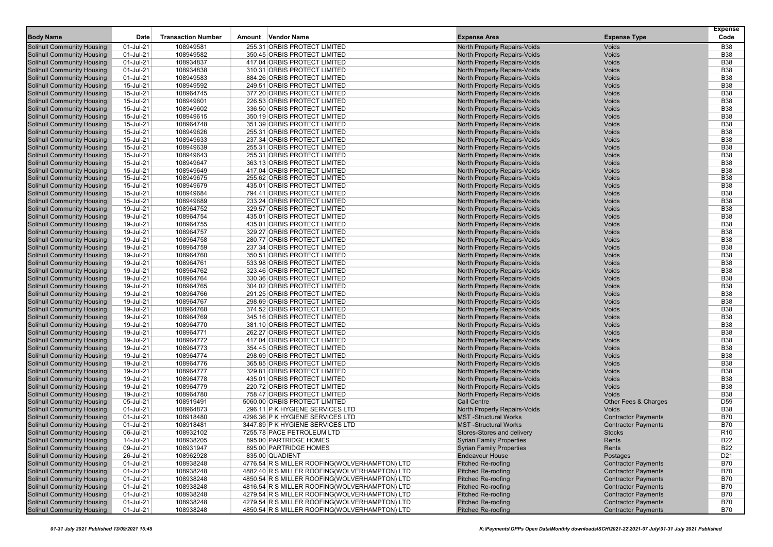| <b>Body Name</b>                  | Date      | <b>Transaction Number</b> | Vendor Name<br>Amount                          | <b>Expense Area</b>                 | <b>Expense Type</b>        | <b>Expense</b><br>Code |
|-----------------------------------|-----------|---------------------------|------------------------------------------------|-------------------------------------|----------------------------|------------------------|
| <b>Solihull Community Housing</b> | 01-Jul-21 | 108949581                 | 255.31 ORBIS PROTECT LIMITED                   | North Property Repairs-Voids        | <b>Voids</b>               | <b>B38</b>             |
| <b>Solihull Community Housing</b> | 01-Jul-21 | 108949582                 | 350.45 ORBIS PROTECT LIMITED                   | North Property Repairs-Voids        | Voids                      | <b>B38</b>             |
| <b>Solihull Community Housing</b> | 01-Jul-21 | 108934837                 | 417.04 ORBIS PROTECT LIMITED                   | North Property Repairs-Voids        | Voids                      | <b>B38</b>             |
| <b>Solihull Community Housing</b> | 01-Jul-21 | 108934838                 | 310.31 ORBIS PROTECT LIMITED                   | North Property Repairs-Voids        | Voids                      | <b>B38</b>             |
| <b>Solihull Community Housing</b> | 01-Jul-21 | 108949583                 | 884.26 ORBIS PROTECT LIMITED                   | North Property Repairs-Voids        | Voids                      | <b>B38</b>             |
| <b>Solihull Community Housing</b> | 15-Jul-21 | 108949592                 | 249.51 ORBIS PROTECT LIMITED                   | North Property Repairs-Voids        | Voids                      | <b>B38</b>             |
| <b>Solihull Community Housing</b> | 15-Jul-21 | 108964745                 | 377.20 ORBIS PROTECT LIMITED                   | North Property Repairs-Voids        | Voids                      | <b>B38</b>             |
| <b>Solihull Community Housing</b> | 15-Jul-21 | 108949601                 | 226.53 ORBIS PROTECT LIMITED                   | North Property Repairs-Voids        | Voids                      | <b>B38</b>             |
| <b>Solihull Community Housing</b> | 15-Jul-21 | 108949602                 | 336.50 ORBIS PROTECT LIMITED                   | North Property Repairs-Voids        | Voids                      | <b>B38</b>             |
| <b>Solihull Community Housing</b> | 15-Jul-21 | 108949615                 | 350.19 ORBIS PROTECT LIMITED                   | North Property Repairs-Voids        | Voids                      | <b>B38</b>             |
| <b>Solihull Community Housing</b> | 15-Jul-21 | 108964748                 | 351.39 ORBIS PROTECT LIMITED                   | North Property Repairs-Voids        | Voids                      | <b>B38</b>             |
| Solihull Community Housing        | 15-Jul-21 | 108949626                 | 255.31 ORBIS PROTECT LIMITED                   | North Property Repairs-Voids        | Voids                      | <b>B38</b>             |
| <b>Solihull Community Housing</b> | 15-Jul-21 | 108949633                 | 237.34 ORBIS PROTECT LIMITED                   | North Property Repairs-Voids        | Voids                      | <b>B38</b>             |
| <b>Solihull Community Housing</b> | 15-Jul-21 | 108949639                 | 255.31 ORBIS PROTECT LIMITED                   | North Property Repairs-Voids        | Voids                      | <b>B38</b>             |
| <b>Solihull Community Housing</b> | 15-Jul-21 | 108949643                 | 255.31 ORBIS PROTECT LIMITED                   | North Property Repairs-Voids        | Voids                      | <b>B38</b>             |
| <b>Solihull Community Housing</b> | 15-Jul-21 | 108949647                 | 363.13 ORBIS PROTECT LIMITED                   | North Property Repairs-Voids        | Voids                      | <b>B38</b>             |
| <b>Solihull Community Housing</b> | 15-Jul-21 | 108949649                 | 417.04 ORBIS PROTECT LIMITED                   | North Property Repairs-Voids        | Voids                      | <b>B38</b>             |
| <b>Solihull Community Housing</b> | 15-Jul-21 | 108949675                 | 255.62 ORBIS PROTECT LIMITED                   | North Property Repairs-Voids        | Voids                      | <b>B38</b>             |
| <b>Solihull Community Housing</b> | 15-Jul-21 | 108949679                 | 435.01 ORBIS PROTECT LIMITED                   | North Property Repairs-Voids        | Voids                      | <b>B38</b>             |
| <b>Solihull Community Housing</b> | 15-Jul-21 | 108949684                 | 794.41 ORBIS PROTECT LIMITED                   | North Property Repairs-Voids        | Voids                      | <b>B38</b>             |
| <b>Solihull Community Housing</b> | 15-Jul-21 | 108949689                 | 233.24 ORBIS PROTECT LIMITED                   | North Property Repairs-Voids        | Voids                      | <b>B38</b>             |
| Solihull Community Housing        | 19-Jul-21 | 108964752                 | 329.57 ORBIS PROTECT LIMITED                   | North Property Repairs-Voids        | Voids                      | <b>B38</b>             |
| <b>Solihull Community Housing</b> | 19-Jul-21 | 108964754                 | 435.01 ORBIS PROTECT LIMITED                   | North Property Repairs-Voids        | Voids                      | <b>B38</b>             |
| <b>Solihull Community Housing</b> | 19-Jul-21 | 108964755                 | 435.01 ORBIS PROTECT LIMITED                   | North Property Repairs-Voids        | Voids                      | <b>B38</b>             |
| <b>Solihull Community Housing</b> | 19-Jul-21 | 108964757                 | 329.27 ORBIS PROTECT LIMITED                   | North Property Repairs-Voids        | Voids                      | <b>B38</b>             |
| <b>Solihull Community Housing</b> | 19-Jul-21 | 108964758                 | 280.77 ORBIS PROTECT LIMITED                   | North Property Repairs-Voids        | Voids                      | <b>B38</b>             |
| <b>Solihull Community Housing</b> | 19-Jul-21 | 108964759                 | 237.34 ORBIS PROTECT LIMITED                   | North Property Repairs-Voids        | Voids                      | <b>B38</b>             |
| <b>Solihull Community Housing</b> | 19-Jul-21 | 108964760                 | 350.51 ORBIS PROTECT LIMITED                   | North Property Repairs-Voids        | Voids                      | <b>B38</b>             |
| <b>Solihull Community Housing</b> | 19-Jul-21 | 108964761                 | 533.98 ORBIS PROTECT LIMITED                   | North Property Repairs-Voids        | Voids                      | <b>B38</b>             |
| <b>Solihull Community Housing</b> | 19-Jul-21 | 108964762                 | 323.46 ORBIS PROTECT LIMITED                   | North Property Repairs-Voids        | Voids                      | <b>B38</b>             |
| <b>Solihull Community Housing</b> | 19-Jul-21 | 108964764                 | 330.36 ORBIS PROTECT LIMITED                   | North Property Repairs-Voids        | Voids                      | <b>B38</b>             |
| Solihull Community Housing        | 19-Jul-21 | 108964765                 | 304.02 ORBIS PROTECT LIMITED                   | North Property Repairs-Voids        | Voids                      | <b>B38</b>             |
| <b>Solihull Community Housing</b> | 19-Jul-21 | 108964766                 | 291.25 ORBIS PROTECT LIMITED                   | North Property Repairs-Voids        | Voids                      | <b>B38</b>             |
| <b>Solihull Community Housing</b> | 19-Jul-21 | 108964767                 | 298.69 ORBIS PROTECT LIMITED                   | North Property Repairs-Voids        | Voids                      | <b>B38</b>             |
| <b>Solihull Community Housing</b> | 19-Jul-21 | 108964768                 | 374.52 ORBIS PROTECT LIMITED                   | North Property Repairs-Voids        | Voids                      | <b>B38</b>             |
| <b>Solihull Community Housing</b> | 19-Jul-21 | 108964769                 | 345.16 ORBIS PROTECT LIMITED                   | North Property Repairs-Voids        | Voids                      | <b>B38</b>             |
| <b>Solihull Community Housing</b> | 19-Jul-21 | 108964770                 | 381.10 ORBIS PROTECT LIMITED                   | North Property Repairs-Voids        | Voids                      | <b>B38</b>             |
| <b>Solihull Community Housing</b> | 19-Jul-21 | 108964771                 | 262.27 ORBIS PROTECT LIMITED                   | <b>North Property Repairs-Voids</b> | Voids                      | <b>B38</b>             |
| <b>Solihull Community Housing</b> | 19-Jul-21 | 108964772                 | 417.04 ORBIS PROTECT LIMITED                   | North Property Repairs-Voids        | Voids                      | <b>B38</b>             |
| <b>Solihull Community Housing</b> | 19-Jul-21 | 108964773                 | 354.45 ORBIS PROTECT LIMITED                   | North Property Repairs-Voids        | Voids                      | <b>B38</b>             |
| <b>Solihull Community Housing</b> | 19-Jul-21 | 108964774                 | 298.69 ORBIS PROTECT LIMITED                   | North Property Repairs-Voids        | Voids                      | <b>B38</b>             |
| <b>Solihull Community Housing</b> | 19-Jul-21 | 108964776                 | 365.85 ORBIS PROTECT LIMITED                   | North Property Repairs-Voids        | Voids                      | <b>B38</b>             |
| <b>Solihull Community Housing</b> | 19-Jul-21 | 108964777                 | 329.81 ORBIS PROTECT LIMITED                   | <b>North Property Repairs-Voids</b> | Voids                      | <b>B38</b>             |
| <b>Solihull Community Housing</b> | 19-Jul-21 | 108964778                 | 435.01 ORBIS PROTECT LIMITED                   | North Property Repairs-Voids        | Voids                      | <b>B38</b>             |
| Solihull Community Housing        | 19-Jul-21 | 108964779                 | 220.72 ORBIS PROTECT LIMITED                   | North Property Repairs-Voids        | Voids                      | <b>B38</b>             |
| <b>Solihull Community Housing</b> | 19-Jul-21 | 108964780                 | 758.47 ORBIS PROTECT LIMITED                   | North Property Repairs-Voids        | Voids                      | <b>B38</b>             |
| <b>Solihull Community Housing</b> | 05-Jul-21 | 108919491                 | 5060.00 ORBIS PROTECT LIMITED                  | <b>Call Centre</b>                  | Other Fees & Charges       | D <sub>59</sub>        |
| <b>Solihull Community Housing</b> | 01-Jul-21 | 108964873                 | 296.11 P K HYGIENE SERVICES LTD                | North Property Repairs-Voids        | Voids                      | <b>B38</b>             |
| <b>Solihull Community Housing</b> | 01-Jul-21 | 108918480                 | 4296.36 P K HYGIENE SERVICES LTD               | <b>MST-Structural Works</b>         | <b>Contractor Payments</b> | <b>B70</b>             |
| <b>Solihull Community Housing</b> | 01-Jul-21 | 108918481                 | 3447.89 P K HYGIENE SERVICES LTD               | <b>MST-Structural Works</b>         | <b>Contractor Payments</b> | <b>B70</b>             |
| <b>Solihull Community Housing</b> | 06-Jul-21 | 108932102                 | 7255.78 PACE PETROLEUM LTD                     | Stores-Stores and delivery          | <b>Stocks</b>              | R <sub>10</sub>        |
| <b>Solihull Community Housing</b> | 14-Jul-21 | 108938205                 | 895.00 PARTRIDGE HOMES                         | <b>Syrian Family Properties</b>     | Rents                      | <b>B22</b>             |
| Solihull Community Housing        | 09-Jul-21 | 108931947                 | 895.00 PARTRIDGE HOMES                         | <b>Syrian Family Properties</b>     | Rents                      | <b>B22</b>             |
| <b>Solihull Community Housing</b> | 26-Jul-21 | 108962928                 | 835.00 QUADIENT                                | <b>Endeavour House</b>              | Postages                   | D <sub>21</sub>        |
| <b>Solihull Community Housing</b> | 01-Jul-21 | 108938248                 | 4776.54 R S MILLER ROOFING(WOLVERHAMPTON) LTD  | <b>Pitched Re-roofing</b>           | <b>Contractor Payments</b> | <b>B70</b>             |
| <b>Solihull Community Housing</b> | 01-Jul-21 | 108938248                 | 4882.40 R S MILLER ROOFING(WOLVERHAMPTON) LTD  | <b>Pitched Re-roofing</b>           | <b>Contractor Payments</b> | <b>B70</b>             |
| <b>Solihull Community Housing</b> | 01-Jul-21 | 108938248                 | 4850.54 R S MILLER ROOFING(WOLVERHAMPTON) LTD  | <b>Pitched Re-roofing</b>           | <b>Contractor Payments</b> | <b>B70</b>             |
| Solihull Community Housing        | 01-Jul-21 | 108938248                 | 4816.54 R S MILLER ROOFING(WOLVERHAMPTON) LTD  | <b>Pitched Re-roofing</b>           | <b>Contractor Payments</b> | <b>B70</b>             |
| <b>Solihull Community Housing</b> | 01-Jul-21 | 108938248                 | 4279.54 R S MILLER ROOFING (WOLVERHAMPTON) LTD | <b>Pitched Re-roofing</b>           | <b>Contractor Payments</b> | <b>B70</b>             |
| <b>Solihull Community Housing</b> | 01-Jul-21 | 108938248                 | 4279.54 R S MILLER ROOFING(WOLVERHAMPTON) LTD  | <b>Pitched Re-roofing</b>           | <b>Contractor Payments</b> | <b>B70</b>             |
| <b>Solihull Community Housing</b> | 01-Jul-21 | 108938248                 | 4850.54 R S MILLER ROOFING(WOLVERHAMPTON) LTD  | <b>Pitched Re-roofing</b>           | <b>Contractor Payments</b> | <b>B70</b>             |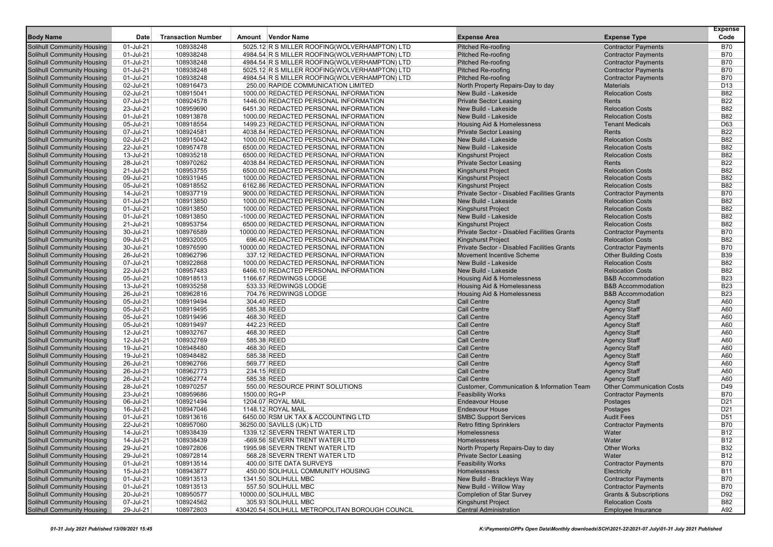|                                                                 |                        |                           |                                                                                |                                              |                                                   | <b>Expense</b>           |
|-----------------------------------------------------------------|------------------------|---------------------------|--------------------------------------------------------------------------------|----------------------------------------------|---------------------------------------------------|--------------------------|
| <b>Body Name</b>                                                | Date                   | <b>Transaction Number</b> | Amount Vendor Name                                                             | <b>Expense Area</b>                          | <b>Expense Type</b>                               | Code                     |
| <b>Solihull Community Housing</b>                               | 01-Jul-21              | 108938248                 | 5025.12 R S MILLER ROOFING(WOLVERHAMPTON) LTD                                  | Pitched Re-roofing                           | <b>Contractor Payments</b>                        | <b>B70</b>               |
| Solihull Community Housing                                      | 01-Jul-21              | 108938248                 | 4984.54 R S MILLER ROOFING(WOLVERHAMPTON) LTD                                  | <b>Pitched Re-roofing</b>                    | <b>Contractor Payments</b>                        | <b>B70</b>               |
| <b>Solihull Community Housing</b>                               | 01-Jul-21              | 108938248                 | 4984.54 R S MILLER ROOFING(WOLVERHAMPTON) LTD                                  | <b>Pitched Re-roofing</b>                    | <b>Contractor Payments</b>                        | <b>B70</b>               |
| <b>Solihull Community Housing</b>                               | 01-Jul-21              | 108938248                 | 5025.12 R S MILLER ROOFING(WOLVERHAMPTON) LTD                                  | <b>Pitched Re-roofing</b>                    | <b>Contractor Payments</b>                        | <b>B70</b>               |
| <b>Solihull Community Housing</b>                               | 01-Jul-21              | 108938248                 | 4984.54 R S MILLER ROOFING(WOLVERHAMPTON) LTD                                  | <b>Pitched Re-roofing</b>                    | <b>Contractor Payments</b>                        | <b>B70</b>               |
| Solihull Community Housing                                      | 02-Jul-21              | 108916473                 | 250.00 RAPIDE COMMUNICATION LIMITED                                            | North Property Repairs-Day to day            | <b>Materials</b>                                  | D <sub>13</sub>          |
| Solihull Community Housing                                      | 02-Jul-21              | 108915041                 | 1000.00 REDACTED PERSONAL INFORMATION                                          | New Build - Lakeside                         | <b>Relocation Costs</b>                           | <b>B82</b>               |
| <b>Solihull Community Housing</b>                               | 07-Jul-21              | 108924578                 | 1446.00 REDACTED PERSONAL INFORMATION                                          | <b>Private Sector Leasing</b>                | Rents                                             | <b>B22</b>               |
| <b>Solihull Community Housing</b>                               | 23-Jul-21              | 108959690                 | 6451.30 REDACTED PERSONAL INFORMATION                                          | New Build - Lakeside<br>New Build - Lakeside | <b>Relocation Costs</b>                           | <b>B82</b><br><b>B82</b> |
| <b>Solihull Community Housing</b><br>Solihull Community Housing | 01-Jul-21<br>05-Jul-21 | 108913878<br>108918554    | 1000.00 REDACTED PERSONAL INFORMATION<br>1499.23 REDACTED PERSONAL INFORMATION | Housing Aid & Homelessness                   | <b>Relocation Costs</b><br><b>Tenant Medicals</b> | D63                      |
| <b>Solihull Community Housing</b>                               | 07-Jul-21              | 108924581                 | 4038.84 REDACTED PERSONAL INFORMATION                                          | <b>Private Sector Leasing</b>                | Rents                                             | <b>B22</b>               |
| <b>Solihull Community Housing</b>                               | 02-Jul-21              | 108915042                 | 1000.00 REDACTED PERSONAL INFORMATION                                          | New Build - Lakeside                         | <b>Relocation Costs</b>                           | <b>B82</b>               |
| <b>Solihull Community Housing</b>                               | 22-Jul-21              | 108957478                 | 6500.00 REDACTED PERSONAL INFORMATION                                          | New Build - Lakeside                         | <b>Relocation Costs</b>                           | <b>B82</b>               |
| <b>Solihull Community Housing</b>                               | 13-Jul-21              | 108935218                 | 6500.00 REDACTED PERSONAL INFORMATION                                          | <b>Kingshurst Project</b>                    | <b>Relocation Costs</b>                           | <b>B82</b>               |
| Solihull Community Housing                                      | 28-Jul-21              | 108970262                 | 4038.84 REDACTED PERSONAL INFORMATION                                          | <b>Private Sector Leasing</b>                | Rents                                             | <b>B22</b>               |
| Solihull Community Housing                                      | 21-Jul-21              | 108953755                 | 6500.00 REDACTED PERSONAL INFORMATION                                          | <b>Kingshurst Project</b>                    | <b>Relocation Costs</b>                           | <b>B82</b>               |
| <b>Solihull Community Housing</b>                               | 09-Jul-21              | 108931945                 | 1000.00 REDACTED PERSONAL INFORMATION                                          | <b>Kingshurst Project</b>                    | <b>Relocation Costs</b>                           | <b>B82</b>               |
| <b>Solihull Community Housing</b>                               | 05-Jul-21              | 108918552                 | 6162.86 REDACTED PERSONAL INFORMATION                                          | <b>Kingshurst Project</b>                    | <b>Relocation Costs</b>                           | <b>B82</b>               |
| <b>Solihull Community Housing</b>                               | 14-Jul-21              | 108937719                 | 9000.00 REDACTED PERSONAL INFORMATION                                          | Private Sector - Disabled Facilities Grants  | <b>Contractor Payments</b>                        | <b>B70</b>               |
| Solihull Community Housing                                      | 01-Jul-21              | 108913850                 | 1000.00 REDACTED PERSONAL INFORMATION                                          | New Build - Lakeside                         | <b>Relocation Costs</b>                           | <b>B82</b>               |
| <b>Solihull Community Housing</b>                               | 01-Jul-21              | 108913850                 | 1000.00 REDACTED PERSONAL INFORMATION                                          | <b>Kingshurst Project</b>                    | <b>Relocation Costs</b>                           | <b>B82</b>               |
| <b>Solihull Community Housing</b>                               | 01-Jul-21              | 108913850                 | -1000.00 REDACTED PERSONAL INFORMATION                                         | New Build - Lakeside                         | <b>Relocation Costs</b>                           | <b>B82</b>               |
| <b>Solihull Community Housing</b>                               | 21-Jul-21              | 108953754                 | 6500.00 REDACTED PERSONAL INFORMATION                                          | <b>Kingshurst Project</b>                    | <b>Relocation Costs</b>                           | <b>B82</b>               |
| <b>Solihull Community Housing</b>                               | 30-Jul-21              | 108976589                 | 10000.00 REDACTED PERSONAL INFORMATION                                         | Private Sector - Disabled Facilities Grants  | <b>Contractor Payments</b>                        | <b>B70</b>               |
| Solihull Community Housing                                      | 09-Jul-21              | 108932005                 | 696.40 REDACTED PERSONAL INFORMATION                                           | <b>Kingshurst Project</b>                    | <b>Relocation Costs</b>                           | <b>B82</b>               |
| Solihull Community Housing                                      | 30-Jul-21              | 108976590                 | 10000.00 REDACTED PERSONAL INFORMATION                                         | Private Sector - Disabled Facilities Grants  | <b>Contractor Payments</b>                        | <b>B70</b>               |
| <b>Solihull Community Housing</b>                               | 26-Jul-21              | 108962796                 | 337.12 REDACTED PERSONAL INFORMATION                                           | <b>Movement Incentive Scheme</b>             | <b>Other Building Costs</b>                       | <b>B39</b>               |
| <b>Solihull Community Housing</b>                               | 07-Jul-21              | 108922868                 | 1000.00 REDACTED PERSONAL INFORMATION                                          | New Build - Lakeside                         | <b>Relocation Costs</b>                           | <b>B82</b>               |
| <b>Solihull Community Housing</b>                               | 22-Jul-21              | 108957483                 | 6466.10 REDACTED PERSONAL INFORMATION                                          | New Build - Lakeside                         | <b>Relocation Costs</b>                           | <b>B82</b>               |
| Solihull Community Housing                                      | 05-Jul-21              | 108918513                 | 1166.67 REDWINGS LODGE                                                         | <b>Housing Aid &amp; Homelessness</b>        | <b>B&amp;B Accommodation</b>                      | <b>B23</b>               |
| <b>Solihull Community Housing</b>                               | 13-Jul-21              | 108935258                 | 533.33 REDWINGS LODGE                                                          | <b>Housing Aid &amp; Homelessness</b>        | <b>B&amp;B Accommodation</b>                      | <b>B23</b>               |
| <b>Solihull Community Housing</b>                               | 26-Jul-21              | 108962816                 | 704.76 REDWINGS LODGE                                                          | Housing Aid & Homelessness                   | <b>B&amp;B Accommodation</b>                      | <b>B23</b>               |
| Solihull Community Housing                                      | 05-Jul-21              | 108919494                 | 304.40 REED                                                                    | <b>Call Centre</b>                           | <b>Agency Staff</b>                               | A60                      |
| <b>Solihull Community Housing</b>                               | 05-Jul-21              | 108919495                 | 585.38 REED                                                                    | <b>Call Centre</b>                           | <b>Agency Staff</b>                               | A60                      |
| Solihull Community Housing                                      | 05-Jul-21              | 108919496                 | 468.30 REED                                                                    | <b>Call Centre</b>                           | <b>Agency Staff</b>                               | A60                      |
| <b>Solihull Community Housing</b>                               | 05-Jul-21              | 108919497                 | 442.23 REED                                                                    | <b>Call Centre</b>                           | <b>Agency Staff</b>                               | A60                      |
| <b>Solihull Community Housing</b>                               | 12-Jul-21              | 108932767                 | 468.30 REED                                                                    | <b>Call Centre</b>                           | <b>Agency Staff</b>                               | A60                      |
| <b>Solihull Community Housing</b>                               | 12-Jul-21              | 108932769                 | 585.38 REED                                                                    | <b>Call Centre</b>                           | <b>Agency Staff</b>                               | A60                      |
| <b>Solihull Community Housing</b>                               | 19-Jul-21              | 108948480                 | 468.30 REED<br>585.38 REED                                                     | <b>Call Centre</b><br><b>Call Centre</b>     | <b>Agency Staff</b>                               | A60<br>A60               |
| Solihull Community Housing<br><b>Solihull Community Housing</b> | 19-Jul-21<br>26-Jul-21 | 108948482<br>108962766    | 569.77 REED                                                                    | <b>Call Centre</b>                           | <b>Agency Staff</b>                               | A60                      |
| <b>Solihull Community Housing</b>                               | 26-Jul-21              | 108962773                 | 234.15 REED                                                                    | <b>Call Centre</b>                           | <b>Agency Staff</b><br><b>Agency Staff</b>        | A60                      |
| Solihull Community Housing                                      | 26-Jul-21              | 108962774                 | 585.38 REED                                                                    | <b>Call Centre</b>                           | <b>Agency Staff</b>                               | A60                      |
| <b>Solihull Community Housing</b>                               | 28-Jul-21              | 108970257                 | 550.00 RESOURCE PRINT SOLUTIONS                                                | Customer, Communication & Information Team   | <b>Other Communication Costs</b>                  | D49                      |
| Solihull Community Housing                                      | 23-Jul-21              | 108959686                 | 1500.00 RG+P                                                                   | <b>Feasibility Works</b>                     | <b>Contractor Payments</b>                        | <b>B70</b>               |
| <b>Solihull Community Housing</b>                               | 06-Jul-21              | 108921494                 | 1204.07 ROYAL MAIL                                                             | <b>Endeavour House</b>                       | Postages                                          | D <sub>21</sub>          |
| <b>Solihull Community Housing</b>                               | 16-Jul-21              | 108947046                 | 1148.12 ROYAL MAIL                                                             | <b>Endeavour House</b>                       | Postages                                          | D <sub>21</sub>          |
| Solihull Community Housing                                      | 01-Jul-21              | 108913616                 | 6450.00 RSM UK TAX & ACCOUNTING LTD                                            | <b>SMBC Support Services</b>                 | <b>Audit Fees</b>                                 | D <sub>51</sub>          |
| <b>Solihull Community Housing</b>                               | 22-Jul-21              | 108957060                 | 36250.00 SAVILLS (UK) LTD                                                      | <b>Retro fitting Sprinklers</b>              | <b>Contractor Payments</b>                        | <b>B70</b>               |
| <b>Solihull Community Housing</b>                               | 14-Jul-21              | 108938439                 | 1339.12 SEVERN TRENT WATER LTD                                                 | Homelessness                                 | Water                                             | <b>B12</b>               |
| Solihull Community Housing                                      | 14-Jul-21              | 108938439                 | -669.56 SEVERN TRENT WATER LTD                                                 | Homelessness                                 | Water                                             | <b>B12</b>               |
| <b>Solihull Community Housing</b>                               | 29-Jul-21              | 108972806                 | 1995.98 SEVERN TRENT WATER LTD                                                 | North Property Repairs-Day to day            | <b>Other Works</b>                                | <b>B32</b>               |
| <b>Solihull Community Housing</b>                               | 29-Jul-21              | 108972814                 | 568.28 SEVERN TRENT WATER LTD                                                  | <b>Private Sector Leasing</b>                | Water                                             | <b>B12</b>               |
| <b>Solihull Community Housing</b>                               | 01-Jul-21              | 108913514                 | 400.00 SITE DATA SURVEYS                                                       | <b>Feasibility Works</b>                     | <b>Contractor Payments</b>                        | <b>B70</b>               |
| Solihull Community Housing                                      | 15-Jul-21              | 108943877                 | 450.00 SOLIHULL COMMUNITY HOUSING                                              | Homelessness                                 | Electricity                                       | <b>B11</b>               |
| <b>Solihull Community Housing</b>                               | 01-Jul-21              | 108913513                 | 1341.50 SOLIHULL MBC                                                           | New Build - Brackleys Way                    | <b>Contractor Payments</b>                        | <b>B70</b>               |
| <b>Solihull Community Housing</b>                               | 01-Jul-21              | 108913513                 | 557.50 SOLIHULL MBC                                                            | New Build - Willow Way                       | <b>Contractor Payments</b>                        | <b>B70</b>               |
| <b>Solihull Community Housing</b>                               | 20-Jul-21              | 108950577                 | 10000.00 SOLIHULL MBC                                                          | <b>Completion of Star Survey</b>             | <b>Grants &amp; Subscriptions</b>                 | D92                      |
| <b>Solihull Community Housing</b>                               | 07-Jul-21              | 108924562                 | 305.93 SOLIHULL MBC                                                            | Kingshurst Project                           | <b>Relocation Costs</b>                           | B82                      |
| <b>Solihull Community Housing</b>                               | 29-Jul-21              | 108972803                 | 430420.54 SOLIHULL METROPOLITAN BOROUGH COUNCIL                                | <b>Central Administration</b>                | Employee Insurance                                | A92                      |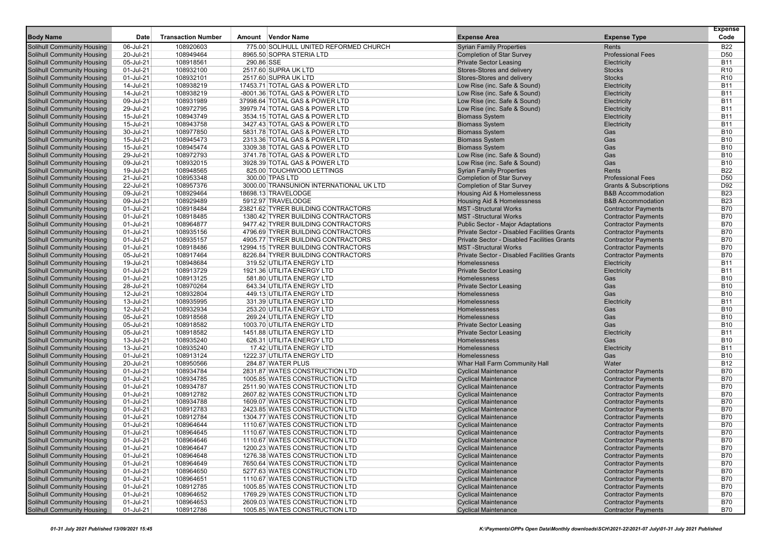| <b>Body Name</b>                                                       | Date                   | <b>Transaction Number</b> | Amount Vendor Name                                     | <b>Expense Area</b>                                        | <b>Expense Type</b>                                      | <b>Expense</b><br>Code             |
|------------------------------------------------------------------------|------------------------|---------------------------|--------------------------------------------------------|------------------------------------------------------------|----------------------------------------------------------|------------------------------------|
|                                                                        |                        |                           |                                                        |                                                            |                                                          |                                    |
| Solihull Community Housing                                             | 06-Jul-21              | 108920603                 | 775.00 SOLIHULL UNITED REFORMED CHURCH                 | <b>Syrian Family Properties</b>                            | Rents                                                    | <b>B22</b>                         |
| Solihull Community Housing                                             | 20-Jul-21              | 108949464                 | 8965.50 SOPRA STERIA LTD                               | <b>Completion of Star Survey</b>                           | <b>Professional Fees</b>                                 | D <sub>50</sub>                    |
| <b>Solihull Community Housing</b>                                      | 05-Jul-21              | 108918561                 | 290.86 SSE                                             | <b>Private Sector Leasing</b>                              | Electricity                                              | <b>B11</b>                         |
| <b>Solihull Community Housing</b><br><b>Solihull Community Housing</b> | 01-Jul-21<br>01-Jul-21 | 108932100<br>108932101    | 2517.60 SUPRA UK LTD<br>2517.60 SUPRA UK LTD           | Stores-Stores and delivery<br>Stores-Stores and delivery   | <b>Stocks</b><br><b>Stocks</b>                           | R <sub>10</sub><br>R <sub>10</sub> |
| Solihull Community Housing                                             | 14-Jul-21              | 108938219                 | 17453.71 TOTAL GAS & POWER LTD                         | Low Rise (inc. Safe & Sound)                               | Electricity                                              | <b>B11</b>                         |
| Solihull Community Housing                                             | 14-Jul-21              | 108938219                 | -8001.36 TOTAL GAS & POWER LTD                         | Low Rise (inc. Safe & Sound)                               | Electricity                                              | <b>B11</b>                         |
| <b>Solihull Community Housing</b>                                      | 09-Jul-21              | 108931989                 | 37998.64 TOTAL GAS & POWER LTD                         | Low Rise (inc. Safe & Sound)                               | Electricity                                              | <b>B11</b>                         |
| <b>Solihull Community Housing</b>                                      | 29-Jul-21              | 108972795                 | 39979.74 TOTAL GAS & POWER LTD                         | Low Rise (inc. Safe & Sound)                               | Electricity                                              | <b>B11</b>                         |
| <b>Solihull Community Housing</b>                                      | 15-Jul-21              | 108943749                 | 3534.15 TOTAL GAS & POWER LTD                          | <b>Biomass System</b>                                      | Electricity                                              | <b>B11</b>                         |
| Solihull Community Housing                                             | 15-Jul-21              | 108943758                 | 3427.43 TOTAL GAS & POWER LTD                          | <b>Biomass System</b>                                      | Electricity                                              | <b>B11</b>                         |
| Solihull Community Housing                                             | 30-Jul-21              | 108977850                 | 5831.78 TOTAL GAS & POWER LTD                          | <b>Biomass System</b>                                      | Gas                                                      | <b>B10</b>                         |
| <b>Solihull Community Housing</b>                                      | 15-Jul-21              | 108945473                 | 2313.36 TOTAL GAS & POWER LTD                          | <b>Biomass System</b>                                      | Gas                                                      | <b>B10</b>                         |
| <b>Solihull Community Housing</b>                                      | 15-Jul-21              | 108945474                 | 3309.38 TOTAL GAS & POWER LTD                          | <b>Biomass System</b>                                      | Gas                                                      | <b>B10</b>                         |
| <b>Solihull Community Housing</b>                                      | 29-Jul-21              | 108972793                 | 3741.78 TOTAL GAS & POWER LTD                          | Low Rise (inc. Safe & Sound)                               | Gas                                                      | <b>B10</b>                         |
| Solihull Community Housing                                             | 09-Jul-21              | 108932015                 | 3928.39 TOTAL GAS & POWER LTD                          | Low Rise (inc. Safe & Sound)                               | Gas                                                      | <b>B10</b>                         |
| Solihull Community Housing                                             | 19-Jul-21              | 108948565                 | 825.00 TOUCHWOOD LETTINGS                              | <b>Syrian Family Properties</b>                            | Rents                                                    | <b>B22</b>                         |
| <b>Solihull Community Housing</b>                                      | 21-Jul-21              | 108953348                 | 300.00 TPAS LTD                                        | <b>Completion of Star Survey</b>                           | <b>Professional Fees</b>                                 | D <sub>50</sub>                    |
| <b>Solihull Community Housing</b>                                      | 22-Jul-21              | 108957376                 | 3000.00 TRANSUNION INTERNATIONAL UK LTD                | <b>Completion of Star Survey</b>                           | <b>Grants &amp; Subscriptions</b>                        | D92                                |
| <b>Solihull Community Housing</b>                                      | 09-Jul-21              | 108929464                 | 18698.13 TRAVELODGE                                    | Housing Aid & Homelessness                                 | <b>B&amp;B Accommodation</b>                             | <b>B23</b>                         |
| Solihull Community Housing                                             | 09-Jul-21              | 108929489                 | 5912.97 TRAVELODGE                                     | Housing Aid & Homelessness                                 | <b>B&amp;B Accommodation</b>                             | <b>B23</b>                         |
| Solihull Community Housing                                             | 01-Jul-21              | 108918484                 | 23821.62 TYRER BUILDING CONTRACTORS                    | <b>MST-Structural Works</b>                                | <b>Contractor Payments</b>                               | <b>B70</b>                         |
| <b>Solihull Community Housing</b>                                      | 01-Jul-21              | 108918485                 | 1380.42 TYRER BUILDING CONTRACTORS                     | <b>MST-Structural Works</b>                                | <b>Contractor Payments</b>                               | <b>B70</b>                         |
| <b>Solihull Community Housing</b>                                      | 01-Jul-21              | 108964877                 | 9477.42 TYRER BUILDING CONTRACTORS                     | <b>Public Sector - Major Adaptations</b>                   | <b>Contractor Payments</b>                               | <b>B70</b>                         |
| <b>Solihull Community Housing</b>                                      | 01-Jul-21              | 108935156                 | 4796.69 TYRER BUILDING CONTRACTORS                     | Private Sector - Disabled Facilities Grants                | <b>Contractor Payments</b>                               | <b>B70</b>                         |
| Solihull Community Housing                                             | 01-Jul-21              | 108935157                 | 4905.77 TYRER BUILDING CONTRACTORS                     | Private Sector - Disabled Facilities Grants                | <b>Contractor Payments</b>                               | <b>B70</b>                         |
| Solihull Community Housing                                             | 01-Jul-21              | 108918486                 | 12994.15 TYRER BUILDING CONTRACTORS                    | <b>MST-Structural Works</b>                                | <b>Contractor Payments</b>                               | <b>B70</b>                         |
| <b>Solihull Community Housing</b>                                      | 05-Jul-21              | 108917464                 | 8226.84 TYRER BUILDING CONTRACTORS                     | Private Sector - Disabled Facilities Grants                | <b>Contractor Payments</b>                               | <b>B70</b>                         |
| <b>Solihull Community Housing</b>                                      | 19-Jul-21              | 108948684                 | 319.52 UTILITA ENERGY LTD                              | Homelessness                                               | Electricity                                              | <b>B11</b>                         |
| <b>Solihull Community Housing</b>                                      | 01-Jul-21              | 108913729                 | 1921.36 UTILITA ENERGY LTD                             | <b>Private Sector Leasing</b>                              | Electricity                                              | <b>B11</b>                         |
| Solihull Community Housing                                             | 01-Jul-21              | 108913125                 | 581.80 UTILITA ENERGY LTD                              | Homelessness                                               | Gas                                                      | <b>B10</b>                         |
| Solihull Community Housing                                             | 28-Jul-21              | 108970264                 | 643.34 UTILITA ENERGY LTD                              | <b>Private Sector Leasing</b>                              | Gas                                                      | <b>B10</b>                         |
| <b>Solihull Community Housing</b>                                      | 12-Jul-21              | 108932804                 | 449.13 UTILITA ENERGY LTD                              | Homelessness                                               | Gas                                                      | <b>B10</b>                         |
| Solihull Community Housing                                             | 13-Jul-21<br>12-Jul-21 | 108935995<br>108932934    | 331.39 UTILITA ENERGY LTD<br>253.20 UTILITA ENERGY LTD | Homelessness<br>Homelessness                               | Electricity<br>Gas                                       | <b>B11</b><br><b>B10</b>           |
| <b>Solihull Community Housing</b><br>Solihull Community Housing        | 05-Jul-21              | 108918568                 | 269.24 UTILITA ENERGY LTD                              | Homelessness                                               | Gas                                                      | <b>B10</b>                         |
| Solihull Community Housing                                             | 05-Jul-21              | 108918582                 | 1003.70 UTILITA ENERGY LTD                             | <b>Private Sector Leasing</b>                              | Gas                                                      | <b>B10</b>                         |
| <b>Solihull Community Housing</b>                                      | 05-Jul-21              | 108918582                 | 1451.88 UTILITA ENERGY LTD                             | <b>Private Sector Leasing</b>                              | Electricity                                              | <b>B11</b>                         |
| Solihull Community Housing                                             | 13-Jul-21              | 108935240                 | 626.31 UTILITA ENERGY LTD                              | Homelessness                                               | Gas                                                      | <b>B10</b>                         |
| <b>Solihull Community Housing</b>                                      | 13-Jul-21              | 108935240                 | 17.42 UTILITA ENERGY LTD                               | Homelessness                                               | Electricity                                              | <b>B11</b>                         |
| Solihull Community Housing                                             | 01-Jul-21              | 108913124                 | 1222.37 UTILITA ENERGY LTD                             | Homelessness                                               | Gas                                                      | <b>B10</b>                         |
| Solihull Community Housing                                             | 20-Jul-21              | 108950566                 | 284.87 WATER PLUS                                      | Whar Hall Farm Community Hall                              | Water                                                    | <b>B12</b>                         |
| <b>Solihull Community Housing</b>                                      | 01-Jul-21              | 108934784                 | 2831.87 WATES CONSTRUCTION LTD                         | <b>Cyclical Maintenance</b>                                | <b>Contractor Payments</b>                               | <b>B70</b>                         |
| Solihull Community Housing                                             | 01-Jul-21              | 108934785                 | 1005.85 WATES CONSTRUCTION LTD                         | <b>Cyclical Maintenance</b>                                | <b>Contractor Payments</b>                               | <b>B70</b>                         |
| <b>Solihull Community Housing</b>                                      | 01-Jul-21              | 108934787                 | 2511.90 WATES CONSTRUCTION LTD                         | <b>Cyclical Maintenance</b>                                | <b>Contractor Payments</b>                               | <b>B70</b>                         |
| Solihull Community Housing                                             | 01-Jul-21              | 108912782                 | 2607.82 WATES CONSTRUCTION LTD                         | <b>Cyclical Maintenance</b>                                | <b>Contractor Payments</b>                               | <b>B70</b>                         |
| Solihull Community Housing                                             | 01-Jul-21              | 108934788                 | 1609.07 WATES CONSTRUCTION LTD                         | <b>Cyclical Maintenance</b>                                | <b>Contractor Payments</b>                               | <b>B70</b>                         |
| <b>Solihull Community Housing</b>                                      | 01-Jul-21              | 108912783                 | 2423.85 WATES CONSTRUCTION LTD                         | <b>Cyclical Maintenance</b>                                | <b>Contractor Payments</b>                               | <b>B70</b>                         |
| Solihull Community Housing                                             | 01-Jul-21              | 108912784                 | 1304.77 WATES CONSTRUCTION LTD                         | <b>Cyclical Maintenance</b>                                | <b>Contractor Payments</b>                               | <b>B70</b>                         |
| <b>Solihull Community Housing</b>                                      | 01-Jul-21              | 108964644                 | 1110.67 WATES CONSTRUCTION LTD                         | <b>Cyclical Maintenance</b>                                | <b>Contractor Payments</b>                               | <b>B70</b>                         |
| <b>Solihull Community Housing</b>                                      | 01-Jul-21              | 108964645                 | 1110.67 WATES CONSTRUCTION LTD                         | <b>Cyclical Maintenance</b>                                | <b>Contractor Payments</b>                               | <b>B70</b>                         |
| <b>Solihull Community Housing</b>                                      | 01-Jul-21              | 108964646                 | 1110.67 WATES CONSTRUCTION LTD                         | <b>Cyclical Maintenance</b>                                | <b>Contractor Payments</b>                               | <b>B70</b>                         |
| <b>Solihull Community Housing</b>                                      | 01-Jul-21              | 108964647                 | 1200.23 WATES CONSTRUCTION LTD                         | <b>Cyclical Maintenance</b>                                | <b>Contractor Payments</b>                               | <b>B70</b>                         |
| <b>Solihull Community Housing</b>                                      | 01-Jul-21              | 108964648                 | 1276.38 WATES CONSTRUCTION LTD                         | <b>Cyclical Maintenance</b>                                | <b>Contractor Payments</b>                               | <b>B70</b>                         |
| <b>Solihull Community Housing</b>                                      | 01-Jul-21              | 108964649                 | 7650.64 WATES CONSTRUCTION LTD                         | <b>Cyclical Maintenance</b>                                | <b>Contractor Payments</b>                               | <b>B70</b>                         |
| <b>Solihull Community Housing</b>                                      | 01-Jul-21              | 108964650                 | 5277.63 WATES CONSTRUCTION LTD                         | <b>Cyclical Maintenance</b>                                | <b>Contractor Payments</b>                               | <b>B70</b>                         |
| Solihull Community Housing                                             | 01-Jul-21              | 108964651                 | 1110.67 WATES CONSTRUCTION LTD                         | <b>Cyclical Maintenance</b>                                | <b>Contractor Payments</b>                               | <b>B70</b>                         |
| <b>Solihull Community Housing</b>                                      | 01-Jul-21              | 108912785                 | 1005.85 WATES CONSTRUCTION LTD                         | <b>Cyclical Maintenance</b>                                | <b>Contractor Payments</b>                               | <b>B70</b>                         |
| <b>Solihull Community Housing</b>                                      | 01-Jul-21              | 108964652                 | 1769.29 WATES CONSTRUCTION LTD                         | <b>Cyclical Maintenance</b><br><b>Cyclical Maintenance</b> | <b>Contractor Payments</b>                               | <b>B70</b>                         |
| <b>Solihull Community Housing</b><br><b>Solihull Community Housing</b> | 01-Jul-21              | 108964653                 | 2609.03 WATES CONSTRUCTION LTD                         | <b>Cyclical Maintenance</b>                                | <b>Contractor Payments</b><br><b>Contractor Payments</b> | <b>B70</b><br><b>B70</b>           |
|                                                                        | 01-Jul-21              | 108912786                 | 1005.85 WATES CONSTRUCTION LTD                         |                                                            |                                                          |                                    |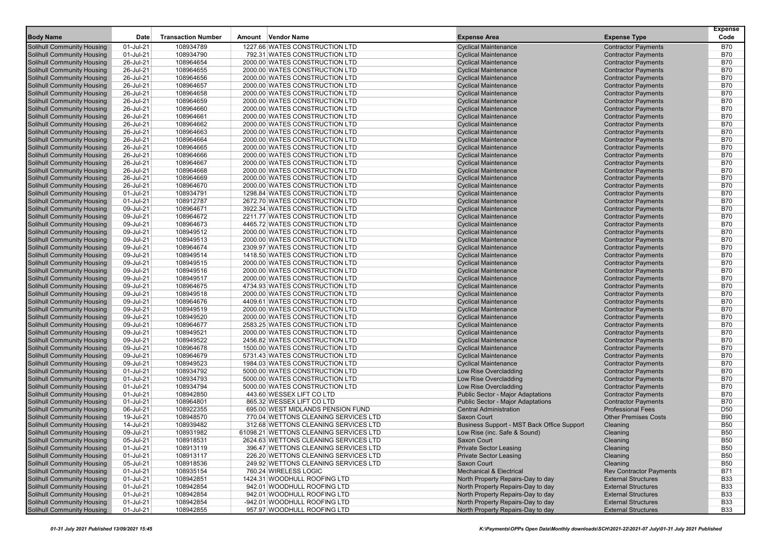| <b>Body Name</b>                                                       | Date                   | <b>Transaction Number</b> | Amount Vendor Name                                               | <b>Expense Area</b>                                        | <b>Expense Type</b>                                      | <b>Expense</b><br>Code   |
|------------------------------------------------------------------------|------------------------|---------------------------|------------------------------------------------------------------|------------------------------------------------------------|----------------------------------------------------------|--------------------------|
|                                                                        | 01-Jul-21              | 108934789                 | 1227.66 WATES CONSTRUCTION LTD                                   | <b>Cyclical Maintenance</b>                                |                                                          | <b>B70</b>               |
| <b>Solihull Community Housing</b><br><b>Solihull Community Housing</b> | 01-Jul-21              | 108934790                 | 792.31 WATES CONSTRUCTION LTD                                    | <b>Cyclical Maintenance</b>                                | <b>Contractor Payments</b><br><b>Contractor Payments</b> | <b>B70</b>               |
| <b>Solihull Community Housing</b>                                      | 26-Jul-21              | 108964654                 | 2000.00 WATES CONSTRUCTION LTD                                   | <b>Cyclical Maintenance</b>                                | <b>Contractor Payments</b>                               | <b>B70</b>               |
| <b>Solihull Community Housing</b>                                      | 26-Jul-21              | 108964655                 | 2000.00 WATES CONSTRUCTION LTD                                   | <b>Cyclical Maintenance</b>                                | <b>Contractor Payments</b>                               | <b>B70</b>               |
| <b>Solihull Community Housing</b>                                      | 26-Jul-21              | 108964656                 | 2000.00 WATES CONSTRUCTION LTD                                   | <b>Cyclical Maintenance</b>                                | <b>Contractor Payments</b>                               | <b>B70</b>               |
| <b>Solihull Community Housing</b>                                      | 26-Jul-21              | 108964657                 | 2000.00 WATES CONSTRUCTION LTD                                   | <b>Cyclical Maintenance</b>                                | <b>Contractor Payments</b>                               | <b>B70</b>               |
| <b>Solihull Community Housing</b>                                      | 26-Jul-21              | 108964658                 | 2000.00 WATES CONSTRUCTION LTD                                   | <b>Cyclical Maintenance</b>                                | <b>Contractor Payments</b>                               | <b>B70</b>               |
| <b>Solihull Community Housing</b>                                      | 26-Jul-21              | 108964659                 | 2000.00 WATES CONSTRUCTION LTD                                   | <b>Cyclical Maintenance</b>                                | <b>Contractor Payments</b>                               | <b>B70</b>               |
| <b>Solihull Community Housing</b>                                      | 26-Jul-21              | 108964660                 | 2000.00 WATES CONSTRUCTION LTD                                   | <b>Cyclical Maintenance</b>                                | <b>Contractor Payments</b>                               | <b>B70</b>               |
| <b>Solihull Community Housing</b>                                      | 26-Jul-21              | 108964661                 | 2000.00 WATES CONSTRUCTION LTD                                   | <b>Cyclical Maintenance</b>                                | <b>Contractor Payments</b>                               | <b>B70</b>               |
| <b>Solihull Community Housing</b>                                      | 26-Jul-21              | 108964662                 | 2000.00 WATES CONSTRUCTION LTD                                   | <b>Cyclical Maintenance</b>                                | <b>Contractor Payments</b>                               | <b>B70</b>               |
| <b>Solihull Community Housing</b>                                      | 26-Jul-21              | 108964663                 | 2000.00 WATES CONSTRUCTION LTD                                   | <b>Cyclical Maintenance</b>                                | <b>Contractor Payments</b>                               | <b>B70</b>               |
| <b>Solihull Community Housing</b>                                      | 26-Jul-21              | 108964664                 | 2000.00 WATES CONSTRUCTION LTD                                   | <b>Cyclical Maintenance</b>                                | <b>Contractor Payments</b>                               | <b>B70</b>               |
| <b>Solihull Community Housing</b>                                      | 26-Jul-21              | 108964665                 | 2000.00 WATES CONSTRUCTION LTD                                   | <b>Cyclical Maintenance</b>                                | <b>Contractor Payments</b>                               | <b>B70</b>               |
| <b>Solihull Community Housing</b>                                      | 26-Jul-21              | 108964666                 | 2000.00 WATES CONSTRUCTION LTD                                   | <b>Cyclical Maintenance</b>                                | <b>Contractor Payments</b>                               | <b>B70</b>               |
| <b>Solihull Community Housing</b>                                      | 26-Jul-21              | 108964667                 | 2000.00 WATES CONSTRUCTION LTD                                   | <b>Cyclical Maintenance</b>                                | <b>Contractor Payments</b>                               | <b>B70</b>               |
| <b>Solihull Community Housing</b>                                      | 26-Jul-21              | 108964668                 | 2000.00 WATES CONSTRUCTION LTD                                   | <b>Cyclical Maintenance</b>                                | <b>Contractor Payments</b>                               | <b>B70</b>               |
| <b>Solihull Community Housing</b>                                      | 26-Jul-21              | 108964669                 | 2000.00 WATES CONSTRUCTION LTD                                   | <b>Cyclical Maintenance</b>                                | <b>Contractor Payments</b>                               | <b>B70</b>               |
| <b>Solihull Community Housing</b>                                      | 26-Jul-21              | 108964670                 | 2000.00 WATES CONSTRUCTION LTD                                   | <b>Cyclical Maintenance</b>                                | <b>Contractor Payments</b>                               | <b>B70</b>               |
| <b>Solihull Community Housing</b>                                      | 01-Jul-21              | 108934791                 | 1298.84 WATES CONSTRUCTION LTD                                   | <b>Cyclical Maintenance</b>                                | <b>Contractor Payments</b>                               | <b>B70</b>               |
| <b>Solihull Community Housing</b>                                      | 01-Jul-21              | 108912787                 | 2672.70 WATES CONSTRUCTION LTD                                   | <b>Cyclical Maintenance</b>                                | <b>Contractor Payments</b>                               | <b>B70</b>               |
| <b>Solihull Community Housing</b>                                      | 09-Jul-21              | 108964671                 | 3922.34 WATES CONSTRUCTION LTD                                   | <b>Cyclical Maintenance</b>                                | <b>Contractor Payments</b>                               | <b>B70</b>               |
| <b>Solihull Community Housing</b>                                      | 09-Jul-21              | 108964672                 | 2211.77 WATES CONSTRUCTION LTD                                   | <b>Cyclical Maintenance</b>                                | <b>Contractor Payments</b>                               | <b>B70</b>               |
| <b>Solihull Community Housing</b>                                      | 09-Jul-21              | 108964673                 | 4465.72 WATES CONSTRUCTION LTD                                   | <b>Cyclical Maintenance</b>                                | <b>Contractor Payments</b>                               | <b>B70</b>               |
| <b>Solihull Community Housing</b>                                      | 09-Jul-21              | 108949512                 | 2000.00 WATES CONSTRUCTION LTD                                   | <b>Cyclical Maintenance</b>                                | <b>Contractor Payments</b>                               | <b>B70</b>               |
| <b>Solihull Community Housing</b>                                      | 09-Jul-21              | 108949513                 | 2000.00 WATES CONSTRUCTION LTD                                   | <b>Cyclical Maintenance</b>                                | <b>Contractor Payments</b>                               | <b>B70</b>               |
| <b>Solihull Community Housing</b>                                      | 09-Jul-21              | 108964674                 | 2309.97 WATES CONSTRUCTION LTD                                   | <b>Cyclical Maintenance</b>                                | <b>Contractor Payments</b>                               | <b>B70</b>               |
| <b>Solihull Community Housing</b>                                      | 09-Jul-21              | 108949514                 | 1418.50 WATES CONSTRUCTION LTD                                   | <b>Cyclical Maintenance</b>                                | <b>Contractor Payments</b>                               | <b>B70</b>               |
| <b>Solihull Community Housing</b><br><b>Solihull Community Housing</b> | 09-Jul-21              | 108949515                 | 2000.00 WATES CONSTRUCTION LTD<br>2000.00 WATES CONSTRUCTION LTD | <b>Cyclical Maintenance</b>                                | <b>Contractor Payments</b>                               | <b>B70</b><br><b>B70</b> |
| <b>Solihull Community Housing</b>                                      | 09-Jul-21<br>09-Jul-21 | 108949516<br>108949517    | 2000.00 WATES CONSTRUCTION LTD                                   | <b>Cyclical Maintenance</b><br><b>Cyclical Maintenance</b> | <b>Contractor Payments</b><br><b>Contractor Payments</b> | <b>B70</b>               |
| <b>Solihull Community Housing</b>                                      | 09-Jul-21              | 108964675                 | 4734.93 WATES CONSTRUCTION LTD                                   | <b>Cyclical Maintenance</b>                                | <b>Contractor Payments</b>                               | <b>B70</b>               |
| <b>Solihull Community Housing</b>                                      | 09-Jul-21              | 108949518                 | 2000.00 WATES CONSTRUCTION LTD                                   | <b>Cyclical Maintenance</b>                                | <b>Contractor Payments</b>                               | <b>B70</b>               |
| <b>Solihull Community Housing</b>                                      | 09-Jul-21              | 108964676                 | 4409.61 WATES CONSTRUCTION LTD                                   | <b>Cyclical Maintenance</b>                                | <b>Contractor Payments</b>                               | <b>B70</b>               |
| <b>Solihull Community Housing</b>                                      | 09-Jul-21              | 108949519                 | 2000.00 WATES CONSTRUCTION LTD                                   | <b>Cyclical Maintenance</b>                                | <b>Contractor Payments</b>                               | <b>B70</b>               |
| <b>Solihull Community Housing</b>                                      | 09-Jul-21              | 108949520                 | 2000.00 WATES CONSTRUCTION LTD                                   | <b>Cyclical Maintenance</b>                                | <b>Contractor Payments</b>                               | <b>B70</b>               |
| <b>Solihull Community Housing</b>                                      | 09-Jul-21              | 108964677                 | 2583.25 WATES CONSTRUCTION LTD                                   | <b>Cyclical Maintenance</b>                                | <b>Contractor Payments</b>                               | <b>B70</b>               |
| <b>Solihull Community Housing</b>                                      | 09-Jul-21              | 108949521                 | 2000.00 WATES CONSTRUCTION LTD                                   | <b>Cyclical Maintenance</b>                                | <b>Contractor Payments</b>                               | <b>B70</b>               |
| <b>Solihull Community Housing</b>                                      | 09-Jul-21              | 108949522                 | 2456.82 WATES CONSTRUCTION LTD                                   | <b>Cyclical Maintenance</b>                                | <b>Contractor Payments</b>                               | <b>B70</b>               |
| <b>Solihull Community Housing</b>                                      | 09-Jul-21              | 108964678                 | 1500.00 WATES CONSTRUCTION LTD                                   | <b>Cyclical Maintenance</b>                                | <b>Contractor Payments</b>                               | <b>B70</b>               |
| <b>Solihull Community Housing</b>                                      | 09-Jul-21              | 108964679                 | 5731.43 WATES CONSTRUCTION LTD                                   | <b>Cyclical Maintenance</b>                                | <b>Contractor Payments</b>                               | <b>B70</b>               |
| <b>Solihull Community Housing</b>                                      | 09-Jul-21              | 108949523                 | 1984.03 WATES CONSTRUCTION LTD                                   | <b>Cyclical Maintenance</b>                                | <b>Contractor Payments</b>                               | <b>B70</b>               |
| <b>Solihull Community Housing</b>                                      | 01-Jul-21              | 108934792                 | 5000.00 WATES CONSTRUCTION LTD                                   | Low Rise Overcladding                                      | <b>Contractor Payments</b>                               | <b>B70</b>               |
| <b>Solihull Community Housing</b>                                      | 01-Jul-21              | 108934793                 | 5000.00 WATES CONSTRUCTION LTD                                   | Low Rise Overcladding                                      | <b>Contractor Payments</b>                               | <b>B70</b>               |
| <b>Solihull Community Housing</b>                                      | 01-Jul-21              | 108934794                 | 5000.00 WATES CONSTRUCTION LTD                                   | Low Rise Overcladding                                      | <b>Contractor Payments</b>                               | <b>B70</b>               |
| <b>Solihull Community Housing</b>                                      | 01-Jul-21              | 108942850                 | 443.60 WESSEX LIFT CO LTD                                        | <b>Public Sector - Major Adaptations</b>                   | <b>Contractor Payments</b>                               | <b>B70</b>               |
| <b>Solihull Community Housing</b>                                      | 01-Jul-21              | 108964801                 | 865.32 WESSEX LIFT CO LTD                                        | <b>Public Sector - Major Adaptations</b>                   | <b>Contractor Payments</b>                               | <b>B70</b>               |
| <b>Solihull Community Housing</b>                                      | 06-Jul-21              | 108922355                 | 695.00 WEST MIDLANDS PENSION FUND                                | <b>Central Administration</b>                              | <b>Professional Fees</b>                                 | D <sub>50</sub>          |
| <b>Solihull Community Housing</b>                                      | 19-Jul-21              | 108948570                 | 770.04 WETTONS CLEANING SERVICES LTD                             | <b>Saxon Court</b>                                         | <b>Other Premises Costs</b>                              | <b>B90</b>               |
| <b>Solihull Community Housing</b>                                      | 14-Jul-21              | 108939482                 | 312.68 WETTONS CLEANING SERVICES LTD                             | Business Support - MST Back Office Support                 | Cleaning                                                 | <b>B50</b>               |
| <b>Solihull Community Housing</b>                                      | 09-Jul-21              | 108931982                 | 61098.21 WETTONS CLEANING SERVICES LTD                           | Low Rise (inc. Safe & Sound)                               | Cleaning                                                 | <b>B50</b>               |
| <b>Solihull Community Housing</b>                                      | 05-Jul-21              | 108918531                 | 2624.63 WETTONS CLEANING SERVICES LTD                            | Saxon Court                                                | Cleaning                                                 | <b>B50</b>               |
| <b>Solihull Community Housing</b>                                      | 01-Jul-21              | 108913119                 | 396.47 WETTONS CLEANING SERVICES LTD                             | <b>Private Sector Leasing</b>                              | Cleaning                                                 | <b>B50</b>               |
| <b>Solihull Community Housing</b>                                      | 01-Jul-21              | 108913117                 | 226.20 WETTONS CLEANING SERVICES LTD                             | <b>Private Sector Leasing</b>                              | Cleaning                                                 | <b>B50</b>               |
| <b>Solihull Community Housing</b>                                      | 05-Jul-21              | 108918536                 | 249.92 WETTONS CLEANING SERVICES LTD                             | Saxon Court                                                | Cleaning                                                 | <b>B50</b>               |
| <b>Solihull Community Housing</b>                                      | 01-Jul-21              | 108935154                 | 760.24 WIRELESS LOGIC                                            | <b>Mechanical &amp; Electrical</b>                         | <b>Rev Contractor Payments</b>                           | <b>B71</b>               |
| <b>Solihull Community Housing</b>                                      | 01-Jul-21              | 108942851                 | 1424.31 WOODHULL ROOFING LTD                                     | North Property Repairs-Day to day                          | <b>External Structures</b>                               | <b>B33</b>               |
| <b>Solihull Community Housing</b>                                      | 01-Jul-21              | 108942854                 | 942.01 WOODHULL ROOFING LTD                                      | North Property Repairs-Day to day                          | <b>External Structures</b>                               | <b>B33</b>               |
| <b>Solihull Community Housing</b>                                      | 01-Jul-21              | 108942854                 | 942.01 WOODHULL ROOFING LTD                                      | North Property Repairs-Day to day                          | <b>External Structures</b>                               | <b>B33</b>               |
| <b>Solihull Community Housing</b>                                      | 01-Jul-21              | 108942854                 | -942.01 WOODHULL ROOFING LTD                                     | North Property Repairs-Day to day                          | <b>External Structures</b>                               | <b>B33</b>               |
| <b>Solihull Community Housing</b>                                      | 01-Jul-21              | 108942855                 | 957.97 WOODHULL ROOFING LTD                                      | North Property Repairs-Day to day                          | <b>External Structures</b>                               | <b>B33</b>               |